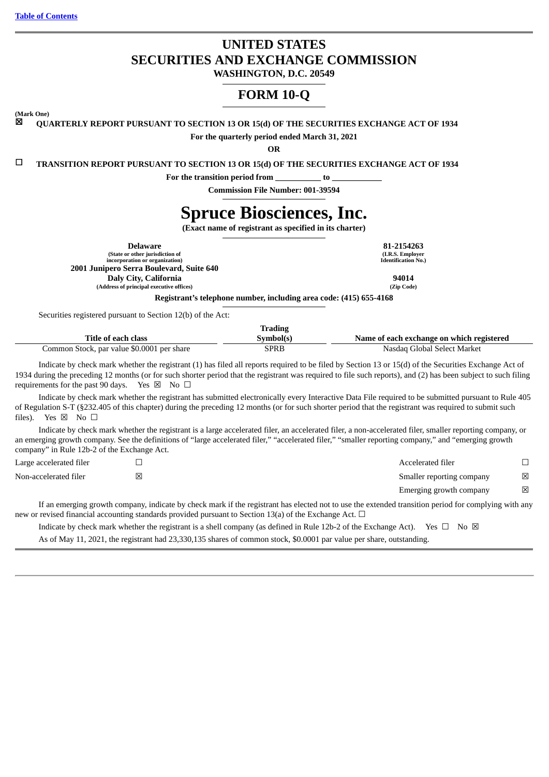**Table of [Contents](#page-1-0)**

# **UNITED STATES SECURITIES AND EXCHANGE COMMISSION**

**WASHINGTON, D.C. 20549**

# **FORM 10-Q**

**(Mark One)**

☒ **QUARTERLY REPORT PURSUANT TO SECTION 13 OR 15(d) OF THE SECURITIES EXCHANGE ACT OF 1934**

**For the quarterly period ended March 31, 2021**

**OR**

☐ **TRANSITION REPORT PURSUANT TO SECTION 13 OR 15(d) OF THE SECURITIES EXCHANGE ACT OF 1934**

**For the transition period from \_\_\_\_\_\_\_\_\_\_\_ to \_\_\_\_\_\_\_\_\_\_\_\_**

**Commission File Number: 001-39594**

# **Spruce Biosciences, Inc.**

**(Exact name of registrant as specified in its charter)**

| Delaware                                 | 81-2154263                 |
|------------------------------------------|----------------------------|
| (State or other jurisdiction of          | (I.R.S. Employer           |
| incorporation or organization)           | <b>Identification No.)</b> |
| 2001 Junipero Serra Boulevard, Suite 640 |                            |
| Daly City, California                    | 94014                      |
| (Address of principal executive offices) | (Zip Code)                 |
| _                                        |                            |

**Registrant's telephone number, including area code: (415) 655-4168**

Securities registered pursuant to Section 12(b) of the Act:

|                                            | Trading   |                                           |
|--------------------------------------------|-----------|-------------------------------------------|
| Title of each class                        | Symbol(s) | Name of each exchange on which registered |
| Common Stock, par value \$0.0001 per share | SPRB      | Nasdag Global Select Market               |

Indicate by check mark whether the registrant (1) has filed all reports required to be filed by Section 13 or 15(d) of the Securities Exchange Act of 1934 during the preceding 12 months (or for such shorter period that the registrant was required to file such reports), and (2) has been subject to such filing requirements for the past 90 days. Yes  $\boxtimes$  No  $\Box$ 

Indicate by check mark whether the registrant has submitted electronically every Interactive Data File required to be submitted pursuant to Rule 405 of Regulation S-T (§232.405 of this chapter) during the preceding 12 months (or for such shorter period that the registrant was required to submit such files). Yes  $\boxtimes$  No  $\square$ 

Indicate by check mark whether the registrant is a large accelerated filer, an accelerated filer, a non-accelerated filer, smaller reporting company, or an emerging growth company. See the definitions of "large accelerated filer," "accelerated filer," "smaller reporting company," and "emerging growth company" in Rule 12b-2 of the Exchange Act.

| Large accelerated filer | Accelerated filer         |             |
|-------------------------|---------------------------|-------------|
| Non-accelerated filer   | Smaller reporting company | $\boxtimes$ |
|                         | Emerging growth company   | ⊠           |

If an emerging growth company, indicate by check mark if the registrant has elected not to use the extended transition period for complying with any new or revised financial accounting standards provided pursuant to Section 13(a) of the Exchange Act.  $\Box$ 

Indicate by check mark whether the registrant is a shell company (as defined in Rule 12b-2 of the Exchange Act). Yes  $\Box$  No  $\boxtimes$ As of May 11, 2021, the registrant had 23,330,135 shares of common stock, \$0.0001 par value per share, outstanding.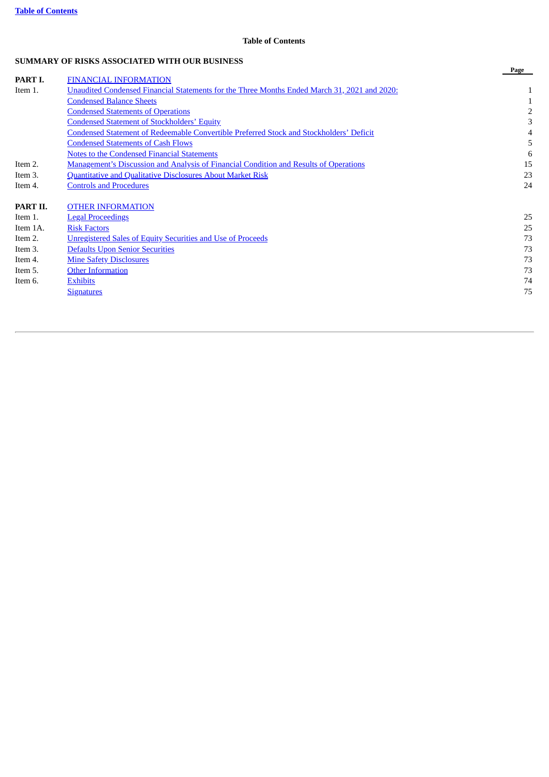## **Table of Contents**

## <span id="page-1-0"></span>**SUMMARY OF RISKS ASSOCIATED WITH OUR BUSINESS**

|          |                                                                                                | Page           |
|----------|------------------------------------------------------------------------------------------------|----------------|
| PART I.  | <b>FINANCIAL INFORMATION</b>                                                                   |                |
| Item 1.  | Unaudited Condensed Financial Statements for the Three Months Ended March 31, 2021 and 2020:   |                |
|          | <b>Condensed Balance Sheets</b>                                                                |                |
|          | <b>Condensed Statements of Operations</b>                                                      | $\overline{2}$ |
|          | <b>Condensed Statement of Stockholders' Equity</b>                                             | 3              |
|          | <b>Condensed Statement of Redeemable Convertible Preferred Stock and Stockholders' Deficit</b> |                |
|          | <b>Condensed Statements of Cash Flows</b>                                                      | 5              |
|          | <b>Notes to the Condensed Financial Statements</b>                                             | 6              |
| Item 2.  | <b>Management's Discussion and Analysis of Financial Condition and Results of Operations</b>   | 15             |
| Item 3.  | <b>Quantitative and Qualitative Disclosures About Market Risk</b>                              | 23             |
| Item 4.  | <b>Controls and Procedures</b>                                                                 | 24             |
| PART II. | <b>OTHER INFORMATION</b>                                                                       |                |
| Item 1.  | <b>Legal Proceedings</b>                                                                       | 25             |
| Item 1A. | <b>Risk Factors</b>                                                                            | 25             |
| Item 2.  | <b>Unregistered Sales of Equity Securities and Use of Proceeds</b>                             | 73             |
| Item 3.  | <b>Defaults Upon Senior Securities</b>                                                         | 73             |
| Item 4.  | <b>Mine Safety Disclosures</b>                                                                 | 73             |
| Item 5.  | <b>Other Information</b>                                                                       | 73             |
| Item 6.  | <b>Exhibits</b>                                                                                | 74             |
|          | <b>Signatures</b>                                                                              | 75             |
|          |                                                                                                |                |
|          |                                                                                                |                |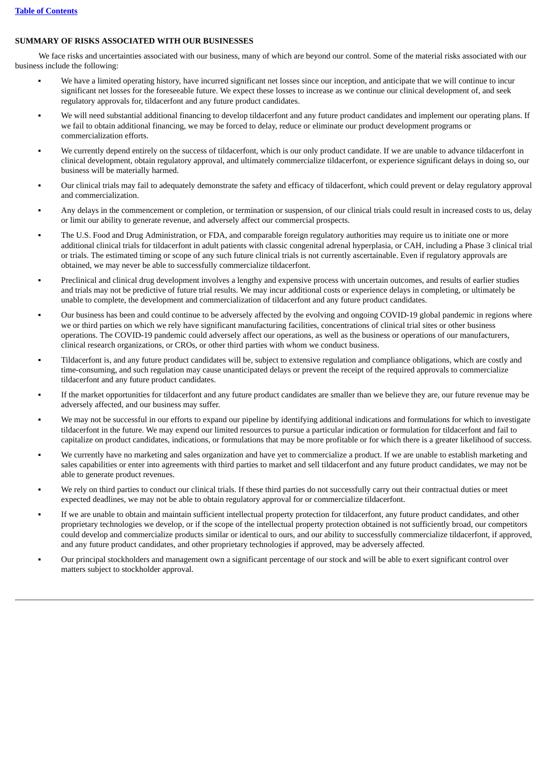## **SUMMARY OF RISKS ASSOCIATED WITH OUR BUSINESSES**

We face risks and uncertainties associated with our business, many of which are beyond our control. Some of the material risks associated with our business include the following:

- We have a limited operating history, have incurred significant net losses since our inception, and anticipate that we will continue to incur significant net losses for the foreseeable future. We expect these losses to increase as we continue our clinical development of, and seek regulatory approvals for, tildacerfont and any future product candidates.
- We will need substantial additional financing to develop tildacerfont and any future product candidates and implement our operating plans. If we fail to obtain additional financing, we may be forced to delay, reduce or eliminate our product development programs or commercialization efforts.
- We currently depend entirely on the success of tildacerfont, which is our only product candidate. If we are unable to advance tildacerfont in clinical development, obtain regulatory approval, and ultimately commercialize tildacerfont, or experience significant delays in doing so, our business will be materially harmed.
- Our clinical trials may fail to adequately demonstrate the safety and efficacy of tildacerfont, which could prevent or delay regulatory approval and commercialization.
- Any delays in the commencement or completion, or termination or suspension, of our clinical trials could result in increased costs to us, delay or limit our ability to generate revenue, and adversely affect our commercial prospects.
- The U.S. Food and Drug Administration, or FDA, and comparable foreign regulatory authorities may require us to initiate one or more additional clinical trials for tildacerfont in adult patients with classic congenital adrenal hyperplasia, or CAH, including a Phase 3 clinical trial or trials. The estimated timing or scope of any such future clinical trials is not currently ascertainable. Even if regulatory approvals are obtained, we may never be able to successfully commercialize tildacerfont.
- Preclinical and clinical drug development involves a lengthy and expensive process with uncertain outcomes, and results of earlier studies and trials may not be predictive of future trial results. We may incur additional costs or experience delays in completing, or ultimately be unable to complete, the development and commercialization of tildacerfont and any future product candidates.
- Our business has been and could continue to be adversely affected by the evolving and ongoing COVID-19 global pandemic in regions where we or third parties on which we rely have significant manufacturing facilities, concentrations of clinical trial sites or other business operations. The COVID-19 pandemic could adversely affect our operations, as well as the business or operations of our manufacturers, clinical research organizations, or CROs, or other third parties with whom we conduct business.
- Tildacerfont is, and any future product candidates will be, subject to extensive regulation and compliance obligations, which are costly and time-consuming, and such regulation may cause unanticipated delays or prevent the receipt of the required approvals to commercialize tildacerfont and any future product candidates.
- If the market opportunities for tildacerfont and any future product candidates are smaller than we believe they are, our future revenue may be adversely affected, and our business may suffer.
- We may not be successful in our efforts to expand our pipeline by identifying additional indications and formulations for which to investigate tildacerfont in the future. We may expend our limited resources to pursue a particular indication or formulation for tildacerfont and fail to capitalize on product candidates, indications, or formulations that may be more profitable or for which there is a greater likelihood of success.
- We currently have no marketing and sales organization and have yet to commercialize a product. If we are unable to establish marketing and sales capabilities or enter into agreements with third parties to market and sell tildacerfont and any future product candidates, we may not be able to generate product revenues.
- We rely on third parties to conduct our clinical trials. If these third parties do not successfully carry out their contractual duties or meet expected deadlines, we may not be able to obtain regulatory approval for or commercialize tildacerfont.
- If we are unable to obtain and maintain sufficient intellectual property protection for tildacerfont, any future product candidates, and other proprietary technologies we develop, or if the scope of the intellectual property protection obtained is not sufficiently broad, our competitors could develop and commercialize products similar or identical to ours, and our ability to successfully commercialize tildacerfont, if approved, and any future product candidates, and other proprietary technologies if approved, may be adversely affected.
- Our principal stockholders and management own a significant percentage of our stock and will be able to exert significant control over matters subject to stockholder approval.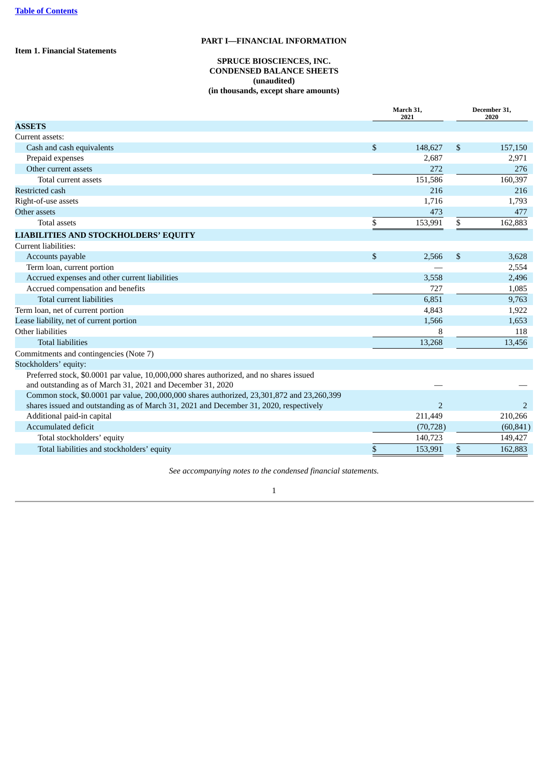<span id="page-3-2"></span><span id="page-3-1"></span><span id="page-3-0"></span>**Item 1. Financial Statements**

## **PART I—FINANCIAL INFORMATION**

## **SPRUCE BIOSCIENCES, INC. CONDENSED BALANCE SHEETS (unaudited) (in thousands, except share amounts)**

| <b>ASSETS</b>                                                                                                                                         |           |
|-------------------------------------------------------------------------------------------------------------------------------------------------------|-----------|
|                                                                                                                                                       |           |
| Current assets:                                                                                                                                       |           |
| \$<br>\$<br>Cash and cash equivalents<br>148,627                                                                                                      | 157,150   |
| Prepaid expenses<br>2,687                                                                                                                             | 2,971     |
| Other current assets<br>272                                                                                                                           | 276       |
| Total current assets<br>151,586                                                                                                                       | 160,397   |
| <b>Restricted cash</b><br>216                                                                                                                         | 216       |
| Right-of-use assets<br>1,716                                                                                                                          | 1,793     |
| Other assets<br>473                                                                                                                                   | 477       |
| \$<br>\$<br><b>Total assets</b><br>153,991                                                                                                            | 162,883   |
| <b>LIABILITIES AND STOCKHOLDERS' EQUITY</b>                                                                                                           |           |
| Current liabilities:                                                                                                                                  |           |
| \$<br>\$<br>Accounts payable<br>2,566                                                                                                                 | 3,628     |
| Term loan, current portion                                                                                                                            | 2,554     |
| Accrued expenses and other current liabilities<br>3,558                                                                                               | 2,496     |
| Accrued compensation and benefits<br>727                                                                                                              | 1,085     |
| Total current liabilities<br>6,851                                                                                                                    | 9,763     |
| Term loan, net of current portion<br>4,843                                                                                                            | 1,922     |
| Lease liability, net of current portion<br>1,566                                                                                                      | 1,653     |
| Other liabilities<br>8                                                                                                                                | 118       |
| <b>Total liabilities</b><br>13,268                                                                                                                    | 13,456    |
| Commitments and contingencies (Note 7)                                                                                                                |           |
| Stockholders' equity:                                                                                                                                 |           |
| Preferred stock, \$0.0001 par value, 10,000,000 shares authorized, and no shares issued<br>and outstanding as of March 31, 2021 and December 31, 2020 |           |
| Common stock, \$0.0001 par value, 200,000,000 shares authorized, 23,301,872 and 23,260,399                                                            |           |
| $\overline{2}$<br>shares issued and outstanding as of March 31, 2021 and December 31, 2020, respectively                                              | 2         |
| Additional paid-in capital<br>211,449                                                                                                                 | 210,266   |
| Accumulated deficit<br>(70, 728)                                                                                                                      | (60, 841) |
| Total stockholders' equity<br>140,723                                                                                                                 | 149,427   |
| \$<br>Total liabilities and stockholders' equity<br>\$<br>153,991                                                                                     | 162,883   |

*See accompanying notes to the condensed financial statements.*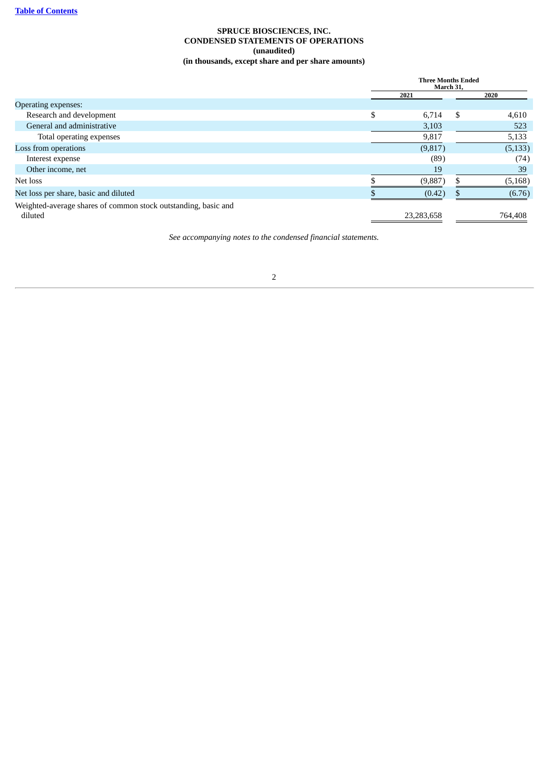## **SPRUCE BIOSCIENCES, INC. CONDENSED STATEMENTS OF OPERATIONS (unaudited) (in thousands, except share and per share amounts)**

<span id="page-4-0"></span>

|                                                                           | <b>Three Months Ended</b><br>March 31, |    |          |  |
|---------------------------------------------------------------------------|----------------------------------------|----|----------|--|
|                                                                           | 2021                                   |    | 2020     |  |
| Operating expenses:                                                       |                                        |    |          |  |
| Research and development                                                  | \$<br>6,714                            | \$ | 4,610    |  |
| General and administrative                                                | 3,103                                  |    | 523      |  |
| Total operating expenses                                                  | 9,817                                  |    | 5,133    |  |
| Loss from operations                                                      | (9,817)                                |    | (5, 133) |  |
| Interest expense                                                          | (89)                                   |    | (74)     |  |
| Other income, net                                                         | 19                                     |    | 39       |  |
| Net loss                                                                  | (9,887)                                |    | (5, 168) |  |
| Net loss per share, basic and diluted                                     | (0.42)                                 |    | (6.76)   |  |
| Weighted-average shares of common stock outstanding, basic and<br>diluted | 23,283,658                             |    | 764,408  |  |

*See accompanying notes to the condensed financial statements.*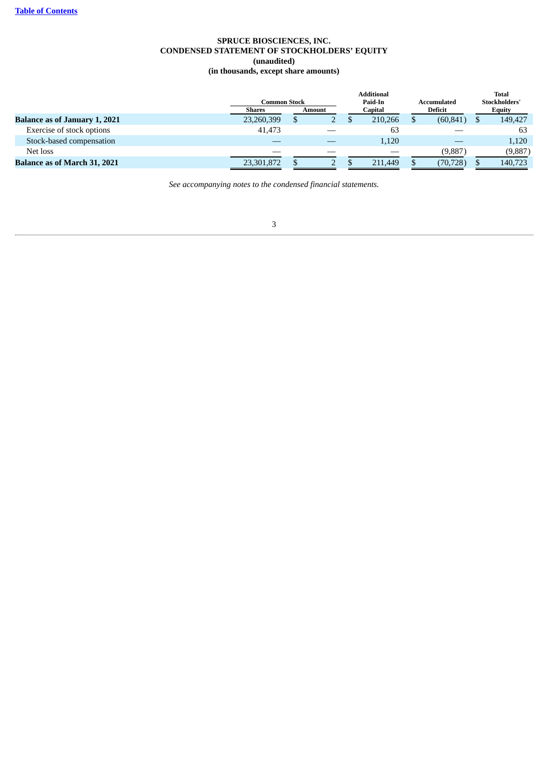## **SPRUCE BIOSCIENCES, INC. CONDENSED STATEMENT OF STOCKHOLDERS' EQUITY (unaudited) (in thousands, except share amounts)**

<span id="page-5-0"></span>

|                                      |               |        |         | <b>Additional</b> |             | <b>Total</b>  |  |  |  |  |  |  |  |  |  |  |  |  |  |  |  |  |  |  |  |  |                |               |
|--------------------------------------|---------------|--------|---------|-------------------|-------------|---------------|--|--|--|--|--|--|--|--|--|--|--|--|--|--|--|--|--|--|--|--|----------------|---------------|
|                                      | Common Stock  |        |         | Paid-In           | Accumulated | Stockholders' |  |  |  |  |  |  |  |  |  |  |  |  |  |  |  |  |  |  |  |  |                |               |
|                                      | <b>Shares</b> | Amount | Capital |                   |             |               |  |  |  |  |  |  |  |  |  |  |  |  |  |  |  |  |  |  |  |  | <b>Deficit</b> | <b>Equity</b> |
| <b>Balance as of January 1, 2021</b> | 23,260,399    |        |         | 210,266           | (60, 841)   | 149,427       |  |  |  |  |  |  |  |  |  |  |  |  |  |  |  |  |  |  |  |  |                |               |
| Exercise of stock options            | 41.473        |        |         | 63                |             | 63            |  |  |  |  |  |  |  |  |  |  |  |  |  |  |  |  |  |  |  |  |                |               |
| Stock-based compensation             |               |        |         | 1,120             |             | 1,120         |  |  |  |  |  |  |  |  |  |  |  |  |  |  |  |  |  |  |  |  |                |               |
| Net loss                             |               |        |         |                   | (9,887)     | (9,887)       |  |  |  |  |  |  |  |  |  |  |  |  |  |  |  |  |  |  |  |  |                |               |
| <b>Balance as of March 31, 2021</b>  | 23,301,872    |        |         | 211,449           | (70, 728)   | 140,723       |  |  |  |  |  |  |  |  |  |  |  |  |  |  |  |  |  |  |  |  |                |               |

*See accompanying notes to the condensed financial statements.*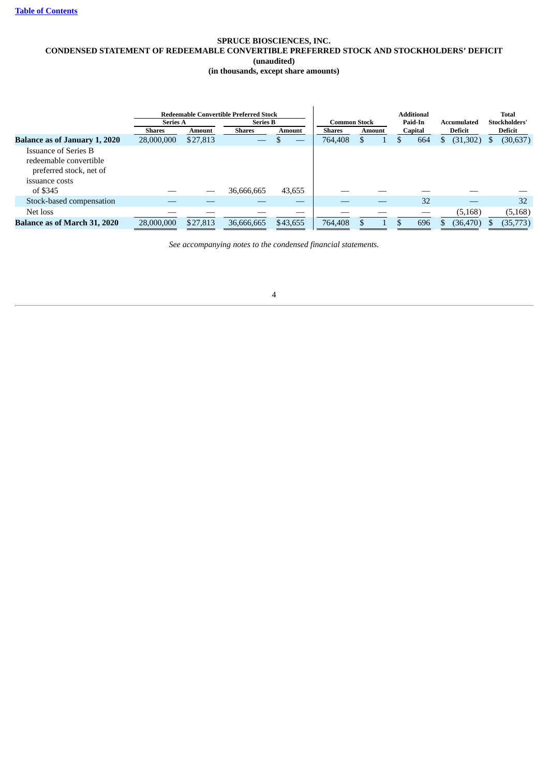## **SPRUCE BIOSCIENCES, INC. CONDENSED STATEMENT OF REDEEMABLE CONVERTIBLE PREFERRED STOCK AND STOCKHOLDERS' DEFICIT (unaudited)**

**(in thousands, except share amounts)**

|                                                                                                    | <b>Series A</b> |          | <b>Redeemable Convertible Preferred Stock</b><br><b>Series B</b> |          | Common Stock  |        |  | <b>Additional</b><br>Paid-In | Accumulated | <b>Total</b><br>Stockholders' |
|----------------------------------------------------------------------------------------------------|-----------------|----------|------------------------------------------------------------------|----------|---------------|--------|--|------------------------------|-------------|-------------------------------|
|                                                                                                    | <b>Shares</b>   | Amount   | Shares                                                           | Amount   | <b>Shares</b> | Amount |  | Capital                      | Deficit     | Deficit                       |
| <b>Balance as of January 1, 2020</b>                                                               | 28,000,000      | \$27,813 |                                                                  | __       | 764,408       | S      |  | 664                          | (31,302)    | (30, 637)                     |
| <b>Issuance of Series B</b><br>redeemable convertible<br>preferred stock, net of<br>issuance costs |                 |          |                                                                  |          |               |        |  |                              |             |                               |
| of \$345                                                                                           |                 | __       | 36,666,665                                                       | 43,655   |               |        |  |                              |             |                               |
| Stock-based compensation                                                                           |                 |          |                                                                  |          |               |        |  | 32                           |             | 32                            |
| Net loss                                                                                           |                 |          |                                                                  |          |               |        |  |                              | (5, 168)    | (5, 168)                      |
| <b>Balance as of March 31, 2020</b>                                                                | 28,000,000      | \$27,813 | 36,666,665                                                       | \$43,655 | 764,408       |        |  | 696                          | (36, 470)   | (35, 773)                     |

*See accompanying notes to the condensed financial statements.*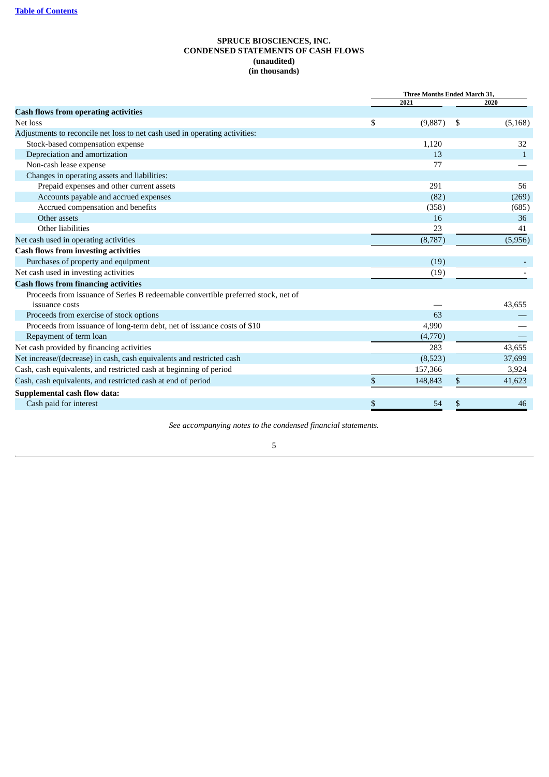## **SPRUCE BIOSCIENCES, INC. CONDENSED STATEMENTS OF CASH FLOWS (unaudited) (in thousands)**

<span id="page-7-0"></span>

| <b>Three Months Ended March 31,</b> |         |    |              |  |
|-------------------------------------|---------|----|--------------|--|
|                                     | 2021    |    | 2020         |  |
|                                     |         |    |              |  |
| \$                                  | (9,887) | -S | (5, 168)     |  |
|                                     |         |    |              |  |
|                                     | 1,120   |    | 32           |  |
|                                     | 13      |    | $\mathbf{1}$ |  |
|                                     | 77      |    |              |  |
|                                     |         |    |              |  |
|                                     | 291     |    | 56           |  |
|                                     | (82)    |    | (269)        |  |
|                                     | (358)   |    | (685)        |  |
|                                     | 16      |    | 36           |  |
|                                     | 23      |    | 41           |  |
|                                     | (8,787) |    | (5,956)      |  |
|                                     |         |    |              |  |
|                                     | (19)    |    |              |  |
|                                     | (19)    |    |              |  |
|                                     |         |    |              |  |
|                                     |         |    |              |  |
|                                     |         |    | 43,655       |  |
|                                     | 63      |    |              |  |
|                                     | 4,990   |    |              |  |
|                                     | (4,770) |    |              |  |
|                                     | 283     |    | 43,655       |  |
|                                     | (8,523) |    | 37,699       |  |
|                                     | 157,366 |    | 3,924        |  |
| \$                                  | 148,843 | \$ | 41,623       |  |
|                                     |         |    |              |  |
| \$                                  | 54      | \$ | 46           |  |
|                                     |         |    |              |  |

*See accompanying notes to the condensed financial statements.*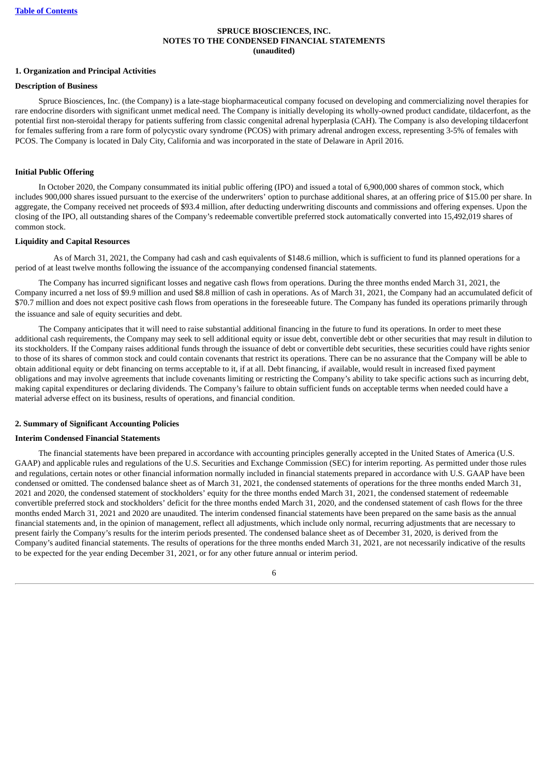## **SPRUCE BIOSCIENCES, INC. NOTES TO THE CONDENSED FINANCIAL STATEMENTS (unaudited)**

#### <span id="page-8-0"></span>**1. Organization and Principal Activities**

## **Description of Business**

Spruce Biosciences, Inc. (the Company) is a late-stage biopharmaceutical company focused on developing and commercializing novel therapies for rare endocrine disorders with significant unmet medical need. The Company is initially developing its wholly-owned product candidate, tildacerfont, as the potential first non-steroidal therapy for patients suffering from classic congenital adrenal hyperplasia (CAH). The Company is also developing tildacerfont for females suffering from a rare form of polycystic ovary syndrome (PCOS) with primary adrenal androgen excess, representing 3-5% of females with PCOS. The Company is located in Daly City, California and was incorporated in the state of Delaware in April 2016.

#### **Initial Public Offering**

In October 2020, the Company consummated its initial public offering (IPO) and issued a total of 6,900,000 shares of common stock, which includes 900,000 shares issued pursuant to the exercise of the underwriters' option to purchase additional shares, at an offering price of \$15.00 per share. In aggregate, the Company received net proceeds of \$93.4 million, after deducting underwriting discounts and commissions and offering expenses. Upon the closing of the IPO, all outstanding shares of the Company's redeemable convertible preferred stock automatically converted into 15,492,019 shares of common stock.

#### **Liquidity and Capital Resources**

 As of March 31, 2021, the Company had cash and cash equivalents of \$148.6 million, which is sufficient to fund its planned operations for a period of at least twelve months following the issuance of the accompanying condensed financial statements.

The Company has incurred significant losses and negative cash flows from operations. During the three months ended March 31, 2021, the Company incurred a net loss of \$9.9 million and used \$8.8 million of cash in operations. As of March 31, 2021, the Company had an accumulated deficit of \$70.7 million and does not expect positive cash flows from operations in the foreseeable future. The Company has funded its operations primarily through the issuance and sale of equity securities and debt.

The Company anticipates that it will need to raise substantial additional financing in the future to fund its operations. In order to meet these additional cash requirements, the Company may seek to sell additional equity or issue debt, convertible debt or other securities that may result in dilution to its stockholders. If the Company raises additional funds through the issuance of debt or convertible debt securities, these securities could have rights senior to those of its shares of common stock and could contain covenants that restrict its operations. There can be no assurance that the Company will be able to obtain additional equity or debt financing on terms acceptable to it, if at all. Debt financing, if available, would result in increased fixed payment obligations and may involve agreements that include covenants limiting or restricting the Company's ability to take specific actions such as incurring debt, making capital expenditures or declaring dividends. The Company's failure to obtain sufficient funds on acceptable terms when needed could have a material adverse effect on its business, results of operations, and financial condition.

#### **2. Summary of Significant Accounting Policies**

#### **Interim Condensed Financial Statements**

The financial statements have been prepared in accordance with accounting principles generally accepted in the United States of America (U.S. GAAP) and applicable rules and regulations of the U.S. Securities and Exchange Commission (SEC) for interim reporting. As permitted under those rules and regulations, certain notes or other financial information normally included in financial statements prepared in accordance with U.S. GAAP have been condensed or omitted. The condensed balance sheet as of March 31, 2021, the condensed statements of operations for the three months ended March 31, 2021 and 2020, the condensed statement of stockholders' equity for the three months ended March 31, 2021, the condensed statement of redeemable convertible preferred stock and stockholders' deficit for the three months ended March 31, 2020, and the condensed statement of cash flows for the three months ended March 31, 2021 and 2020 are unaudited. The interim condensed financial statements have been prepared on the same basis as the annual financial statements and, in the opinion of management, reflect all adjustments, which include only normal, recurring adjustments that are necessary to present fairly the Company's results for the interim periods presented. The condensed balance sheet as of December 31, 2020, is derived from the Company's audited financial statements. The results of operations for the three months ended March 31, 2021, are not necessarily indicative of the results to be expected for the year ending December 31, 2021, or for any other future annual or interim period.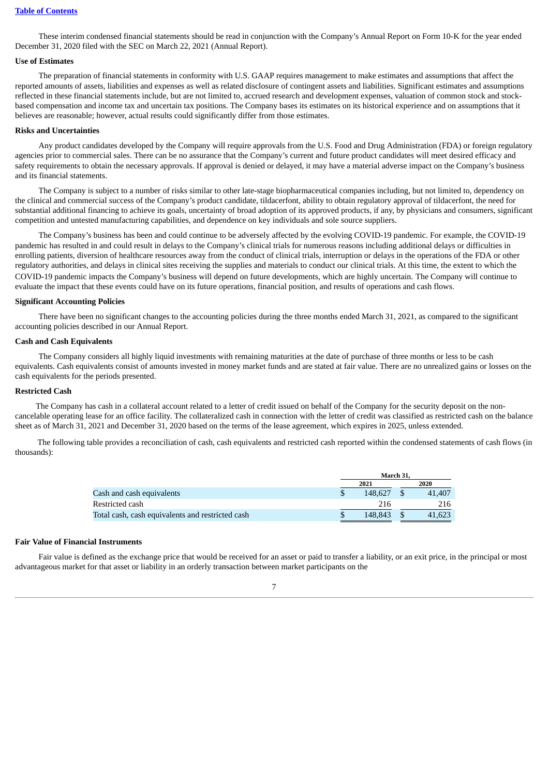These interim condensed financial statements should be read in conjunction with the Company's Annual Report on Form 10-K for the year ended December 31, 2020 filed with the SEC on March 22, 2021 (Annual Report).

## **Use of Estimates**

The preparation of financial statements in conformity with U.S. GAAP requires management to make estimates and assumptions that affect the reported amounts of assets, liabilities and expenses as well as related disclosure of contingent assets and liabilities. Significant estimates and assumptions reflected in these financial statements include, but are not limited to, accrued research and development expenses, valuation of common stock and stockbased compensation and income tax and uncertain tax positions. The Company bases its estimates on its historical experience and on assumptions that it believes are reasonable; however, actual results could significantly differ from those estimates.

#### **Risks and Uncertainties**

Any product candidates developed by the Company will require approvals from the U.S. Food and Drug Administration (FDA) or foreign regulatory agencies prior to commercial sales. There can be no assurance that the Company's current and future product candidates will meet desired efficacy and safety requirements to obtain the necessary approvals. If approval is denied or delayed, it may have a material adverse impact on the Company's business and its financial statements.

The Company is subject to a number of risks similar to other late-stage biopharmaceutical companies including, but not limited to, dependency on the clinical and commercial success of the Company's product candidate, tildacerfont, ability to obtain regulatory approval of tildacerfont, the need for substantial additional financing to achieve its goals, uncertainty of broad adoption of its approved products, if any, by physicians and consumers, significant competition and untested manufacturing capabilities, and dependence on key individuals and sole source suppliers.

The Company's business has been and could continue to be adversely affected by the evolving COVID-19 pandemic. For example, the COVID-19 pandemic has resulted in and could result in delays to the Company's clinical trials for numerous reasons including additional delays or difficulties in enrolling patients, diversion of healthcare resources away from the conduct of clinical trials, interruption or delays in the operations of the FDA or other regulatory authorities, and delays in clinical sites receiving the supplies and materials to conduct our clinical trials. At this time, the extent to which the COVID-19 pandemic impacts the Company's business will depend on future developments, which are highly uncertain. The Company will continue to evaluate the impact that these events could have on its future operations, financial position, and results of operations and cash flows.

#### **Significant Accounting Policies**

There have been no significant changes to the accounting policies during the three months ended March 31, 2021, as compared to the significant accounting policies described in our Annual Report.

#### **Cash and Cash Equivalents**

The Company considers all highly liquid investments with remaining maturities at the date of purchase of three months or less to be cash equivalents. Cash equivalents consist of amounts invested in money market funds and are stated at fair value. There are no unrealized gains or losses on the cash equivalents for the periods presented.

## **Restricted Cash**

The Company has cash in a collateral account related to a letter of credit issued on behalf of the Company for the security deposit on the noncancelable operating lease for an office facility. The collateralized cash in connection with the letter of credit was classified as restricted cash on the balance sheet as of March 31, 2021 and December 31, 2020 based on the terms of the lease agreement, which expires in 2025, unless extended.

 The following table provides a reconciliation of cash, cash equivalents and restricted cash reported within the condensed statements of cash flows (in thousands):

|                                                  | March 31. |  |        |  |  |
|--------------------------------------------------|-----------|--|--------|--|--|
|                                                  | 2021      |  | 2020   |  |  |
| Cash and cash equivalents                        | 148.627   |  | 41,407 |  |  |
| Restricted cash                                  | 216       |  | 216    |  |  |
| Total cash, cash equivalents and restricted cash | 148.843   |  | 41.623 |  |  |

#### **Fair Value of Financial Instruments**

Fair value is defined as the exchange price that would be received for an asset or paid to transfer a liability, or an exit price, in the principal or most advantageous market for that asset or liability in an orderly transaction between market participants on the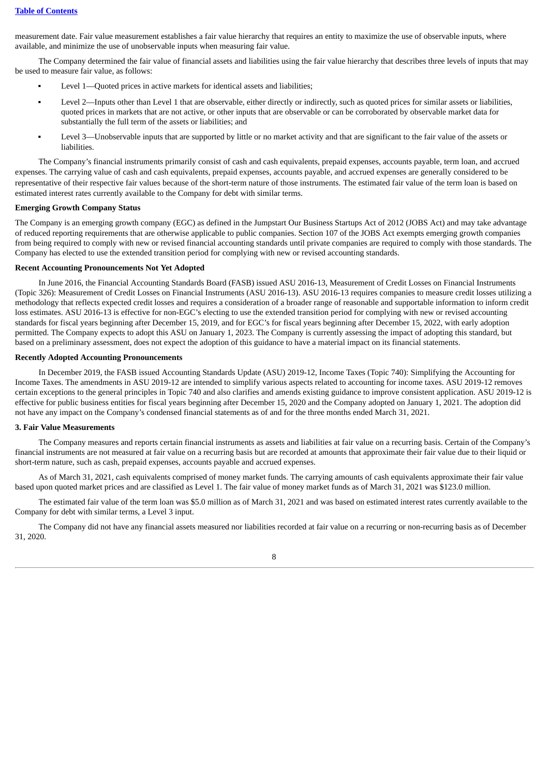measurement date. Fair value measurement establishes a fair value hierarchy that requires an entity to maximize the use of observable inputs, where available, and minimize the use of unobservable inputs when measuring fair value.

The Company determined the fair value of financial assets and liabilities using the fair value hierarchy that describes three levels of inputs that may be used to measure fair value, as follows:

- Level 1—Quoted prices in active markets for identical assets and liabilities;
- Level 2—Inputs other than Level 1 that are observable, either directly or indirectly, such as quoted prices for similar assets or liabilities, quoted prices in markets that are not active, or other inputs that are observable or can be corroborated by observable market data for substantially the full term of the assets or liabilities; and
- Level 3—Unobservable inputs that are supported by little or no market activity and that are significant to the fair value of the assets or liabilities.

The Company's financial instruments primarily consist of cash and cash equivalents, prepaid expenses, accounts payable, term loan, and accrued expenses. The carrying value of cash and cash equivalents, prepaid expenses, accounts payable, and accrued expenses are generally considered to be representative of their respective fair values because of the short-term nature of those instruments. The estimated fair value of the term loan is based on estimated interest rates currently available to the Company for debt with similar terms.

### **Emerging Growth Company Status**

The Company is an emerging growth company (EGC) as defined in the Jumpstart Our Business Startups Act of 2012 (JOBS Act) and may take advantage of reduced reporting requirements that are otherwise applicable to public companies. Section 107 of the JOBS Act exempts emerging growth companies from being required to comply with new or revised financial accounting standards until private companies are required to comply with those standards. The Company has elected to use the extended transition period for complying with new or revised accounting standards.

#### **Recent Accounting Pronouncements Not Yet Adopted**

In June 2016, the Financial Accounting Standards Board (FASB) issued ASU 2016-13, Measurement of Credit Losses on Financial Instruments (Topic 326): Measurement of Credit Losses on Financial Instruments (ASU 2016-13). ASU 2016-13 requires companies to measure credit losses utilizing a methodology that reflects expected credit losses and requires a consideration of a broader range of reasonable and supportable information to inform credit loss estimates. ASU 2016-13 is effective for non-EGC's electing to use the extended transition period for complying with new or revised accounting standards for fiscal years beginning after December 15, 2019, and for EGC's for fiscal years beginning after December 15, 2022, with early adoption permitted. The Company expects to adopt this ASU on January 1, 2023. The Company is currently assessing the impact of adopting this standard, but based on a preliminary assessment, does not expect the adoption of this guidance to have a material impact on its financial statements.

## **Recently Adopted Accounting Pronouncements**

In December 2019, the FASB issued Accounting Standards Update (ASU) 2019-12, Income Taxes (Topic 740): Simplifying the Accounting for Income Taxes. The amendments in ASU 2019-12 are intended to simplify various aspects related to accounting for income taxes. ASU 2019-12 removes certain exceptions to the general principles in Topic 740 and also clarifies and amends existing guidance to improve consistent application. ASU 2019-12 is effective for public business entities for fiscal years beginning after December 15, 2020 and the Company adopted on January 1, 2021. The adoption did not have any impact on the Company's condensed financial statements as of and for the three months ended March 31, 2021.

#### **3. Fair Value Measurements**

The Company measures and reports certain financial instruments as assets and liabilities at fair value on a recurring basis. Certain of the Company's financial instruments are not measured at fair value on a recurring basis but are recorded at amounts that approximate their fair value due to their liquid or short-term nature, such as cash, prepaid expenses, accounts payable and accrued expenses.

As of March 31, 2021, cash equivalents comprised of money market funds. The carrying amounts of cash equivalents approximate their fair value based upon quoted market prices and are classified as Level 1. The fair value of money market funds as of March 31, 2021 was \$123.0 million.

The estimated fair value of the term loan was \$5.0 million as of March 31, 2021 and was based on estimated interest rates currently available to the Company for debt with similar terms, a Level 3 input.

The Company did not have any financial assets measured nor liabilities recorded at fair value on a recurring or non-recurring basis as of December 31, 2020.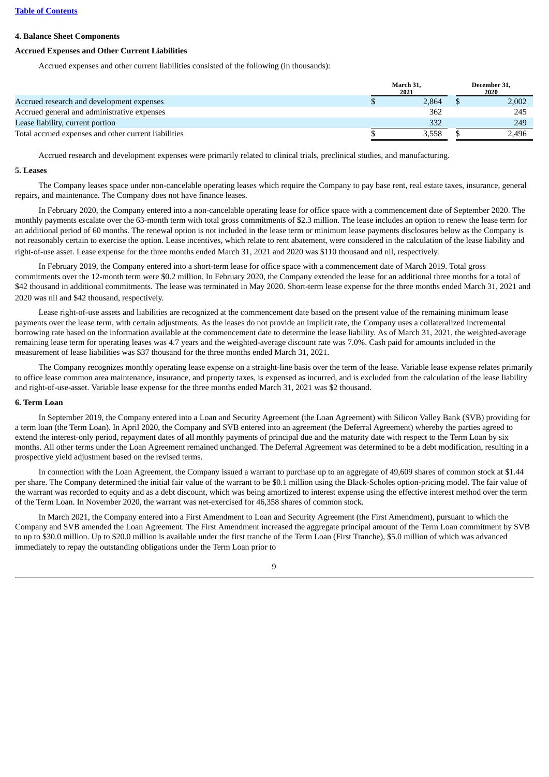## **Table of [Contents](#page-1-0)**

#### **4. Balance Sheet Components**

## **Accrued Expenses and Other Current Liabilities**

Accrued expenses and other current liabilities consisted of the following (in thousands):

|                                                      | March 31,<br>2021 | December 31.<br>2020 |
|------------------------------------------------------|-------------------|----------------------|
| Accrued research and development expenses            | 2.864             | 2.002                |
| Accrued general and administrative expenses          | 362               | 245                  |
| Lease liability, current portion                     | 332               | 249                  |
| Total accrued expenses and other current liabilities | 3.558             | 2.496                |

Accrued research and development expenses were primarily related to clinical trials, preclinical studies, and manufacturing.

#### **5. Leases**

The Company leases space under non-cancelable operating leases which require the Company to pay base rent, real estate taxes, insurance, general repairs, and maintenance. The Company does not have finance leases.

In February 2020, the Company entered into a non-cancelable operating lease for office space with a commencement date of September 2020. The monthly payments escalate over the 63-month term with total gross commitments of \$2.3 million. The lease includes an option to renew the lease term for an additional period of 60 months. The renewal option is not included in the lease term or minimum lease payments disclosures below as the Company is not reasonably certain to exercise the option. Lease incentives, which relate to rent abatement, were considered in the calculation of the lease liability and right-of-use asset. Lease expense for the three months ended March 31, 2021 and 2020 was \$110 thousand and nil, respectively.

In February 2019, the Company entered into a short-term lease for office space with a commencement date of March 2019. Total gross commitments over the 12-month term were \$0.2 million. In February 2020, the Company extended the lease for an additional three months for a total of \$42 thousand in additional commitments. The lease was terminated in May 2020. Short-term lease expense for the three months ended March 31, 2021 and 2020 was nil and \$42 thousand, respectively.

Lease right-of-use assets and liabilities are recognized at the commencement date based on the present value of the remaining minimum lease payments over the lease term, with certain adjustments. As the leases do not provide an implicit rate, the Company uses a collateralized incremental borrowing rate based on the information available at the commencement date to determine the lease liability. As of March 31, 2021, the weighted-average remaining lease term for operating leases was 4.7 years and the weighted-average discount rate was 7.0%. Cash paid for amounts included in the measurement of lease liabilities was \$37 thousand for the three months ended March 31, 2021.

The Company recognizes monthly operating lease expense on a straight-line basis over the term of the lease. Variable lease expense relates primarily to office lease common area maintenance, insurance, and property taxes, is expensed as incurred, and is excluded from the calculation of the lease liability and right-of-use-asset. Variable lease expense for the three months ended March 31, 2021 was \$2 thousand.

#### **6. Term Loan**

In September 2019, the Company entered into a Loan and Security Agreement (the Loan Agreement) with Silicon Valley Bank (SVB) providing for a term loan (the Term Loan). In April 2020, the Company and SVB entered into an agreement (the Deferral Agreement) whereby the parties agreed to extend the interest-only period, repayment dates of all monthly payments of principal due and the maturity date with respect to the Term Loan by six months. All other terms under the Loan Agreement remained unchanged. The Deferral Agreement was determined to be a debt modification, resulting in a prospective yield adjustment based on the revised terms.

In connection with the Loan Agreement, the Company issued a warrant to purchase up to an aggregate of 49,609 shares of common stock at \$1.44 per share. The Company determined the initial fair value of the warrant to be \$0.1 million using the Black-Scholes option-pricing model. The fair value of the warrant was recorded to equity and as a debt discount, which was being amortized to interest expense using the effective interest method over the term of the Term Loan. In November 2020, the warrant was net-exercised for 46,358 shares of common stock.

In March 2021, the Company entered into a First Amendment to Loan and Security Agreement (the First Amendment), pursuant to which the Company and SVB amended the Loan Agreement. The First Amendment increased the aggregate principal amount of the Term Loan commitment by SVB to up to \$30.0 million. Up to \$20.0 million is available under the first tranche of the Term Loan (First Tranche), \$5.0 million of which was advanced immediately to repay the outstanding obligations under the Term Loan prior to

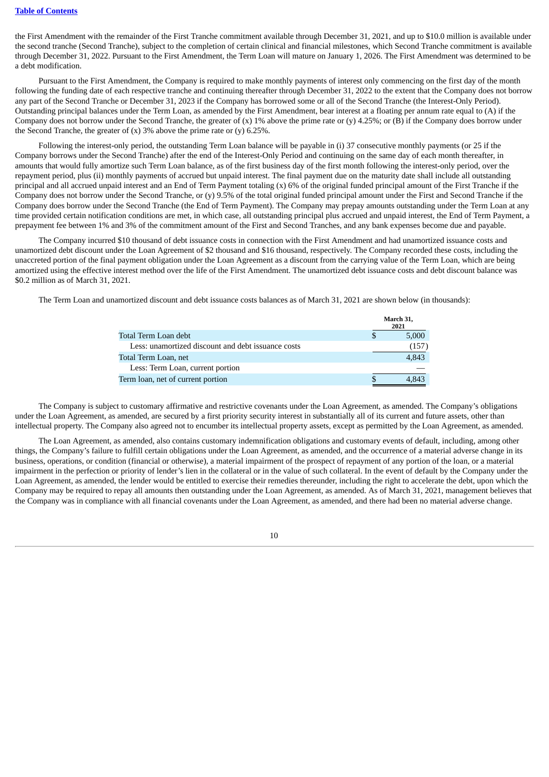## **Table of [Contents](#page-1-0)**

the First Amendment with the remainder of the First Tranche commitment available through December 31, 2021, and up to \$10.0 million is available under the second tranche (Second Tranche), subject to the completion of certain clinical and financial milestones, which Second Tranche commitment is available through December 31, 2022. Pursuant to the First Amendment, the Term Loan will mature on January 1, 2026. The First Amendment was determined to be a debt modification.

Pursuant to the First Amendment, the Company is required to make monthly payments of interest only commencing on the first day of the month following the funding date of each respective tranche and continuing thereafter through December 31, 2022 to the extent that the Company does not borrow any part of the Second Tranche or December 31, 2023 if the Company has borrowed some or all of the Second Tranche (the Interest-Only Period). Outstanding principal balances under the Term Loan, as amended by the First Amendment, bear interest at a floating per annum rate equal to (A) if the Company does not borrow under the Second Tranche, the greater of  $(x)$  1% above the prime rate or  $(y)$  4.25%; or  $(B)$  if the Company does borrow under the Second Tranche, the greater of  $(x)$  3% above the prime rate or  $(y)$  6.25%.

Following the interest-only period, the outstanding Term Loan balance will be payable in (i) 37 consecutive monthly payments (or 25 if the Company borrows under the Second Tranche) after the end of the Interest-Only Period and continuing on the same day of each month thereafter, in amounts that would fully amortize such Term Loan balance, as of the first business day of the first month following the interest-only period, over the repayment period, plus (ii) monthly payments of accrued but unpaid interest. The final payment due on the maturity date shall include all outstanding principal and all accrued unpaid interest and an End of Term Payment totaling (x) 6% of the original funded principal amount of the First Tranche if the Company does not borrow under the Second Tranche, or (y) 9.5% of the total original funded principal amount under the First and Second Tranche if the Company does borrow under the Second Tranche (the End of Term Payment). The Company may prepay amounts outstanding under the Term Loan at any time provided certain notification conditions are met, in which case, all outstanding principal plus accrued and unpaid interest, the End of Term Payment, a prepayment fee between 1% and 3% of the commitment amount of the First and Second Tranches, and any bank expenses become due and payable.

The Company incurred \$10 thousand of debt issuance costs in connection with the First Amendment and had unamortized issuance costs and unamortized debt discount under the Loan Agreement of \$2 thousand and \$16 thousand, respectively. The Company recorded these costs, including the unaccreted portion of the final payment obligation under the Loan Agreement as a discount from the carrying value of the Term Loan, which are being amortized using the effective interest method over the life of the First Amendment. The unamortized debt issuance costs and debt discount balance was \$0.2 million as of March 31, 2021.

The Term Loan and unamortized discount and debt issuance costs balances as of March 31, 2021 are shown below (in thousands):

|                                                    | March 31,<br>2021 |
|----------------------------------------------------|-------------------|
| Total Term Loan debt                               | 5,000             |
| Less: unamortized discount and debt issuance costs | (157)             |
| Total Term Loan, net                               | 4,843             |
| Less: Term Loan, current portion                   |                   |
| Term loan, net of current portion                  | 4.843             |

The Company is subject to customary affirmative and restrictive covenants under the Loan Agreement, as amended. The Company's obligations under the Loan Agreement, as amended, are secured by a first priority security interest in substantially all of its current and future assets, other than intellectual property. The Company also agreed not to encumber its intellectual property assets, except as permitted by the Loan Agreement, as amended.

The Loan Agreement, as amended, also contains customary indemnification obligations and customary events of default, including, among other things, the Company's failure to fulfill certain obligations under the Loan Agreement, as amended, and the occurrence of a material adverse change in its business, operations, or condition (financial or otherwise), a material impairment of the prospect of repayment of any portion of the loan, or a material impairment in the perfection or priority of lender's lien in the collateral or in the value of such collateral. In the event of default by the Company under the Loan Agreement, as amended, the lender would be entitled to exercise their remedies thereunder, including the right to accelerate the debt, upon which the Company may be required to repay all amounts then outstanding under the Loan Agreement, as amended. As of March 31, 2021, management believes that the Company was in compliance with all financial covenants under the Loan Agreement, as amended, and there had been no material adverse change.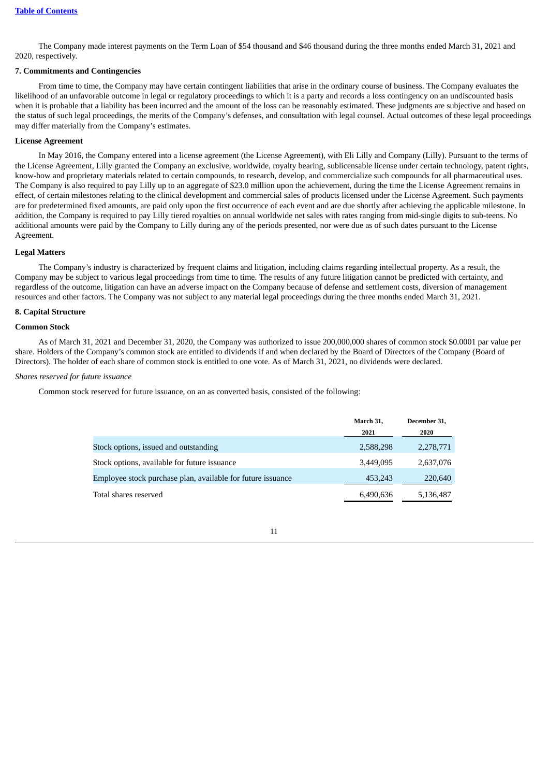The Company made interest payments on the Term Loan of \$54 thousand and \$46 thousand during the three months ended March 31, 2021 and 2020, respectively.

#### **7. Commitments and Contingencies**

From time to time, the Company may have certain contingent liabilities that arise in the ordinary course of business. The Company evaluates the likelihood of an unfavorable outcome in legal or regulatory proceedings to which it is a party and records a loss contingency on an undiscounted basis when it is probable that a liability has been incurred and the amount of the loss can be reasonably estimated. These judgments are subjective and based on the status of such legal proceedings, the merits of the Company's defenses, and consultation with legal counsel. Actual outcomes of these legal proceedings may differ materially from the Company's estimates.

#### **License Agreement**

In May 2016, the Company entered into a license agreement (the License Agreement), with Eli Lilly and Company (Lilly). Pursuant to the terms of the License Agreement, Lilly granted the Company an exclusive, worldwide, royalty bearing, sublicensable license under certain technology, patent rights, know-how and proprietary materials related to certain compounds, to research, develop, and commercialize such compounds for all pharmaceutical uses. The Company is also required to pay Lilly up to an aggregate of \$23.0 million upon the achievement, during the time the License Agreement remains in effect, of certain milestones relating to the clinical development and commercial sales of products licensed under the License Agreement. Such payments are for predetermined fixed amounts, are paid only upon the first occurrence of each event and are due shortly after achieving the applicable milestone. In addition, the Company is required to pay Lilly tiered royalties on annual worldwide net sales with rates ranging from mid-single digits to sub-teens. No additional amounts were paid by the Company to Lilly during any of the periods presented, nor were due as of such dates pursuant to the License Agreement.

#### **Legal Matters**

The Company's industry is characterized by frequent claims and litigation, including claims regarding intellectual property. As a result, the Company may be subject to various legal proceedings from time to time. The results of any future litigation cannot be predicted with certainty, and regardless of the outcome, litigation can have an adverse impact on the Company because of defense and settlement costs, diversion of management resources and other factors. The Company was not subject to any material legal proceedings during the three months ended March 31, 2021.

#### **8. Capital Structure**

## **Common Stock**

As of March 31, 2021 and December 31, 2020, the Company was authorized to issue 200,000,000 shares of common stock \$0.0001 par value per share. Holders of the Company's common stock are entitled to dividends if and when declared by the Board of Directors of the Company (Board of Directors). The holder of each share of common stock is entitled to one vote. As of March 31, 2021, no dividends were declared.

### *Shares reserved for future issuance*

Common stock reserved for future issuance, on an as converted basis, consisted of the following:

|                                                             | March 31, | December 31. |
|-------------------------------------------------------------|-----------|--------------|
|                                                             | 2021      | 2020         |
| Stock options, issued and outstanding                       | 2,588,298 | 2,278,771    |
| Stock options, available for future issuance                | 3,449,095 | 2,637,076    |
| Employee stock purchase plan, available for future issuance | 453,243   | 220,640      |
| Total shares reserved                                       | 6,490,636 | 5,136,487    |

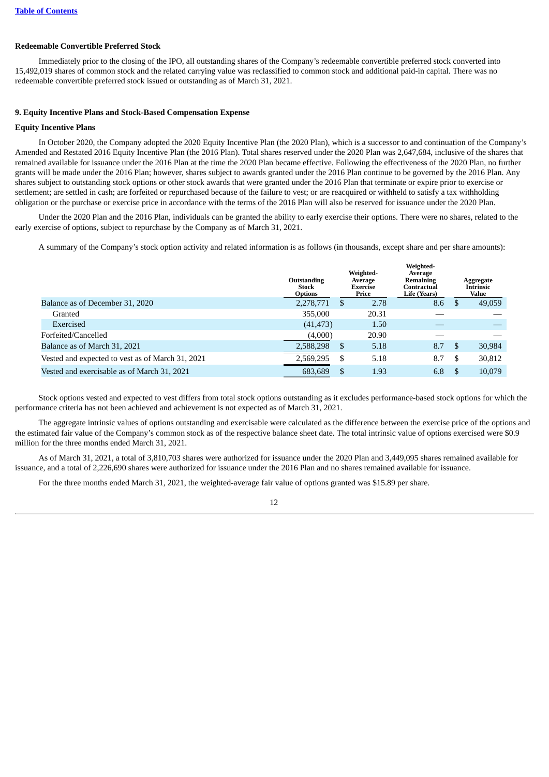## **Redeemable Convertible Preferred Stock**

Immediately prior to the closing of the IPO, all outstanding shares of the Company's redeemable convertible preferred stock converted into 15,492,019 shares of common stock and the related carrying value was reclassified to common stock and additional paid-in capital. There was no redeemable convertible preferred stock issued or outstanding as of March 31, 2021.

## **9. Equity Incentive Plans and Stock-Based Compensation Expense**

## **Equity Incentive Plans**

In October 2020, the Company adopted the 2020 Equity Incentive Plan (the 2020 Plan), which is a successor to and continuation of the Company's Amended and Restated 2016 Equity Incentive Plan (the 2016 Plan). Total shares reserved under the 2020 Plan was 2,647,684, inclusive of the shares that remained available for issuance under the 2016 Plan at the time the 2020 Plan became effective. Following the effectiveness of the 2020 Plan, no further grants will be made under the 2016 Plan; however, shares subject to awards granted under the 2016 Plan continue to be governed by the 2016 Plan. Any shares subject to outstanding stock options or other stock awards that were granted under the 2016 Plan that terminate or expire prior to exercise or settlement; are settled in cash; are forfeited or repurchased because of the failure to vest; or are reacquired or withheld to satisfy a tax withholding obligation or the purchase or exercise price in accordance with the terms of the 2016 Plan will also be reserved for issuance under the 2020 Plan.

Under the 2020 Plan and the 2016 Plan, individuals can be granted the ability to early exercise their options. There were no shares, related to the early exercise of options, subject to repurchase by the Company as of March 31, 2021.

A summary of the Company's stock option activity and related information is as follows (in thousands, except share and per share amounts):

|                                                  | Outstanding<br><b>Stock</b><br><b>Options</b> |               | Weighted-<br>Average<br>Exercise<br>Price | Weighted-<br>Average<br>Remaining<br>Contractual<br>Life (Years) |    | Aggregate<br><b>Intrinsic</b><br>Value |
|--------------------------------------------------|-----------------------------------------------|---------------|-------------------------------------------|------------------------------------------------------------------|----|----------------------------------------|
| Balance as of December 31, 2020                  | 2,278,771                                     | <sup>\$</sup> | 2.78                                      | 8.6                                                              | -S | 49,059                                 |
| Granted                                          | 355,000                                       |               | 20.31                                     |                                                                  |    |                                        |
| Exercised                                        | (41, 473)                                     |               | 1.50                                      |                                                                  |    |                                        |
| Forfeited/Cancelled                              | (4,000)                                       |               | 20.90                                     |                                                                  |    |                                        |
| Balance as of March 31, 2021                     | 2,588,298                                     | \$            | 5.18                                      | 8.7                                                              | -S | 30,984                                 |
| Vested and expected to vest as of March 31, 2021 | 2,569,295                                     | S             | 5.18                                      | 8.7                                                              | £. | 30,812                                 |
| Vested and exercisable as of March 31, 2021      | 683,689                                       | \$.           | 1.93                                      | 6.8                                                              |    | 10,079                                 |

Stock options vested and expected to vest differs from total stock options outstanding as it excludes performance-based stock options for which the performance criteria has not been achieved and achievement is not expected as of March 31, 2021.

The aggregate intrinsic values of options outstanding and exercisable were calculated as the difference between the exercise price of the options and the estimated fair value of the Company's common stock as of the respective balance sheet date. The total intrinsic value of options exercised were \$0.9 million for the three months ended March 31, 2021.

As of March 31, 2021, a total of 3,810,703 shares were authorized for issuance under the 2020 Plan and 3,449,095 shares remained available for issuance, and a total of 2,226,690 shares were authorized for issuance under the 2016 Plan and no shares remained available for issuance.

For the three months ended March 31, 2021, the weighted-average fair value of options granted was \$15.89 per share.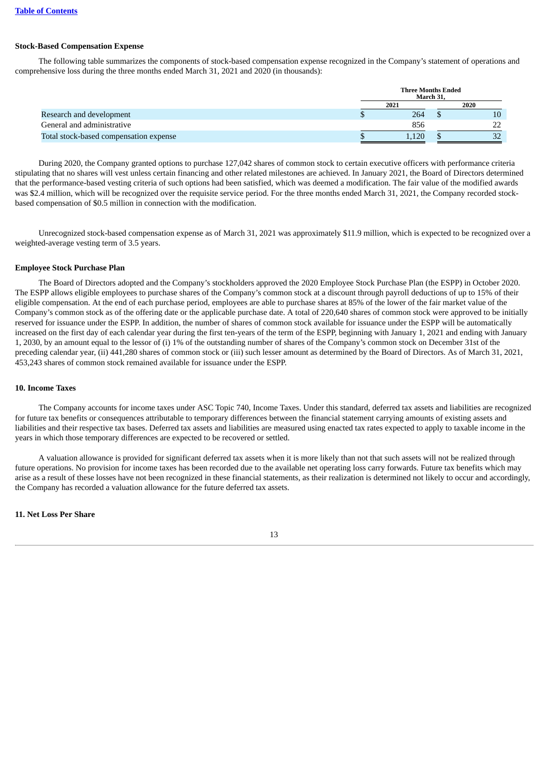#### **Stock-Based Compensation Expense**

The following table summarizes the components of stock-based compensation expense recognized in the Company's statement of operations and comprehensive loss during the three months ended March 31, 2021 and 2020 (in thousands):

|                                        | <b>Three Months Ended</b><br>March 31. |  |          |  |  |
|----------------------------------------|----------------------------------------|--|----------|--|--|
|                                        | 2021                                   |  | 2020     |  |  |
| Research and development               | 264                                    |  | 10       |  |  |
| General and administrative             | 856                                    |  | つつ       |  |  |
| Total stock-based compensation expense | 1.120                                  |  | วา<br>ےر |  |  |

During 2020, the Company granted options to purchase 127,042 shares of common stock to certain executive officers with performance criteria stipulating that no shares will vest unless certain financing and other related milestones are achieved. In January 2021, the Board of Directors determined that the performance-based vesting criteria of such options had been satisfied, which was deemed a modification. The fair value of the modified awards was \$2.4 million, which will be recognized over the requisite service period. For the three months ended March 31, 2021, the Company recorded stockbased compensation of \$0.5 million in connection with the modification.

Unrecognized stock-based compensation expense as of March 31, 2021 was approximately \$11.9 million, which is expected to be recognized over a weighted-average vesting term of 3.5 years.

#### **Employee Stock Purchase Plan**

The Board of Directors adopted and the Company's stockholders approved the 2020 Employee Stock Purchase Plan (the ESPP) in October 2020. The ESPP allows eligible employees to purchase shares of the Company's common stock at a discount through payroll deductions of up to 15% of their eligible compensation. At the end of each purchase period, employees are able to purchase shares at 85% of the lower of the fair market value of the Company's common stock as of the offering date or the applicable purchase date. A total of 220,640 shares of common stock were approved to be initially reserved for issuance under the ESPP. In addition, the number of shares of common stock available for issuance under the ESPP will be automatically increased on the first day of each calendar year during the first ten-years of the term of the ESPP, beginning with January 1, 2021 and ending with January 1, 2030, by an amount equal to the lessor of (i) 1% of the outstanding number of shares of the Company's common stock on December 31st of the preceding calendar year, (ii) 441,280 shares of common stock or (iii) such lesser amount as determined by the Board of Directors. As of March 31, 2021, 453,243 shares of common stock remained available for issuance under the ESPP.

#### **10. Income Taxes**

The Company accounts for income taxes under ASC Topic 740, Income Taxes. Under this standard, deferred tax assets and liabilities are recognized for future tax benefits or consequences attributable to temporary differences between the financial statement carrying amounts of existing assets and liabilities and their respective tax bases. Deferred tax assets and liabilities are measured using enacted tax rates expected to apply to taxable income in the years in which those temporary differences are expected to be recovered or settled.

A valuation allowance is provided for significant deferred tax assets when it is more likely than not that such assets will not be realized through future operations. No provision for income taxes has been recorded due to the available net operating loss carry forwards. Future tax benefits which may arise as a result of these losses have not been recognized in these financial statements, as their realization is determined not likely to occur and accordingly, the Company has recorded a valuation allowance for the future deferred tax assets.

#### **11. Net Loss Per Share**

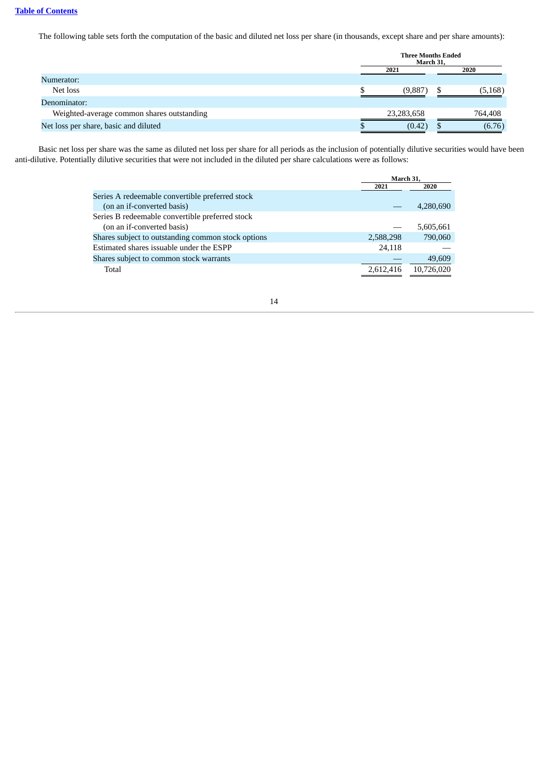The following table sets forth the computation of the basic and diluted net loss per share (in thousands, except share and per share amounts):

|                                            | <b>Three Months Ended</b><br>March 31. |  |          |  |
|--------------------------------------------|----------------------------------------|--|----------|--|
|                                            | 2021                                   |  |          |  |
| Numerator:                                 |                                        |  |          |  |
| Net loss                                   | (9,887                                 |  | (5, 168) |  |
| Denominator:                               |                                        |  |          |  |
| Weighted-average common shares outstanding | 23,283,658                             |  | 764,408  |  |
| Net loss per share, basic and diluted      | (0.42)                                 |  | (6.76)   |  |

Basic net loss per share was the same as diluted net loss per share for all periods as the inclusion of potentially dilutive securities would have been anti-dilutive. Potentially dilutive securities that were not included in the diluted per share calculations were as follows:

|                                                    | March 31.<br>2021<br>2020 |            |  |
|----------------------------------------------------|---------------------------|------------|--|
|                                                    |                           |            |  |
| Series A redeemable convertible preferred stock    |                           |            |  |
| (on an if-converted basis)                         |                           | 4,280,690  |  |
| Series B redeemable convertible preferred stock    |                           |            |  |
| (on an if-converted basis)                         |                           | 5,605,661  |  |
| Shares subject to outstanding common stock options | 2,588,298                 | 790,060    |  |
| Estimated shares issuable under the ESPP           | 24,118                    |            |  |
| Shares subject to common stock warrants            |                           | 49,609     |  |
| Total                                              | 2,612,416                 | 10,726,020 |  |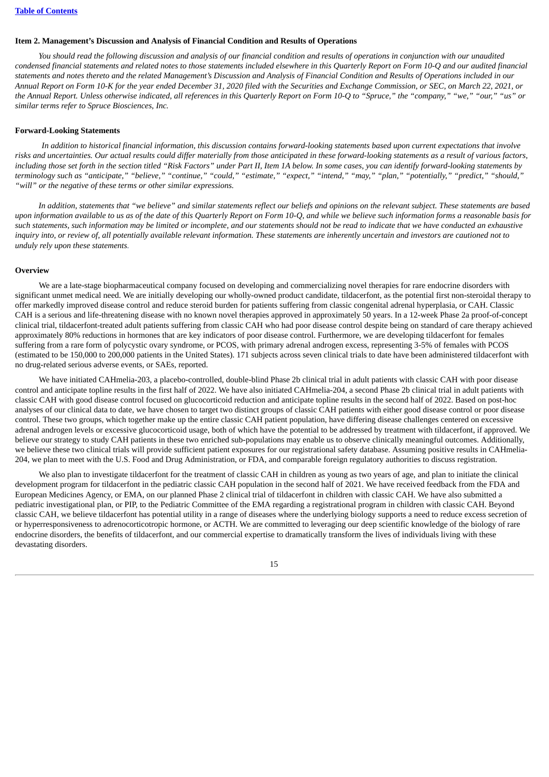#### <span id="page-17-0"></span>**Item 2. Management's Discussion and Analysis of Financial Condition and Results of Operations**

You should read the following discussion and analysis of our financial condition and results of operations in conjunction with our unaudited condensed financial statements and related notes to those statements included elsewhere in this Quarterly Report on Form 10-Q and our audited financial statements and notes thereto and the related Management's Discussion and Analysis of Financial Condition and Results of Operations included in our Annual Report on Form 10-K for the year ended December 31, 2020 filed with the Securities and Exchange Commission, or SEC, on March 22, 2021, or the Annual Report. Unless otherwise indicated, all references in this Quarterly Report on Form 10-Q to "Spruce," the "company," "we," "our," "us" or *similar terms refer to Spruce Biosciences, Inc.*

#### **Forward-Looking Statements**

In addition to historical financial information, this discussion contains forward-looking statements based upon current expectations that involve risks and uncertainties. Our actual results could differ materially from those anticipated in these forward-looking statements as a result of various factors, including those set forth in the section titled "Risk Factors" under Part II, Item 1A below. In some cases, you can identify forward-looking statements by terminology such as "anticipate," "believe," "continue," "could," "estimate," "expect," "intend," "may," "plan," "potentially," "predict," "should," *"will" or the negative of these terms or other similar expressions.*

In addition, statements that "we believe" and similar statements reflect our beliefs and opinions on the relevant subject. These statements are based upon information available to us as of the date of this Quarterly Report on Form 10-Q, and while we believe such information forms a reasonable basis for such statements, such information may be limited or incomplete, and our statements should not be read to indicate that we have conducted an exhaustive inquiry into, or review of, all potentially available relevant information. These statements are inherently uncertain and investors are cautioned not to *unduly rely upon these statements.*

#### **Overview**

We are a late-stage biopharmaceutical company focused on developing and commercializing novel therapies for rare endocrine disorders with significant unmet medical need. We are initially developing our wholly-owned product candidate, tildacerfont, as the potential first non-steroidal therapy to offer markedly improved disease control and reduce steroid burden for patients suffering from classic congenital adrenal hyperplasia, or CAH. Classic CAH is a serious and life-threatening disease with no known novel therapies approved in approximately 50 years. In a 12-week Phase 2a proof-of-concept clinical trial, tildacerfont-treated adult patients suffering from classic CAH who had poor disease control despite being on standard of care therapy achieved approximately 80% reductions in hormones that are key indicators of poor disease control. Furthermore, we are developing tildacerfont for females suffering from a rare form of polycystic ovary syndrome, or PCOS, with primary adrenal androgen excess, representing 3-5% of females with PCOS (estimated to be 150,000 to 200,000 patients in the United States). 171 subjects across seven clinical trials to date have been administered tildacerfont with no drug-related serious adverse events, or SAEs, reported.

We have initiated CAHmelia-203, a placebo-controlled, double-blind Phase 2b clinical trial in adult patients with classic CAH with poor disease control and anticipate topline results in the first half of 2022. We have also initiated CAHmelia-204, a second Phase 2b clinical trial in adult patients with classic CAH with good disease control focused on glucocorticoid reduction and anticipate topline results in the second half of 2022. Based on post-hoc analyses of our clinical data to date, we have chosen to target two distinct groups of classic CAH patients with either good disease control or poor disease control. These two groups, which together make up the entire classic CAH patient population, have differing disease challenges centered on excessive adrenal androgen levels or excessive glucocorticoid usage, both of which have the potential to be addressed by treatment with tildacerfont, if approved. We believe our strategy to study CAH patients in these two enriched sub-populations may enable us to observe clinically meaningful outcomes. Additionally, we believe these two clinical trials will provide sufficient patient exposures for our registrational safety database. Assuming positive results in CAHmelia-204, we plan to meet with the U.S. Food and Drug Administration, or FDA, and comparable foreign regulatory authorities to discuss registration.

We also plan to investigate tildacerfont for the treatment of classic CAH in children as young as two years of age, and plan to initiate the clinical development program for tildacerfont in the pediatric classic CAH population in the second half of 2021. We have received feedback from the FDA and European Medicines Agency, or EMA, on our planned Phase 2 clinical trial of tildacerfont in children with classic CAH. We have also submitted a pediatric investigational plan, or PIP, to the Pediatric Committee of the EMA regarding a registrational program in children with classic CAH. Beyond classic CAH, we believe tildacerfont has potential utility in a range of diseases where the underlying biology supports a need to reduce excess secretion of or hyperresponsiveness to adrenocorticotropic hormone, or ACTH. We are committed to leveraging our deep scientific knowledge of the biology of rare endocrine disorders, the benefits of tildacerfont, and our commercial expertise to dramatically transform the lives of individuals living with these devastating disorders.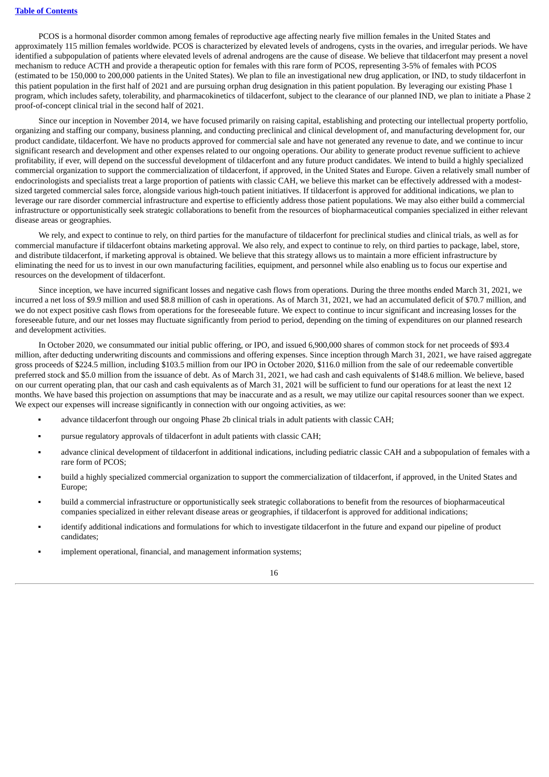PCOS is a hormonal disorder common among females of reproductive age affecting nearly five million females in the United States and approximately 115 million females worldwide. PCOS is characterized by elevated levels of androgens, cysts in the ovaries, and irregular periods. We have identified a subpopulation of patients where elevated levels of adrenal androgens are the cause of disease. We believe that tildacerfont may present a novel mechanism to reduce ACTH and provide a therapeutic option for females with this rare form of PCOS, representing 3-5% of females with PCOS (estimated to be 150,000 to 200,000 patients in the United States). We plan to file an investigational new drug application, or IND, to study tildacerfont in this patient population in the first half of 2021 and are pursuing orphan drug designation in this patient population. By leveraging our existing Phase 1 program, which includes safety, tolerability, and pharmacokinetics of tildacerfont, subject to the clearance of our planned IND, we plan to initiate a Phase 2 proof-of-concept clinical trial in the second half of 2021.

Since our inception in November 2014, we have focused primarily on raising capital, establishing and protecting our intellectual property portfolio, organizing and staffing our company, business planning, and conducting preclinical and clinical development of, and manufacturing development for, our product candidate, tildacerfont. We have no products approved for commercial sale and have not generated any revenue to date, and we continue to incur significant research and development and other expenses related to our ongoing operations. Our ability to generate product revenue sufficient to achieve profitability, if ever, will depend on the successful development of tildacerfont and any future product candidates. We intend to build a highly specialized commercial organization to support the commercialization of tildacerfont, if approved, in the United States and Europe. Given a relatively small number of endocrinologists and specialists treat a large proportion of patients with classic CAH, we believe this market can be effectively addressed with a modestsized targeted commercial sales force, alongside various high-touch patient initiatives. If tildacerfont is approved for additional indications, we plan to leverage our rare disorder commercial infrastructure and expertise to efficiently address those patient populations. We may also either build a commercial infrastructure or opportunistically seek strategic collaborations to benefit from the resources of biopharmaceutical companies specialized in either relevant disease areas or geographies.

We rely, and expect to continue to rely, on third parties for the manufacture of tildacerfont for preclinical studies and clinical trials, as well as for commercial manufacture if tildacerfont obtains marketing approval. We also rely, and expect to continue to rely, on third parties to package, label, store, and distribute tildacerfont, if marketing approval is obtained. We believe that this strategy allows us to maintain a more efficient infrastructure by eliminating the need for us to invest in our own manufacturing facilities, equipment, and personnel while also enabling us to focus our expertise and resources on the development of tildacerfont.

Since inception, we have incurred significant losses and negative cash flows from operations. During the three months ended March 31, 2021, we incurred a net loss of \$9.9 million and used \$8.8 million of cash in operations. As of March 31, 2021, we had an accumulated deficit of \$70.7 million, and we do not expect positive cash flows from operations for the foreseeable future. We expect to continue to incur significant and increasing losses for the foreseeable future, and our net losses may fluctuate significantly from period to period, depending on the timing of expenditures on our planned research and development activities.

In October 2020, we consummated our initial public offering, or IPO, and issued 6,900,000 shares of common stock for net proceeds of \$93.4 million, after deducting underwriting discounts and commissions and offering expenses. Since inception through March 31, 2021, we have raised aggregate gross proceeds of \$224.5 million, including \$103.5 million from our IPO in October 2020, \$116.0 million from the sale of our redeemable convertible preferred stock and \$5.0 million from the issuance of debt. As of March 31, 2021, we had cash and cash equivalents of \$148.6 million. We believe, based on our current operating plan, that our cash and cash equivalents as of March 31, 2021 will be sufficient to fund our operations for at least the next 12 months. We have based this projection on assumptions that may be inaccurate and as a result, we may utilize our capital resources sooner than we expect. We expect our expenses will increase significantly in connection with our ongoing activities, as we:

- advance tildacerfont through our ongoing Phase 2b clinical trials in adult patients with classic CAH;
- **•** pursue regulatory approvals of tildacerfont in adult patients with classic CAH;
- advance clinical development of tildacerfont in additional indications, including pediatric classic CAH and a subpopulation of females with a rare form of PCOS;
- build a highly specialized commercial organization to support the commercialization of tildacerfont, if approved, in the United States and Europe;
- build a commercial infrastructure or opportunistically seek strategic collaborations to benefit from the resources of biopharmaceutical companies specialized in either relevant disease areas or geographies, if tildacerfont is approved for additional indications;
- identify additional indications and formulations for which to investigate tildacerfont in the future and expand our pipeline of product candidates;
- implement operational, financial, and management information systems;

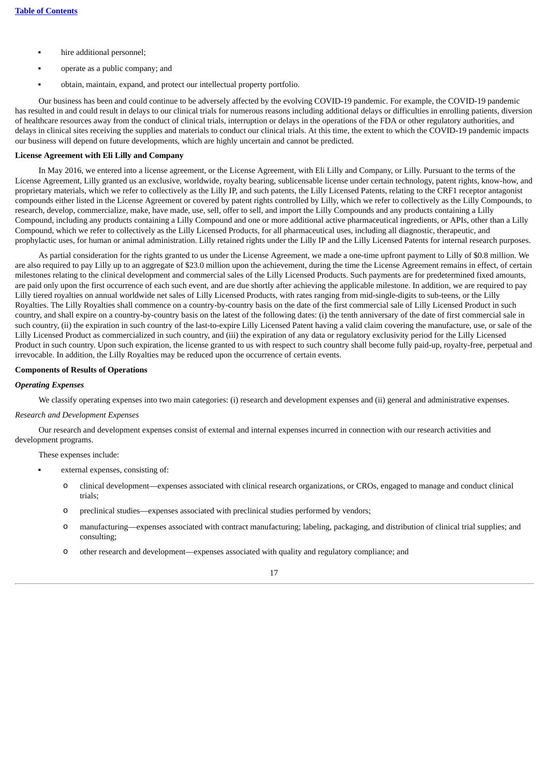- hire additional personnel;
- operate as a public company; and
- obtain, maintain, expand, and protect our intellectual property portfolio.

Our business has been and could continue to be adversely affected by the evolving COVID-19 pandemic. For example, the COVID-19 pandemic has resulted in and could result in delays to our clinical trials for numerous reasons including additional delays or difficulties in enrolling patients, diversion of healthcare resources away from the conduct of clinical trials, interruption or delays in the operations of the FDA or other regulatory authorities, and delays in clinical sites receiving the supplies and materials to conduct our clinical trials. At this time, the extent to which the COVID-19 pandemic impacts our business will depend on future developments, which are highly uncertain and cannot be predicted.

## **License Agreement with Eli Lilly and Company**

In May 2016, we entered into a license agreement, or the License Agreement, with Eli Lilly and Company, or Lilly. Pursuant to the terms of the License Agreement, Lilly granted us an exclusive, worldwide, royalty bearing, sublicensable license under certain technology, patent rights, know-how, and proprietary materials, which we refer to collectively as the Lilly IP, and such patents, the Lilly Licensed Patents, relating to the CRF1 receptor antagonist compounds either listed in the License Agreement or covered by patent rights controlled by Lilly, which we refer to collectively as the Lilly Compounds, to research, develop, commercialize, make, have made, use, sell, offer to sell, and import the Lilly Compounds and any products containing a Lilly Compound, including any products containing a Lilly Compound and one or more additional active pharmaceutical ingredients, or APIs, other than a Lilly Compound, which we refer to collectively as the Lilly Licensed Products, for all pharmaceutical uses, including all diagnostic, therapeutic, and prophylactic uses, for human or animal administration. Lilly retained rights under the Lilly IP and the Lilly Licensed Patents for internal research purposes.

As partial consideration for the rights granted to us under the License Agreement, we made a one-time upfront payment to Lilly of \$0.8 million. We are also required to pay Lilly up to an aggregate of \$23.0 million upon the achievement, during the time the License Agreement remains in effect, of certain milestones relating to the clinical development and commercial sales of the Lilly Licensed Products. Such payments are for predetermined fixed amounts, are paid only upon the first occurrence of each such event, and are due shortly after achieving the applicable milestone. In addition, we are required to pay Lilly tiered royalties on annual worldwide net sales of Lilly Licensed Products, with rates ranging from mid-single-digits to sub-teens, or the Lilly Royalties. The Lilly Royalties shall commence on a country-by-country basis on the date of the first commercial sale of Lilly Licensed Product in such country, and shall expire on a country-by-country basis on the latest of the following dates: (i) the tenth anniversary of the date of first commercial sale in such country, (ii) the expiration in such country of the last-to-expire Lilly Licensed Patent having a valid claim covering the manufacture, use, or sale of the Lilly Licensed Product as commercialized in such country, and (iii) the expiration of any data or regulatory exclusivity period for the Lilly Licensed Product in such country. Upon such expiration, the license granted to us with respect to such country shall become fully paid-up, royalty-free, perpetual and irrevocable. In addition, the Lilly Royalties may be reduced upon the occurrence of certain events.

## **Components of Results of Operations**

#### *Operating Expenses*

We classify operating expenses into two main categories: (i) research and development expenses and (ii) general and administrative expenses.

## *Research and Development Expenses*

Our research and development expenses consist of external and internal expenses incurred in connection with our research activities and development programs.

These expenses include:

- external expenses, consisting of:
	- o clinical development—expenses associated with clinical research organizations, or CROs, engaged to manage and conduct clinical trials;
	- o preclinical studies—expenses associated with preclinical studies performed by vendors;
	- o manufacturing—expenses associated with contract manufacturing; labeling, packaging, and distribution of clinical trial supplies; and consulting;
	- o other research and development—expenses associated with quality and regulatory compliance; and

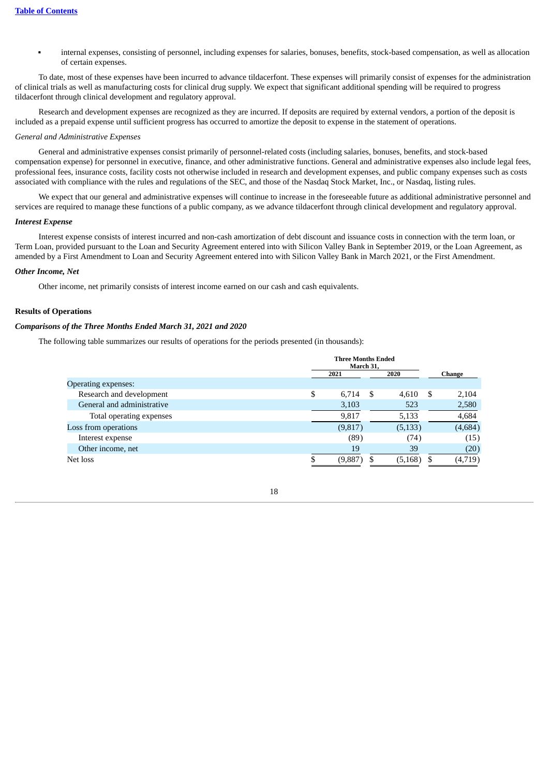▪ internal expenses, consisting of personnel, including expenses for salaries, bonuses, benefits, stock-based compensation, as well as allocation of certain expenses.

To date, most of these expenses have been incurred to advance tildacerfont. These expenses will primarily consist of expenses for the administration of clinical trials as well as manufacturing costs for clinical drug supply. We expect that significant additional spending will be required to progress tildacerfont through clinical development and regulatory approval.

Research and development expenses are recognized as they are incurred. If deposits are required by external vendors, a portion of the deposit is included as a prepaid expense until sufficient progress has occurred to amortize the deposit to expense in the statement of operations.

#### *General and Administrative Expenses*

General and administrative expenses consist primarily of personnel-related costs (including salaries, bonuses, benefits, and stock-based compensation expense) for personnel in executive, finance, and other administrative functions. General and administrative expenses also include legal fees, professional fees, insurance costs, facility costs not otherwise included in research and development expenses, and public company expenses such as costs associated with compliance with the rules and regulations of the SEC, and those of the Nasdaq Stock Market, Inc., or Nasdaq, listing rules.

We expect that our general and administrative expenses will continue to increase in the foreseeable future as additional administrative personnel and services are required to manage these functions of a public company, as we advance tildacerfont through clinical development and regulatory approval.

#### *Interest Expense*

Interest expense consists of interest incurred and non-cash amortization of debt discount and issuance costs in connection with the term loan, or Term Loan, provided pursuant to the Loan and Security Agreement entered into with Silicon Valley Bank in September 2019, or the Loan Agreement, as amended by a First Amendment to Loan and Security Agreement entered into with Silicon Valley Bank in March 2021, or the First Amendment.

#### *Other Income, Net*

Other income, net primarily consists of interest income earned on our cash and cash equivalents.

#### **Results of Operations**

## *Comparisons of the Three Months Ended March 31, 2021 and 2020*

The following table summarizes our results of operations for the periods presented (in thousands):

|                            | <b>Three Months Ended</b><br>March 31, |   |          |        |          |  |
|----------------------------|----------------------------------------|---|----------|--------|----------|--|
|                            | 2020<br>2021                           |   |          | Change |          |  |
| Operating expenses:        |                                        |   |          |        |          |  |
| Research and development   | \$<br>6,714                            | S | 4,610    | - \$   | 2,104    |  |
| General and administrative | 3,103                                  |   | 523      |        | 2,580    |  |
| Total operating expenses   | 9,817                                  |   | 5,133    |        | 4,684    |  |
| Loss from operations       | (9,817)                                |   | (5, 133) |        | (4, 684) |  |
| Interest expense           | (89)                                   |   | (74)     |        | (15)     |  |
| Other income, net          | 19                                     |   | 39       |        | (20)     |  |
| Net loss                   | (9,887)                                |   | (5, 168) |        | (4,719)  |  |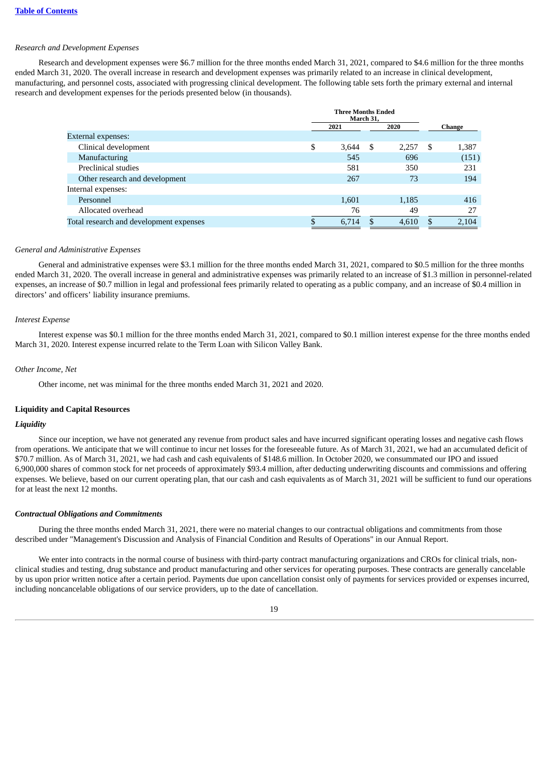#### *Research and Development Expenses*

Research and development expenses were \$6.7 million for the three months ended March 31, 2021, compared to \$4.6 million for the three months ended March 31, 2020. The overall increase in research and development expenses was primarily related to an increase in clinical development, manufacturing, and personnel costs, associated with progressing clinical development. The following table sets forth the primary external and internal research and development expenses for the periods presented below (in thousands).

|                                         | <b>Three Months Ended</b><br>March 31, |              |   |       |    |        |  |
|-----------------------------------------|----------------------------------------|--------------|---|-------|----|--------|--|
|                                         |                                        | 2020<br>2021 |   |       |    | Change |  |
| <b>External expenses:</b>               |                                        |              |   |       |    |        |  |
| Clinical development                    | \$                                     | 3,644        | S | 2,257 | -S | 1,387  |  |
| Manufacturing                           |                                        | 545          |   | 696   |    | (151)  |  |
| Preclinical studies                     |                                        | 581          |   | 350   |    | 231    |  |
| Other research and development          |                                        | 267          |   | 73    |    | 194    |  |
| Internal expenses:                      |                                        |              |   |       |    |        |  |
| Personnel                               |                                        | 1,601        |   | 1,185 |    | 416    |  |
| Allocated overhead                      |                                        | 76           |   | 49    |    | 27     |  |
| Total research and development expenses | D                                      | 6.714        |   | 4,610 |    | 2,104  |  |

#### *General and Administrative Expenses*

General and administrative expenses were \$3.1 million for the three months ended March 31, 2021, compared to \$0.5 million for the three months ended March 31, 2020. The overall increase in general and administrative expenses was primarily related to an increase of \$1.3 million in personnel-related expenses, an increase of \$0.7 million in legal and professional fees primarily related to operating as a public company, and an increase of \$0.4 million in directors' and officers' liability insurance premiums.

#### *Interest Expense*

Interest expense was \$0.1 million for the three months ended March 31, 2021, compared to \$0.1 million interest expense for the three months ended March 31, 2020. Interest expense incurred relate to the Term Loan with Silicon Valley Bank.

#### *Other Income, Net*

Other income, net was minimal for the three months ended March 31, 2021 and 2020.

#### **Liquidity and Capital Resources**

#### *Liquidity*

Since our inception, we have not generated any revenue from product sales and have incurred significant operating losses and negative cash flows from operations. We anticipate that we will continue to incur net losses for the foreseeable future. As of March 31, 2021, we had an accumulated deficit of \$70.7 million. As of March 31, 2021, we had cash and cash equivalents of \$148.6 million. In October 2020, we consummated our IPO and issued 6,900,000 shares of common stock for net proceeds of approximately \$93.4 million, after deducting underwriting discounts and commissions and offering expenses. We believe, based on our current operating plan, that our cash and cash equivalents as of March 31, 2021 will be sufficient to fund our operations for at least the next 12 months.

#### *Contractual Obligations and Commitments*

During the three months ended March 31, 2021, there were no material changes to our contractual obligations and commitments from those described under "Management's Discussion and Analysis of Financial Condition and Results of Operations" in our Annual Report.

We enter into contracts in the normal course of business with third-party contract manufacturing organizations and CROs for clinical trials, nonclinical studies and testing, drug substance and product manufacturing and other services for operating purposes. These contracts are generally cancelable by us upon prior written notice after a certain period. Payments due upon cancellation consist only of payments for services provided or expenses incurred, including noncancelable obligations of our service providers, up to the date of cancellation.

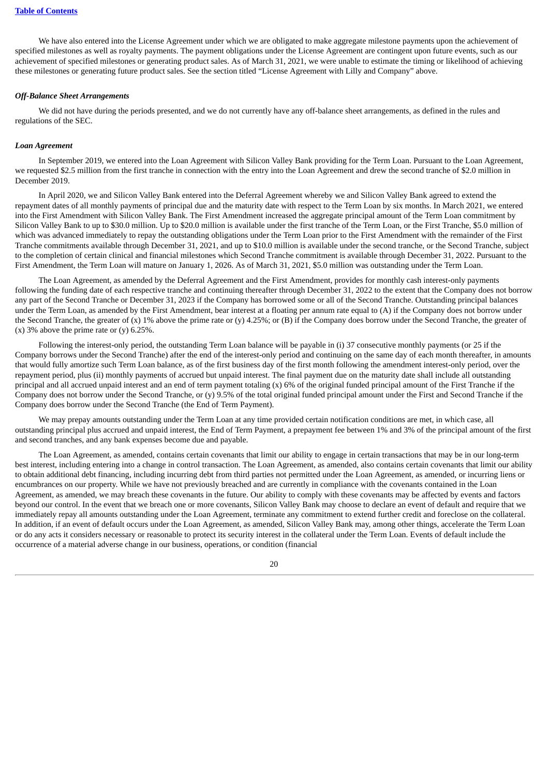We have also entered into the License Agreement under which we are obligated to make aggregate milestone payments upon the achievement of specified milestones as well as royalty payments. The payment obligations under the License Agreement are contingent upon future events, such as our achievement of specified milestones or generating product sales. As of March 31, 2021, we were unable to estimate the timing or likelihood of achieving these milestones or generating future product sales. See the section titled "License Agreement with Lilly and Company" above.

#### *Off-Balance Sheet Arrangements*

We did not have during the periods presented, and we do not currently have any off-balance sheet arrangements, as defined in the rules and regulations of the SEC.

#### *Loan Agreement*

In September 2019, we entered into the Loan Agreement with Silicon Valley Bank providing for the Term Loan. Pursuant to the Loan Agreement, we requested \$2.5 million from the first tranche in connection with the entry into the Loan Agreement and drew the second tranche of \$2.0 million in December 2019.

In April 2020, we and Silicon Valley Bank entered into the Deferral Agreement whereby we and Silicon Valley Bank agreed to extend the repayment dates of all monthly payments of principal due and the maturity date with respect to the Term Loan by six months. In March 2021, we entered into the First Amendment with Silicon Valley Bank. The First Amendment increased the aggregate principal amount of the Term Loan commitment by Silicon Valley Bank to up to \$30.0 million. Up to \$20.0 million is available under the first tranche of the Term Loan, or the First Tranche, \$5.0 million of which was advanced immediately to repay the outstanding obligations under the Term Loan prior to the First Amendment with the remainder of the First Tranche commitments available through December 31, 2021, and up to \$10.0 million is available under the second tranche, or the Second Tranche, subject to the completion of certain clinical and financial milestones which Second Tranche commitment is available through December 31, 2022. Pursuant to the First Amendment, the Term Loan will mature on January 1, 2026. As of March 31, 2021, \$5.0 million was outstanding under the Term Loan.

The Loan Agreement, as amended by the Deferral Agreement and the First Amendment, provides for monthly cash interest-only payments following the funding date of each respective tranche and continuing thereafter through December 31, 2022 to the extent that the Company does not borrow any part of the Second Tranche or December 31, 2023 if the Company has borrowed some or all of the Second Tranche. Outstanding principal balances under the Term Loan, as amended by the First Amendment, bear interest at a floating per annum rate equal to (A) if the Company does not borrow under the Second Tranche, the greater of (x) 1% above the prime rate or (y) 4.25%; or (B) if the Company does borrow under the Second Tranche, the greater of (x)  $3\%$  above the prime rate or (y) 6.25%.

Following the interest-only period, the outstanding Term Loan balance will be payable in (i) 37 consecutive monthly payments (or 25 if the Company borrows under the Second Tranche) after the end of the interest-only period and continuing on the same day of each month thereafter, in amounts that would fully amortize such Term Loan balance, as of the first business day of the first month following the amendment interest-only period, over the repayment period, plus (ii) monthly payments of accrued but unpaid interest. The final payment due on the maturity date shall include all outstanding principal and all accrued unpaid interest and an end of term payment totaling (x) 6% of the original funded principal amount of the First Tranche if the Company does not borrow under the Second Tranche, or (y) 9.5% of the total original funded principal amount under the First and Second Tranche if the Company does borrow under the Second Tranche (the End of Term Payment).

We may prepay amounts outstanding under the Term Loan at any time provided certain notification conditions are met, in which case, all outstanding principal plus accrued and unpaid interest, the End of Term Payment, a prepayment fee between 1% and 3% of the principal amount of the first and second tranches, and any bank expenses become due and payable.

The Loan Agreement, as amended, contains certain covenants that limit our ability to engage in certain transactions that may be in our long-term best interest, including entering into a change in control transaction. The Loan Agreement, as amended, also contains certain covenants that limit our ability to obtain additional debt financing, including incurring debt from third parties not permitted under the Loan Agreement, as amended, or incurring liens or encumbrances on our property. While we have not previously breached and are currently in compliance with the covenants contained in the Loan Agreement, as amended, we may breach these covenants in the future. Our ability to comply with these covenants may be affected by events and factors beyond our control. In the event that we breach one or more covenants, Silicon Valley Bank may choose to declare an event of default and require that we immediately repay all amounts outstanding under the Loan Agreement, terminate any commitment to extend further credit and foreclose on the collateral. In addition, if an event of default occurs under the Loan Agreement, as amended, Silicon Valley Bank may, among other things, accelerate the Term Loan or do any acts it considers necessary or reasonable to protect its security interest in the collateral under the Term Loan. Events of default include the occurrence of a material adverse change in our business, operations, or condition (financial

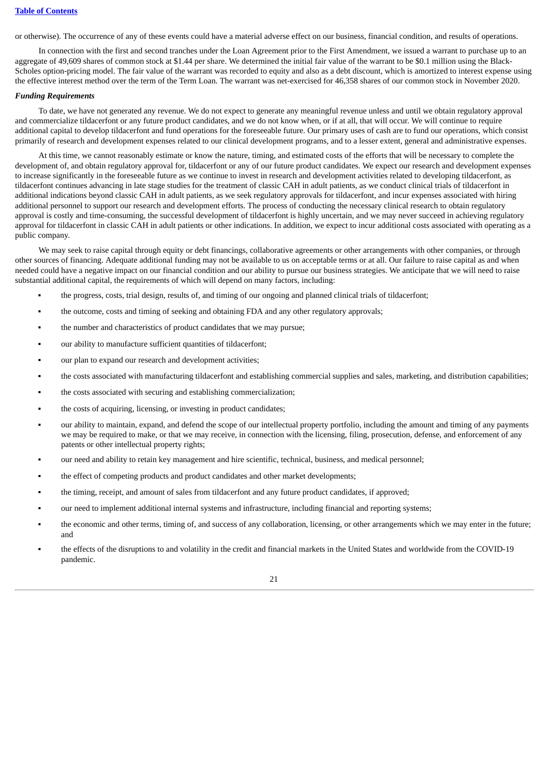or otherwise). The occurrence of any of these events could have a material adverse effect on our business, financial condition, and results of operations.

In connection with the first and second tranches under the Loan Agreement prior to the First Amendment, we issued a warrant to purchase up to an aggregate of 49,609 shares of common stock at \$1.44 per share. We determined the initial fair value of the warrant to be \$0.1 million using the Black-Scholes option-pricing model. The fair value of the warrant was recorded to equity and also as a debt discount, which is amortized to interest expense using the effective interest method over the term of the Term Loan. The warrant was net-exercised for 46,358 shares of our common stock in November 2020.

#### *Funding Requirements*

To date, we have not generated any revenue. We do not expect to generate any meaningful revenue unless and until we obtain regulatory approval and commercialize tildacerfont or any future product candidates, and we do not know when, or if at all, that will occur. We will continue to require additional capital to develop tildacerfont and fund operations for the foreseeable future. Our primary uses of cash are to fund our operations, which consist primarily of research and development expenses related to our clinical development programs, and to a lesser extent, general and administrative expenses.

At this time, we cannot reasonably estimate or know the nature, timing, and estimated costs of the efforts that will be necessary to complete the development of, and obtain regulatory approval for, tildacerfont or any of our future product candidates. We expect our research and development expenses to increase significantly in the foreseeable future as we continue to invest in research and development activities related to developing tildacerfont, as tildacerfont continues advancing in late stage studies for the treatment of classic CAH in adult patients, as we conduct clinical trials of tildacerfont in additional indications beyond classic CAH in adult patients, as we seek regulatory approvals for tildacerfont, and incur expenses associated with hiring additional personnel to support our research and development efforts. The process of conducting the necessary clinical research to obtain regulatory approval is costly and time-consuming, the successful development of tildacerfont is highly uncertain, and we may never succeed in achieving regulatory approval for tildacerfont in classic CAH in adult patients or other indications. In addition, we expect to incur additional costs associated with operating as a public company.

We may seek to raise capital through equity or debt financings, collaborative agreements or other arrangements with other companies, or through other sources of financing. Adequate additional funding may not be available to us on acceptable terms or at all. Our failure to raise capital as and when needed could have a negative impact on our financial condition and our ability to pursue our business strategies. We anticipate that we will need to raise substantial additional capital, the requirements of which will depend on many factors, including:

- the progress, costs, trial design, results of, and timing of our ongoing and planned clinical trials of tildacerfont;
- the outcome, costs and timing of seeking and obtaining FDA and any other regulatory approvals;
- **•** the number and characteristics of product candidates that we may pursue;
- our ability to manufacture sufficient quantities of tildacerfont;
- our plan to expand our research and development activities:
- the costs associated with manufacturing tildacerfont and establishing commercial supplies and sales, marketing, and distribution capabilities;
- the costs associated with securing and establishing commercialization;
- the costs of acquiring, licensing, or investing in product candidates;
- our ability to maintain, expand, and defend the scope of our intellectual property portfolio, including the amount and timing of any payments we may be required to make, or that we may receive, in connection with the licensing, filing, prosecution, defense, and enforcement of any patents or other intellectual property rights;
- our need and ability to retain key management and hire scientific, technical, business, and medical personnel;
- the effect of competing products and product candidates and other market developments;
- the timing, receipt, and amount of sales from tildacerfont and any future product candidates, if approved;
- our need to implement additional internal systems and infrastructure, including financial and reporting systems;
- the economic and other terms, timing of, and success of any collaboration, licensing, or other arrangements which we may enter in the future; and
- the effects of the disruptions to and volatility in the credit and financial markets in the United States and worldwide from the COVID-19 pandemic.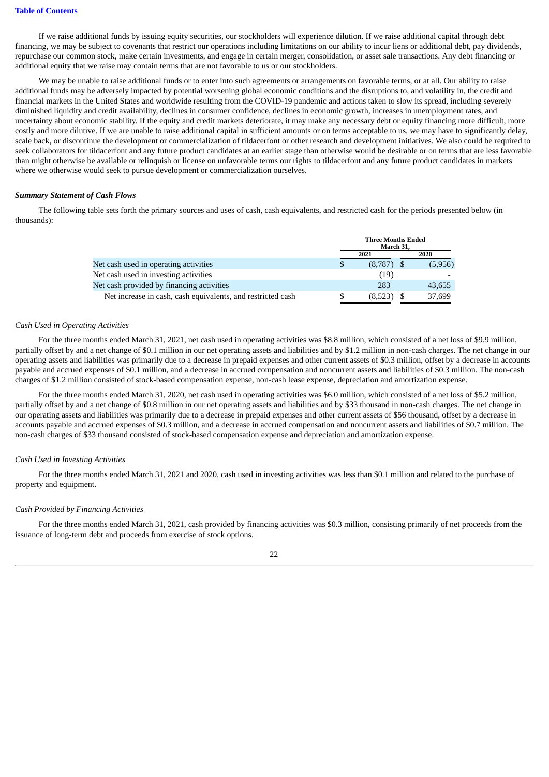If we raise additional funds by issuing equity securities, our stockholders will experience dilution. If we raise additional capital through debt financing, we may be subject to covenants that restrict our operations including limitations on our ability to incur liens or additional debt, pay dividends, repurchase our common stock, make certain investments, and engage in certain merger, consolidation, or asset sale transactions. Any debt financing or additional equity that we raise may contain terms that are not favorable to us or our stockholders.

We may be unable to raise additional funds or to enter into such agreements or arrangements on favorable terms, or at all. Our ability to raise additional funds may be adversely impacted by potential worsening global economic conditions and the disruptions to, and volatility in, the credit and financial markets in the United States and worldwide resulting from the COVID-19 pandemic and actions taken to slow its spread, including severely diminished liquidity and credit availability, declines in consumer confidence, declines in economic growth, increases in unemployment rates, and uncertainty about economic stability. If the equity and credit markets deteriorate, it may make any necessary debt or equity financing more difficult, more costly and more dilutive. If we are unable to raise additional capital in sufficient amounts or on terms acceptable to us, we may have to significantly delay, scale back, or discontinue the development or commercialization of tildacerfont or other research and development initiatives. We also could be required to seek collaborators for tildacerfont and any future product candidates at an earlier stage than otherwise would be desirable or on terms that are less favorable than might otherwise be available or relinquish or license on unfavorable terms our rights to tildacerfont and any future product candidates in markets where we otherwise would seek to pursue development or commercialization ourselves.

## *Summary Statement of Cash Flows*

The following table sets forth the primary sources and uses of cash, cash equivalents, and restricted cash for the periods presented below (in thousands):

|                                                             | <b>Three Months Ended</b><br>March 31, |      |         |  |  |
|-------------------------------------------------------------|----------------------------------------|------|---------|--|--|
|                                                             | 2021                                   | 2020 |         |  |  |
| Net cash used in operating activities                       | $(8,787)$ \$                           |      | (5,956) |  |  |
| Net cash used in investing activities                       | (19)                                   |      |         |  |  |
| Net cash provided by financing activities                   | 283                                    |      | 43,655  |  |  |
| Net increase in cash, cash equivalents, and restricted cash | (8,523)                                |      | 37,699  |  |  |

#### *Cash Used in Operating Activities*

For the three months ended March 31, 2021, net cash used in operating activities was \$8.8 million, which consisted of a net loss of \$9.9 million, partially offset by and a net change of \$0.1 million in our net operating assets and liabilities and by \$1.2 million in non-cash charges. The net change in our operating assets and liabilities was primarily due to a decrease in prepaid expenses and other current assets of \$0.3 million, offset by a decrease in accounts payable and accrued expenses of \$0.1 million, and a decrease in accrued compensation and noncurrent assets and liabilities of \$0.3 million. The non-cash charges of \$1.2 million consisted of stock-based compensation expense, non-cash lease expense, depreciation and amortization expense.

For the three months ended March 31, 2020, net cash used in operating activities was \$6.0 million, which consisted of a net loss of \$5.2 million, partially offset by and a net change of \$0.8 million in our net operating assets and liabilities and by \$33 thousand in non-cash charges. The net change in our operating assets and liabilities was primarily due to a decrease in prepaid expenses and other current assets of \$56 thousand, offset by a decrease in accounts payable and accrued expenses of \$0.3 million, and a decrease in accrued compensation and noncurrent assets and liabilities of \$0.7 million. The non-cash charges of \$33 thousand consisted of stock-based compensation expense and depreciation and amortization expense.

#### *Cash Used in Investing Activities*

For the three months ended March 31, 2021 and 2020, cash used in investing activities was less than \$0.1 million and related to the purchase of property and equipment.

#### *Cash Provided by Financing Activities*

For the three months ended March 31, 2021, cash provided by financing activities was \$0.3 million, consisting primarily of net proceeds from the issuance of long-term debt and proceeds from exercise of stock options.

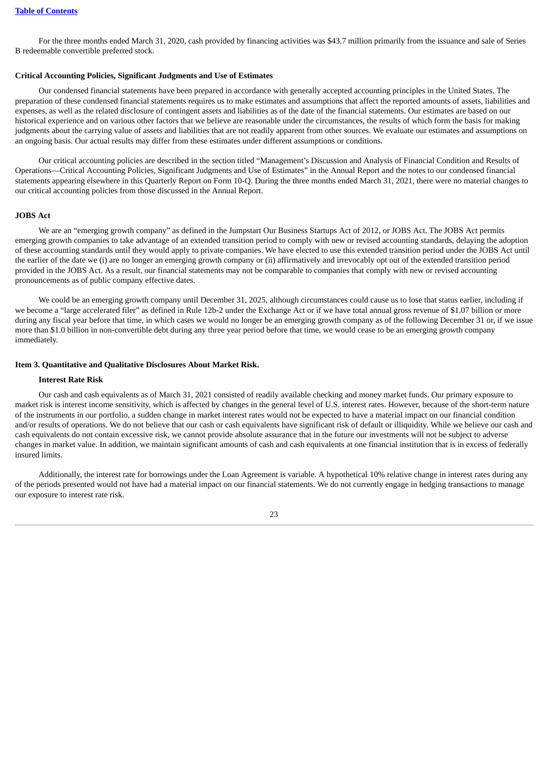For the three months ended March 31, 2020, cash provided by financing activities was \$43.7 million primarily from the issuance and sale of Series B redeemable convertible preferred stock.

#### **Critical Accounting Policies, Significant Judgments and Use of Estimates**

Our condensed financial statements have been prepared in accordance with generally accepted accounting principles in the United States. The preparation of these condensed financial statements requires us to make estimates and assumptions that affect the reported amounts of assets, liabilities and expenses, as well as the related disclosure of contingent assets and liabilities as of the date of the financial statements. Our estimates are based on our historical experience and on various other factors that we believe are reasonable under the circumstances, the results of which form the basis for making judgments about the carrying value of assets and liabilities that are not readily apparent from other sources. We evaluate our estimates and assumptions on an ongoing basis. Our actual results may differ from these estimates under different assumptions or conditions.

Our critical accounting policies are described in the section titled "Management's Discussion and Analysis of Financial Condition and Results of Operations—Critical Accounting Policies, Significant Judgments and Use of Estimates" in the Annual Report and the notes to our condensed financial statements appearing elsewhere in this Quarterly Report on Form 10-Q. During the three months ended March 31, 2021, there were no material changes to our critical accounting policies from those discussed in the Annual Report.

#### **JOBS Act**

We are an "emerging growth company" as defined in the Jumpstart Our Business Startups Act of 2012, or JOBS Act. The JOBS Act permits emerging growth companies to take advantage of an extended transition period to comply with new or revised accounting standards, delaying the adoption of these accounting standards until they would apply to private companies. We have elected to use this extended transition period under the JOBS Act until the earlier of the date we (i) are no longer an emerging growth company or (ii) affirmatively and irrevocably opt out of the extended transition period provided in the JOBS Act. As a result, our financial statements may not be comparable to companies that comply with new or revised accounting pronouncements as of public company effective dates.

We could be an emerging growth company until December 31, 2025, although circumstances could cause us to lose that status earlier, including if we become a "large accelerated filer" as defined in Rule 12b-2 under the Exchange Act or if we have total annual gross revenue of \$1.07 billion or more during any fiscal year before that time, in which cases we would no longer be an emerging growth company as of the following December 31 or, if we issue more than \$1.0 billion in non-convertible debt during any three year period before that time, we would cease to be an emerging growth company immediately.

#### <span id="page-25-0"></span>**Item 3. Quantitative and Qualitative Disclosures About Market Risk.**

#### **Interest Rate Risk**

Our cash and cash equivalents as of March 31, 2021 consisted of readily available checking and money market funds. Our primary exposure to market risk is interest income sensitivity, which is affected by changes in the general level of U.S. interest rates. However, because of the short-term nature of the instruments in our portfolio, a sudden change in market interest rates would not be expected to have a material impact on our financial condition and/or results of operations. We do not believe that our cash or cash equivalents have significant risk of default or illiquidity. While we believe our cash and cash equivalents do not contain excessive risk, we cannot provide absolute assurance that in the future our investments will not be subject to adverse changes in market value. In addition, we maintain significant amounts of cash and cash equivalents at one financial institution that is in excess of federally insured limits.

Additionally, the interest rate for borrowings under the Loan Agreement is variable. A hypothetical 10% relative change in interest rates during any of the periods presented would not have had a material impact on our financial statements. We do not currently engage in hedging transactions to manage our exposure to interest rate risk.

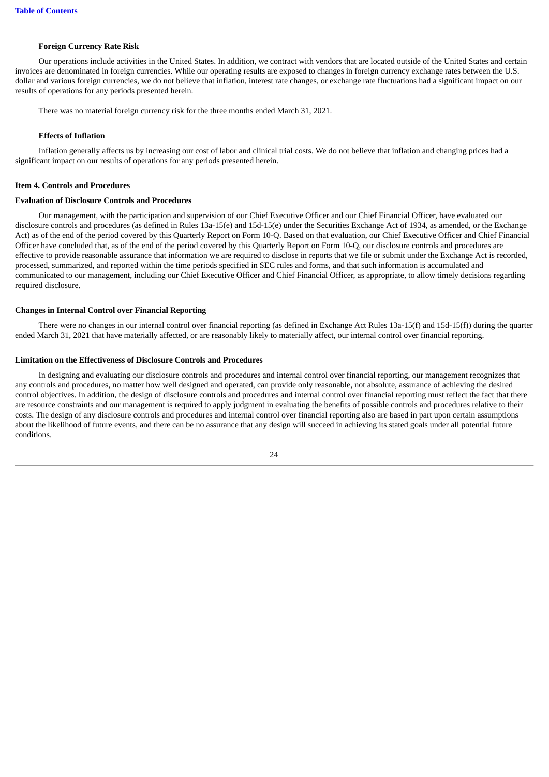#### **Foreign Currency Rate Risk**

Our operations include activities in the United States. In addition, we contract with vendors that are located outside of the United States and certain invoices are denominated in foreign currencies. While our operating results are exposed to changes in foreign currency exchange rates between the U.S. dollar and various foreign currencies, we do not believe that inflation, interest rate changes, or exchange rate fluctuations had a significant impact on our results of operations for any periods presented herein.

There was no material foreign currency risk for the three months ended March 31, 2021.

## **Effects of Inflation**

Inflation generally affects us by increasing our cost of labor and clinical trial costs. We do not believe that inflation and changing prices had a significant impact on our results of operations for any periods presented herein.

#### <span id="page-26-0"></span>**Item 4. Controls and Procedures**

#### **Evaluation of Disclosure Controls and Procedures**

Our management, with the participation and supervision of our Chief Executive Officer and our Chief Financial Officer, have evaluated our disclosure controls and procedures (as defined in Rules 13a-15(e) and 15d-15(e) under the Securities Exchange Act of 1934, as amended, or the Exchange Act) as of the end of the period covered by this Quarterly Report on Form 10-Q. Based on that evaluation, our Chief Executive Officer and Chief Financial Officer have concluded that, as of the end of the period covered by this Quarterly Report on Form 10-Q, our disclosure controls and procedures are effective to provide reasonable assurance that information we are required to disclose in reports that we file or submit under the Exchange Act is recorded, processed, summarized, and reported within the time periods specified in SEC rules and forms, and that such information is accumulated and communicated to our management, including our Chief Executive Officer and Chief Financial Officer, as appropriate, to allow timely decisions regarding required disclosure.

#### **Changes in Internal Control over Financial Reporting**

There were no changes in our internal control over financial reporting (as defined in Exchange Act Rules 13a-15(f) and 15d-15(f)) during the quarter ended March 31, 2021 that have materially affected, or are reasonably likely to materially affect, our internal control over financial reporting.

#### **Limitation on the Effectiveness of Disclosure Controls and Procedures**

In designing and evaluating our disclosure controls and procedures and internal control over financial reporting, our management recognizes that any controls and procedures, no matter how well designed and operated, can provide only reasonable, not absolute, assurance of achieving the desired control objectives. In addition, the design of disclosure controls and procedures and internal control over financial reporting must reflect the fact that there are resource constraints and our management is required to apply judgment in evaluating the benefits of possible controls and procedures relative to their costs. The design of any disclosure controls and procedures and internal control over financial reporting also are based in part upon certain assumptions about the likelihood of future events, and there can be no assurance that any design will succeed in achieving its stated goals under all potential future conditions.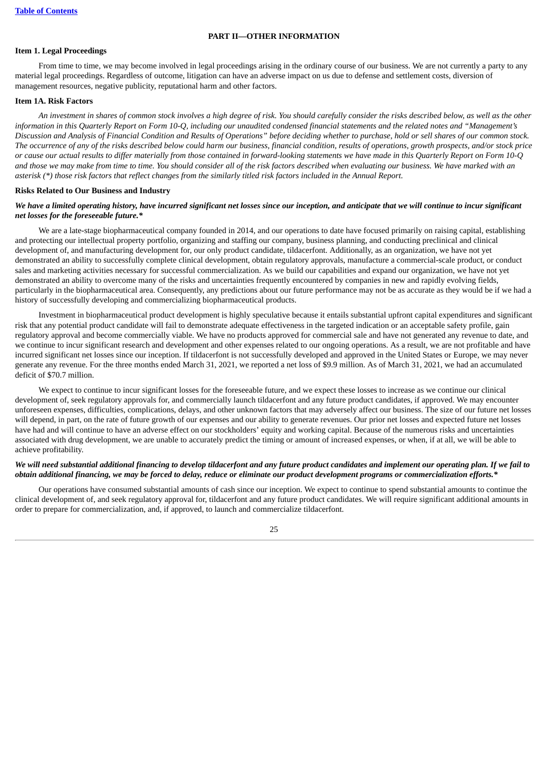#### **PART II—OTHER INFORMATION**

#### <span id="page-27-1"></span><span id="page-27-0"></span>**Item 1. Legal Proceedings**

From time to time, we may become involved in legal proceedings arising in the ordinary course of our business. We are not currently a party to any material legal proceedings. Regardless of outcome, litigation can have an adverse impact on us due to defense and settlement costs, diversion of management resources, negative publicity, reputational harm and other factors.

#### <span id="page-27-2"></span>**Item 1A. Risk Factors**

An investment in shares of common stock involves a high degree of risk. You should carefully consider the risks described below, as well as the other information in this Quarterly Report on Form 10-Q, including our unaudited condensed financial statements and the related notes and "Management's Discussion and Analysis of Financial Condition and Results of Operations" before deciding whether to purchase, hold or sell shares of our common stock. The occurrence of any of the risks described below could harm our business, financial condition, results of operations, growth prospects, and/or stock price or cause our actual results to differ materially from those contained in forward-looking statements we have made in this Quarterly Report on Form 10-Q and those we may make from time to time. You should consider all of the risk factors described when evaluating our business. We have marked with an asterisk (\*) those risk factors that reflect changes from the similarly titled risk factors included in the Annual Report.

#### **Risks Related to Our Business and Industry**

## We have a limited operating history, have incurred significant net losses since our inception, and anticipate that we will continue to incur significant *net losses for the foreseeable future.\**

We are a late-stage biopharmaceutical company founded in 2014, and our operations to date have focused primarily on raising capital, establishing and protecting our intellectual property portfolio, organizing and staffing our company, business planning, and conducting preclinical and clinical development of, and manufacturing development for, our only product candidate, tildacerfont. Additionally, as an organization, we have not yet demonstrated an ability to successfully complete clinical development, obtain regulatory approvals, manufacture a commercial-scale product, or conduct sales and marketing activities necessary for successful commercialization. As we build our capabilities and expand our organization, we have not yet demonstrated an ability to overcome many of the risks and uncertainties frequently encountered by companies in new and rapidly evolving fields, particularly in the biopharmaceutical area. Consequently, any predictions about our future performance may not be as accurate as they would be if we had a history of successfully developing and commercializing biopharmaceutical products.

Investment in biopharmaceutical product development is highly speculative because it entails substantial upfront capital expenditures and significant risk that any potential product candidate will fail to demonstrate adequate effectiveness in the targeted indication or an acceptable safety profile, gain regulatory approval and become commercially viable. We have no products approved for commercial sale and have not generated any revenue to date, and we continue to incur significant research and development and other expenses related to our ongoing operations. As a result, we are not profitable and have incurred significant net losses since our inception. If tildacerfont is not successfully developed and approved in the United States or Europe, we may never generate any revenue. For the three months ended March 31, 2021, we reported a net loss of \$9.9 million. As of March 31, 2021, we had an accumulated deficit of \$70.7 million.

We expect to continue to incur significant losses for the foreseeable future, and we expect these losses to increase as we continue our clinical development of, seek regulatory approvals for, and commercially launch tildacerfont and any future product candidates, if approved. We may encounter unforeseen expenses, difficulties, complications, delays, and other unknown factors that may adversely affect our business. The size of our future net losses will depend, in part, on the rate of future growth of our expenses and our ability to generate revenues. Our prior net losses and expected future net losses have had and will continue to have an adverse effect on our stockholders' equity and working capital. Because of the numerous risks and uncertainties associated with drug development, we are unable to accurately predict the timing or amount of increased expenses, or when, if at all, we will be able to achieve profitability.

## We will need substantial additional financing to develop tildacerfont and any future product candidates and implement our operating plan. If we fail to obtain additional financing, we may be forced to delay, reduce or eliminate our product development programs or commercialization efforts.\*

Our operations have consumed substantial amounts of cash since our inception. We expect to continue to spend substantial amounts to continue the clinical development of, and seek regulatory approval for, tildacerfont and any future product candidates. We will require significant additional amounts in order to prepare for commercialization, and, if approved, to launch and commercialize tildacerfont.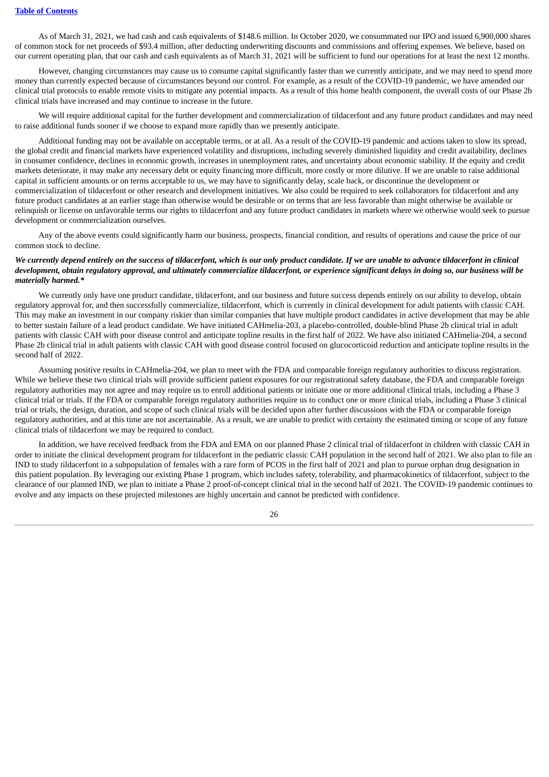As of March 31, 2021, we had cash and cash equivalents of \$148.6 million. In October 2020, we consummated our IPO and issued 6,900,000 shares of common stock for net proceeds of \$93.4 million, after deducting underwriting discounts and commissions and offering expenses. We believe, based on our current operating plan, that our cash and cash equivalents as of March 31, 2021 will be sufficient to fund our operations for at least the next 12 months.

However, changing circumstances may cause us to consume capital significantly faster than we currently anticipate, and we may need to spend more money than currently expected because of circumstances beyond our control. For example, as a result of the COVID-19 pandemic, we have amended our clinical trial protocols to enable remote visits to mitigate any potential impacts. As a result of this home health component, the overall costs of our Phase 2b clinical trials have increased and may continue to increase in the future.

We will require additional capital for the further development and commercialization of tildacerfont and any future product candidates and may need to raise additional funds sooner if we choose to expand more rapidly than we presently anticipate.

Additional funding may not be available on acceptable terms, or at all. As a result of the COVID-19 pandemic and actions taken to slow its spread, the global credit and financial markets have experienced volatility and disruptions, including severely diminished liquidity and credit availability, declines in consumer confidence, declines in economic growth, increases in unemployment rates, and uncertainty about economic stability. If the equity and credit markets deteriorate, it may make any necessary debt or equity financing more difficult, more costly or more dilutive. If we are unable to raise additional capital in sufficient amounts or on terms acceptable to us, we may have to significantly delay, scale back, or discontinue the development or commercialization of tildacerfont or other research and development initiatives. We also could be required to seek collaborators for tildacerfont and any future product candidates at an earlier stage than otherwise would be desirable or on terms that are less favorable than might otherwise be available or relinquish or license on unfavorable terms our rights to tildacerfont and any future product candidates in markets where we otherwise would seek to pursue development or commercialization ourselves.

Any of the above events could significantly harm our business, prospects, financial condition, and results of operations and cause the price of our common stock to decline.

## We currently depend entirely on the success of tildacerfont, which is our only product candidate. If we are unable to advance tildacerfont in clinical development, obtain regulatory approval, and ultimately commercialize tildacerfont, or experience significant delays in doing so, our business will be *materially harmed.\**

We currently only have one product candidate, tildacerfont, and our business and future success depends entirely on our ability to develop, obtain regulatory approval for, and then successfully commercialize, tildacerfont, which is currently in clinical development for adult patients with classic CAH. This may make an investment in our company riskier than similar companies that have multiple product candidates in active development that may be able to better sustain failure of a lead product candidate. We have initiated CAHmelia-203, a placebo-controlled, double-blind Phase 2b clinical trial in adult patients with classic CAH with poor disease control and anticipate topline results in the first half of 2022. We have also initiated CAHmelia-204, a second Phase 2b clinical trial in adult patients with classic CAH with good disease control focused on glucocorticoid reduction and anticipate topline results in the second half of 2022.

Assuming positive results in CAHmelia-204, we plan to meet with the FDA and comparable foreign regulatory authorities to discuss registration. While we believe these two clinical trials will provide sufficient patient exposures for our registrational safety database, the FDA and comparable foreign regulatory authorities may not agree and may require us to enroll additional patients or initiate one or more additional clinical trials, including a Phase 3 clinical trial or trials. If the FDA or comparable foreign regulatory authorities require us to conduct one or more clinical trials, including a Phase 3 clinical trial or trials, the design, duration, and scope of such clinical trials will be decided upon after further discussions with the FDA or comparable foreign regulatory authorities, and at this time are not ascertainable. As a result, we are unable to predict with certainty the estimated timing or scope of any future clinical trials of tildacerfont we may be required to conduct.

In addition, we have received feedback from the FDA and EMA on our planned Phase 2 clinical trial of tildacerfont in children with classic CAH in order to initiate the clinical development program for tildacerfont in the pediatric classic CAH population in the second half of 2021. We also plan to file an IND to study tildacerfont in a subpopulation of females with a rare form of PCOS in the first half of 2021 and plan to pursue orphan drug designation in this patient population. By leveraging our existing Phase 1 program, which includes safety, tolerability, and pharmacokinetics of tildacerfont, subject to the clearance of our planned IND, we plan to initiate a Phase 2 proof-of-concept clinical trial in the second half of 2021. The COVID-19 pandemic continues to evolve and any impacts on these projected milestones are highly uncertain and cannot be predicted with confidence.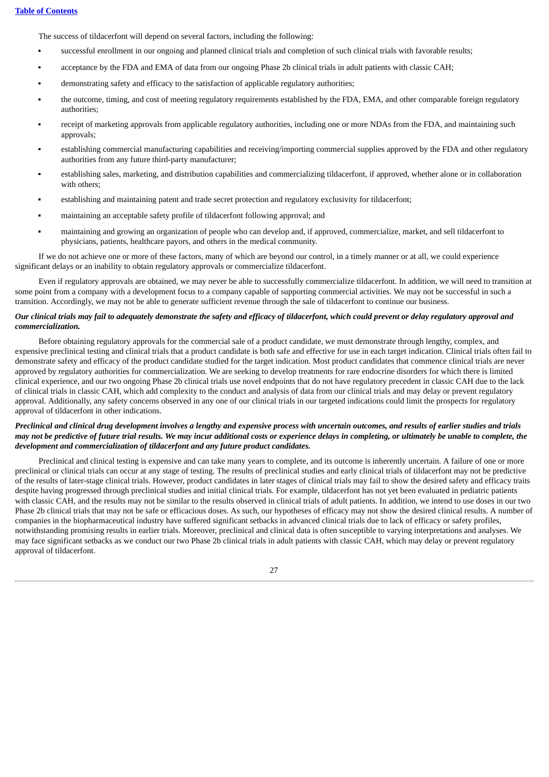The success of tildacerfont will depend on several factors, including the following:

- successful enrollment in our ongoing and planned clinical trials and completion of such clinical trials with favorable results;
- acceptance by the FDA and EMA of data from our ongoing Phase 2b clinical trials in adult patients with classic CAH;
- demonstrating safety and efficacy to the satisfaction of applicable regulatory authorities;
- the outcome, timing, and cost of meeting regulatory requirements established by the FDA, EMA, and other comparable foreign regulatory authorities;
- receipt of marketing approvals from applicable regulatory authorities, including one or more NDAs from the FDA, and maintaining such approvals;
- establishing commercial manufacturing capabilities and receiving/importing commercial supplies approved by the FDA and other regulatory authorities from any future third-party manufacturer;
- establishing sales, marketing, and distribution capabilities and commercializing tildacerfont, if approved, whether alone or in collaboration with others;
- establishing and maintaining patent and trade secret protection and regulatory exclusivity for tildacerfont;
- maintaining an acceptable safety profile of tildacerfont following approval; and
- maintaining and growing an organization of people who can develop and, if approved, commercialize, market, and sell tildacerfont to physicians, patients, healthcare payors, and others in the medical community.

If we do not achieve one or more of these factors, many of which are beyond our control, in a timely manner or at all, we could experience significant delays or an inability to obtain regulatory approvals or commercialize tildacerfont.

Even if regulatory approvals are obtained, we may never be able to successfully commercialize tildacerfont. In addition, we will need to transition at some point from a company with a development focus to a company capable of supporting commercial activities. We may not be successful in such a transition. Accordingly, we may not be able to generate sufficient revenue through the sale of tildacerfont to continue our business.

## Our clinical trials may fail to adequately demonstrate the safety and efficacy of tildacerfont, which could prevent or delay regulatory approval and *commercialization.*

Before obtaining regulatory approvals for the commercial sale of a product candidate, we must demonstrate through lengthy, complex, and expensive preclinical testing and clinical trials that a product candidate is both safe and effective for use in each target indication. Clinical trials often fail to demonstrate safety and efficacy of the product candidate studied for the target indication. Most product candidates that commence clinical trials are never approved by regulatory authorities for commercialization. We are seeking to develop treatments for rare endocrine disorders for which there is limited clinical experience, and our two ongoing Phase 2b clinical trials use novel endpoints that do not have regulatory precedent in classic CAH due to the lack of clinical trials in classic CAH, which add complexity to the conduct and analysis of data from our clinical trials and may delay or prevent regulatory approval. Additionally, any safety concerns observed in any one of our clinical trials in our targeted indications could limit the prospects for regulatory approval of tildacerfont in other indications.

## Preclinical and clinical drug development involves a lengthy and expensive process with uncertain outcomes, and results of earlier studies and trials may not be predictive of future trial results. We may incur additional costs or experience delays in completing, or ultimately be unable to complete, the *development and commercialization of tildacerfont and any future product candidates.*

Preclinical and clinical testing is expensive and can take many years to complete, and its outcome is inherently uncertain. A failure of one or more preclinical or clinical trials can occur at any stage of testing. The results of preclinical studies and early clinical trials of tildacerfont may not be predictive of the results of later-stage clinical trials. However, product candidates in later stages of clinical trials may fail to show the desired safety and efficacy traits despite having progressed through preclinical studies and initial clinical trials. For example, tildacerfont has not yet been evaluated in pediatric patients with classic CAH, and the results may not be similar to the results observed in clinical trials of adult patients. In addition, we intend to use doses in our two Phase 2b clinical trials that may not be safe or efficacious doses. As such, our hypotheses of efficacy may not show the desired clinical results. A number of companies in the biopharmaceutical industry have suffered significant setbacks in advanced clinical trials due to lack of efficacy or safety profiles, notwithstanding promising results in earlier trials. Moreover, preclinical and clinical data is often susceptible to varying interpretations and analyses. We may face significant setbacks as we conduct our two Phase 2b clinical trials in adult patients with classic CAH, which may delay or prevent regulatory approval of tildacerfont.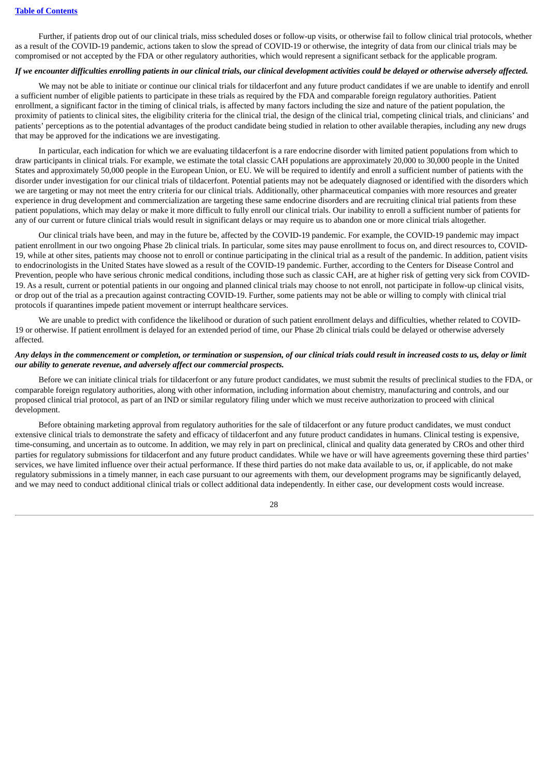Further, if patients drop out of our clinical trials, miss scheduled doses or follow-up visits, or otherwise fail to follow clinical trial protocols, whether as a result of the COVID-19 pandemic, actions taken to slow the spread of COVID-19 or otherwise, the integrity of data from our clinical trials may be compromised or not accepted by the FDA or other regulatory authorities, which would represent a significant setback for the applicable program.

## If we encounter difficulties enrolling patients in our clinical trials, our clinical development activities could be delayed or otherwise adversely affected.

We may not be able to initiate or continue our clinical trials for tildacerfont and any future product candidates if we are unable to identify and enroll a sufficient number of eligible patients to participate in these trials as required by the FDA and comparable foreign regulatory authorities. Patient enrollment, a significant factor in the timing of clinical trials, is affected by many factors including the size and nature of the patient population, the proximity of patients to clinical sites, the eligibility criteria for the clinical trial, the design of the clinical trial, competing clinical trials, and clinicians' and patients' perceptions as to the potential advantages of the product candidate being studied in relation to other available therapies, including any new drugs that may be approved for the indications we are investigating.

In particular, each indication for which we are evaluating tildacerfont is a rare endocrine disorder with limited patient populations from which to draw participants in clinical trials. For example, we estimate the total classic CAH populations are approximately 20,000 to 30,000 people in the United States and approximately 50,000 people in the European Union, or EU. We will be required to identify and enroll a sufficient number of patients with the disorder under investigation for our clinical trials of tildacerfont. Potential patients may not be adequately diagnosed or identified with the disorders which we are targeting or may not meet the entry criteria for our clinical trials. Additionally, other pharmaceutical companies with more resources and greater experience in drug development and commercialization are targeting these same endocrine disorders and are recruiting clinical trial patients from these patient populations, which may delay or make it more difficult to fully enroll our clinical trials. Our inability to enroll a sufficient number of patients for any of our current or future clinical trials would result in significant delays or may require us to abandon one or more clinical trials altogether.

Our clinical trials have been, and may in the future be, affected by the COVID-19 pandemic. For example, the COVID-19 pandemic may impact patient enrollment in our two ongoing Phase 2b clinical trials. In particular, some sites may pause enrollment to focus on, and direct resources to, COVID-19, while at other sites, patients may choose not to enroll or continue participating in the clinical trial as a result of the pandemic. In addition, patient visits to endocrinologists in the United States have slowed as a result of the COVID-19 pandemic. Further, according to the Centers for Disease Control and Prevention, people who have serious chronic medical conditions, including those such as classic CAH, are at higher risk of getting very sick from COVID-19. As a result, current or potential patients in our ongoing and planned clinical trials may choose to not enroll, not participate in follow-up clinical visits, or drop out of the trial as a precaution against contracting COVID-19. Further, some patients may not be able or willing to comply with clinical trial protocols if quarantines impede patient movement or interrupt healthcare services.

We are unable to predict with confidence the likelihood or duration of such patient enrollment delays and difficulties, whether related to COVID-19 or otherwise. If patient enrollment is delayed for an extended period of time, our Phase 2b clinical trials could be delayed or otherwise adversely affected.

## Any delays in the commencement or completion, or termination or suspension, of our clinical trials could result in increased costs to us, delay or limit *our ability to generate revenue, and adversely affect our commercial prospects.*

Before we can initiate clinical trials for tildacerfont or any future product candidates, we must submit the results of preclinical studies to the FDA, or comparable foreign regulatory authorities, along with other information, including information about chemistry, manufacturing and controls, and our proposed clinical trial protocol, as part of an IND or similar regulatory filing under which we must receive authorization to proceed with clinical development.

Before obtaining marketing approval from regulatory authorities for the sale of tildacerfont or any future product candidates, we must conduct extensive clinical trials to demonstrate the safety and efficacy of tildacerfont and any future product candidates in humans. Clinical testing is expensive, time-consuming, and uncertain as to outcome. In addition, we may rely in part on preclinical, clinical and quality data generated by CROs and other third parties for regulatory submissions for tildacerfont and any future product candidates. While we have or will have agreements governing these third parties' services, we have limited influence over their actual performance. If these third parties do not make data available to us, or, if applicable, do not make regulatory submissions in a timely manner, in each case pursuant to our agreements with them, our development programs may be significantly delayed, and we may need to conduct additional clinical trials or collect additional data independently. In either case, our development costs would increase.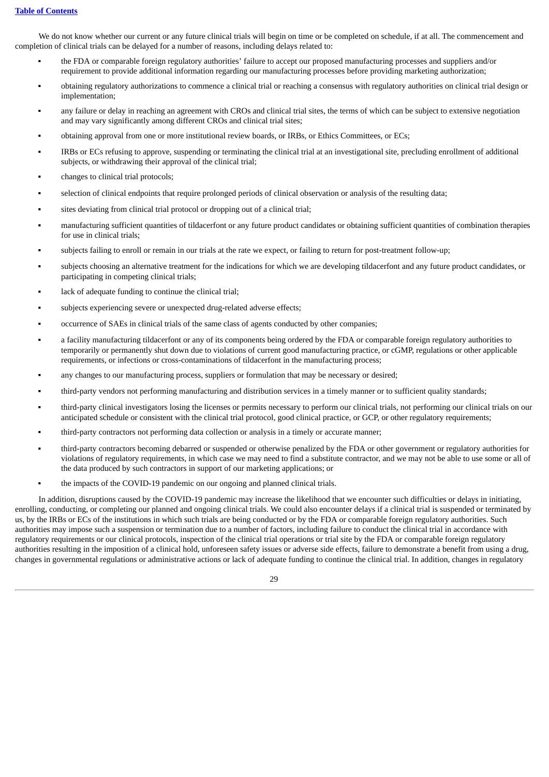## **Table of [Contents](#page-1-0)**

We do not know whether our current or any future clinical trials will begin on time or be completed on schedule, if at all. The commencement and completion of clinical trials can be delayed for a number of reasons, including delays related to:

- the FDA or comparable foreign regulatory authorities' failure to accept our proposed manufacturing processes and suppliers and/or requirement to provide additional information regarding our manufacturing processes before providing marketing authorization;
- obtaining regulatory authorizations to commence a clinical trial or reaching a consensus with regulatory authorities on clinical trial design or implementation;
- any failure or delay in reaching an agreement with CROs and clinical trial sites, the terms of which can be subject to extensive negotiation and may vary significantly among different CROs and clinical trial sites;
- obtaining approval from one or more institutional review boards, or IRBs, or Ethics Committees, or ECs;
- IRBs or ECs refusing to approve, suspending or terminating the clinical trial at an investigational site, precluding enrollment of additional subjects, or withdrawing their approval of the clinical trial;
- changes to clinical trial protocols;
- selection of clinical endpoints that require prolonged periods of clinical observation or analysis of the resulting data;
- sites deviating from clinical trial protocol or dropping out of a clinical trial;
- manufacturing sufficient quantities of tildacerfont or any future product candidates or obtaining sufficient quantities of combination therapies for use in clinical trials;
- subjects failing to enroll or remain in our trials at the rate we expect, or failing to return for post-treatment follow-up;
- subjects choosing an alternative treatment for the indications for which we are developing tildacerfont and any future product candidates, or participating in competing clinical trials;
- lack of adequate funding to continue the clinical trial;
- subjects experiencing severe or unexpected drug-related adverse effects;
- occurrence of SAEs in clinical trials of the same class of agents conducted by other companies;
- a facility manufacturing tildacerfont or any of its components being ordered by the FDA or comparable foreign regulatory authorities to temporarily or permanently shut down due to violations of current good manufacturing practice, or cGMP, regulations or other applicable requirements, or infections or cross-contaminations of tildacerfont in the manufacturing process;
- any changes to our manufacturing process, suppliers or formulation that may be necessary or desired;
- third-party vendors not performing manufacturing and distribution services in a timely manner or to sufficient quality standards;
- third-party clinical investigators losing the licenses or permits necessary to perform our clinical trials, not performing our clinical trials on our anticipated schedule or consistent with the clinical trial protocol, good clinical practice, or GCP, or other regulatory requirements;
- third-party contractors not performing data collection or analysis in a timely or accurate manner;
- third-party contractors becoming debarred or suspended or otherwise penalized by the FDA or other government or regulatory authorities for violations of regulatory requirements, in which case we may need to find a substitute contractor, and we may not be able to use some or all of the data produced by such contractors in support of our marketing applications; or
- the impacts of the COVID-19 pandemic on our ongoing and planned clinical trials.

In addition, disruptions caused by the COVID-19 pandemic may increase the likelihood that we encounter such difficulties or delays in initiating, enrolling, conducting, or completing our planned and ongoing clinical trials. We could also encounter delays if a clinical trial is suspended or terminated by us, by the IRBs or ECs of the institutions in which such trials are being conducted or by the FDA or comparable foreign regulatory authorities. Such authorities may impose such a suspension or termination due to a number of factors, including failure to conduct the clinical trial in accordance with regulatory requirements or our clinical protocols, inspection of the clinical trial operations or trial site by the FDA or comparable foreign regulatory authorities resulting in the imposition of a clinical hold, unforeseen safety issues or adverse side effects, failure to demonstrate a benefit from using a drug, changes in governmental regulations or administrative actions or lack of adequate funding to continue the clinical trial. In addition, changes in regulatory

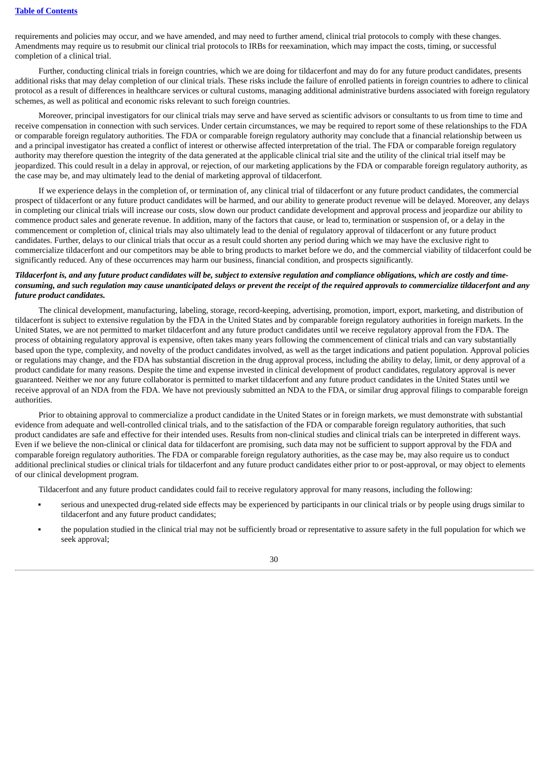requirements and policies may occur, and we have amended, and may need to further amend, clinical trial protocols to comply with these changes. Amendments may require us to resubmit our clinical trial protocols to IRBs for reexamination, which may impact the costs, timing, or successful completion of a clinical trial.

Further, conducting clinical trials in foreign countries, which we are doing for tildacerfont and may do for any future product candidates, presents additional risks that may delay completion of our clinical trials. These risks include the failure of enrolled patients in foreign countries to adhere to clinical protocol as a result of differences in healthcare services or cultural customs, managing additional administrative burdens associated with foreign regulatory schemes, as well as political and economic risks relevant to such foreign countries.

Moreover, principal investigators for our clinical trials may serve and have served as scientific advisors or consultants to us from time to time and receive compensation in connection with such services. Under certain circumstances, we may be required to report some of these relationships to the FDA or comparable foreign regulatory authorities. The FDA or comparable foreign regulatory authority may conclude that a financial relationship between us and a principal investigator has created a conflict of interest or otherwise affected interpretation of the trial. The FDA or comparable foreign regulatory authority may therefore question the integrity of the data generated at the applicable clinical trial site and the utility of the clinical trial itself may be jeopardized. This could result in a delay in approval, or rejection, of our marketing applications by the FDA or comparable foreign regulatory authority, as the case may be, and may ultimately lead to the denial of marketing approval of tildacerfont.

If we experience delays in the completion of, or termination of, any clinical trial of tildacerfont or any future product candidates, the commercial prospect of tildacerfont or any future product candidates will be harmed, and our ability to generate product revenue will be delayed. Moreover, any delays in completing our clinical trials will increase our costs, slow down our product candidate development and approval process and jeopardize our ability to commence product sales and generate revenue. In addition, many of the factors that cause, or lead to, termination or suspension of, or a delay in the commencement or completion of, clinical trials may also ultimately lead to the denial of regulatory approval of tildacerfont or any future product candidates. Further, delays to our clinical trials that occur as a result could shorten any period during which we may have the exclusive right to commercialize tildacerfont and our competitors may be able to bring products to market before we do, and the commercial viability of tildacerfont could be significantly reduced. Any of these occurrences may harm our business, financial condition, and prospects significantly.

## Tildacerfont is, and any future product candidates will be, subject to extensive regulation and compliance obligations, which are costly and timeconsuming, and such regulation may cause unanticipated delays or prevent the receipt of the required approvals to commercialize tildacerfont and any *future product candidates.*

The clinical development, manufacturing, labeling, storage, record-keeping, advertising, promotion, import, export, marketing, and distribution of tildacerfont is subject to extensive regulation by the FDA in the United States and by comparable foreign regulatory authorities in foreign markets. In the United States, we are not permitted to market tildacerfont and any future product candidates until we receive regulatory approval from the FDA. The process of obtaining regulatory approval is expensive, often takes many years following the commencement of clinical trials and can vary substantially based upon the type, complexity, and novelty of the product candidates involved, as well as the target indications and patient population. Approval policies or regulations may change, and the FDA has substantial discretion in the drug approval process, including the ability to delay, limit, or deny approval of a product candidate for many reasons. Despite the time and expense invested in clinical development of product candidates, regulatory approval is never guaranteed. Neither we nor any future collaborator is permitted to market tildacerfont and any future product candidates in the United States until we receive approval of an NDA from the FDA. We have not previously submitted an NDA to the FDA, or similar drug approval filings to comparable foreign authorities.

Prior to obtaining approval to commercialize a product candidate in the United States or in foreign markets, we must demonstrate with substantial evidence from adequate and well-controlled clinical trials, and to the satisfaction of the FDA or comparable foreign regulatory authorities, that such product candidates are safe and effective for their intended uses. Results from non-clinical studies and clinical trials can be interpreted in different ways. Even if we believe the non-clinical or clinical data for tildacerfont are promising, such data may not be sufficient to support approval by the FDA and comparable foreign regulatory authorities. The FDA or comparable foreign regulatory authorities, as the case may be, may also require us to conduct additional preclinical studies or clinical trials for tildacerfont and any future product candidates either prior to or post-approval, or may object to elements of our clinical development program.

Tildacerfont and any future product candidates could fail to receive regulatory approval for many reasons, including the following:

- serious and unexpected drug-related side effects may be experienced by participants in our clinical trials or by people using drugs similar to tildacerfont and any future product candidates;
- the population studied in the clinical trial may not be sufficiently broad or representative to assure safety in the full population for which we seek approval;

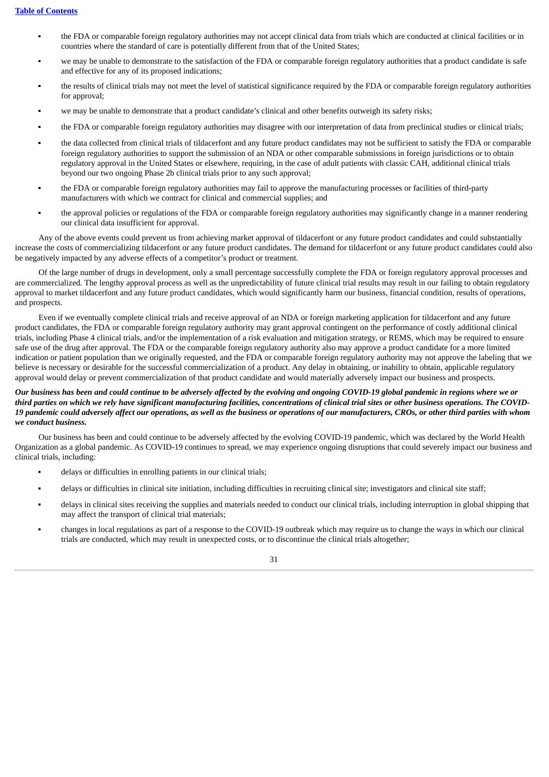- the FDA or comparable foreign regulatory authorities may not accept clinical data from trials which are conducted at clinical facilities or in countries where the standard of care is potentially different from that of the United States;
- we may be unable to demonstrate to the satisfaction of the FDA or comparable foreign regulatory authorities that a product candidate is safe and effective for any of its proposed indications;
- the results of clinical trials may not meet the level of statistical significance required by the FDA or comparable foreign regulatory authorities for approval;
- we may be unable to demonstrate that a product candidate's clinical and other benefits outweigh its safety risks;
- the FDA or comparable foreign regulatory authorities may disagree with our interpretation of data from preclinical studies or clinical trials;
- the data collected from clinical trials of tildacerfont and any future product candidates may not be sufficient to satisfy the FDA or comparable foreign regulatory authorities to support the submission of an NDA or other comparable submissions in foreign jurisdictions or to obtain regulatory approval in the United States or elsewhere, requiring, in the case of adult patients with classic CAH, additional clinical trials beyond our two ongoing Phase 2b clinical trials prior to any such approval;
- the FDA or comparable foreign regulatory authorities may fail to approve the manufacturing processes or facilities of third-party manufacturers with which we contract for clinical and commercial supplies; and
- the approval policies or regulations of the FDA or comparable foreign regulatory authorities may significantly change in a manner rendering our clinical data insufficient for approval.

Any of the above events could prevent us from achieving market approval of tildacerfont or any future product candidates and could substantially increase the costs of commercializing tildacerfont or any future product candidates. The demand for tildacerfont or any future product candidates could also be negatively impacted by any adverse effects of a competitor's product or treatment.

Of the large number of drugs in development, only a small percentage successfully complete the FDA or foreign regulatory approval processes and are commercialized. The lengthy approval process as well as the unpredictability of future clinical trial results may result in our failing to obtain regulatory approval to market tildacerfont and any future product candidates, which would significantly harm our business, financial condition, results of operations, and prospects.

Even if we eventually complete clinical trials and receive approval of an NDA or foreign marketing application for tildacerfont and any future product candidates, the FDA or comparable foreign regulatory authority may grant approval contingent on the performance of costly additional clinical trials, including Phase 4 clinical trials, and/or the implementation of a risk evaluation and mitigation strategy, or REMS, which may be required to ensure safe use of the drug after approval. The FDA or the comparable foreign regulatory authority also may approve a product candidate for a more limited indication or patient population than we originally requested, and the FDA or comparable foreign regulatory authority may not approve the labeling that we believe is necessary or desirable for the successful commercialization of a product. Any delay in obtaining, or inability to obtain, applicable regulatory approval would delay or prevent commercialization of that product candidate and would materially adversely impact our business and prospects.

## Our business has been and could continue to be adversely affected by the evolving and ongoing COVID-19 global pandemic in regions where we or third parties on which we rely have significant manufacturing facilities, concentrations of clinical trial sites or other business operations. The COVID-19 pandemic could adversely affect our operations, as well as the business or operations of our manufacturers, CROs, or other third parties with whom *we conduct business.*

Our business has been and could continue to be adversely affected by the evolving COVID-19 pandemic, which was declared by the World Health Organization as a global pandemic. As COVID-19 continues to spread, we may experience ongoing disruptions that could severely impact our business and clinical trials, including:

- delays or difficulties in enrolling patients in our clinical trials;
- delays or difficulties in clinical site initiation, including difficulties in recruiting clinical site; investigators and clinical site staff;
- delays in clinical sites receiving the supplies and materials needed to conduct our clinical trials, including interruption in global shipping that may affect the transport of clinical trial materials;
- changes in local regulations as part of a response to the COVID-19 outbreak which may require us to change the ways in which our clinical trials are conducted, which may result in unexpected costs, or to discontinue the clinical trials altogether;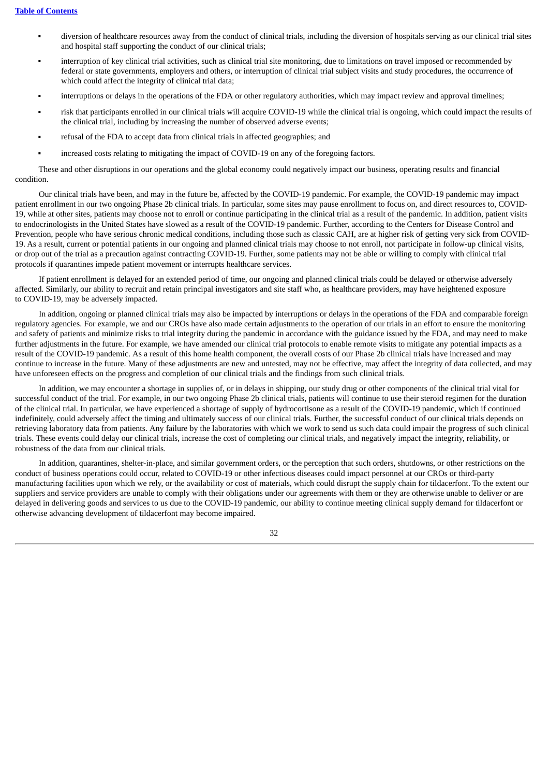- diversion of healthcare resources away from the conduct of clinical trials, including the diversion of hospitals serving as our clinical trial sites and hospital staff supporting the conduct of our clinical trials;
- interruption of key clinical trial activities, such as clinical trial site monitoring, due to limitations on travel imposed or recommended by federal or state governments, employers and others, or interruption of clinical trial subject visits and study procedures, the occurrence of which could affect the integrity of clinical trial data;
- interruptions or delays in the operations of the FDA or other regulatory authorities, which may impact review and approval timelines;
- risk that participants enrolled in our clinical trials will acquire COVID-19 while the clinical trial is ongoing, which could impact the results of the clinical trial, including by increasing the number of observed adverse events;
- refusal of the FDA to accept data from clinical trials in affected geographies; and
- increased costs relating to mitigating the impact of COVID-19 on any of the foregoing factors.

These and other disruptions in our operations and the global economy could negatively impact our business, operating results and financial condition.

Our clinical trials have been, and may in the future be, affected by the COVID-19 pandemic. For example, the COVID-19 pandemic may impact patient enrollment in our two ongoing Phase 2b clinical trials. In particular, some sites may pause enrollment to focus on, and direct resources to, COVID-19, while at other sites, patients may choose not to enroll or continue participating in the clinical trial as a result of the pandemic. In addition, patient visits to endocrinologists in the United States have slowed as a result of the COVID-19 pandemic. Further, according to the Centers for Disease Control and Prevention, people who have serious chronic medical conditions, including those such as classic CAH, are at higher risk of getting very sick from COVID-19. As a result, current or potential patients in our ongoing and planned clinical trials may choose to not enroll, not participate in follow-up clinical visits, or drop out of the trial as a precaution against contracting COVID-19. Further, some patients may not be able or willing to comply with clinical trial protocols if quarantines impede patient movement or interrupts healthcare services.

If patient enrollment is delayed for an extended period of time, our ongoing and planned clinical trials could be delayed or otherwise adversely affected. Similarly, our ability to recruit and retain principal investigators and site staff who, as healthcare providers, may have heightened exposure to COVID-19, may be adversely impacted.

In addition, ongoing or planned clinical trials may also be impacted by interruptions or delays in the operations of the FDA and comparable foreign regulatory agencies. For example, we and our CROs have also made certain adjustments to the operation of our trials in an effort to ensure the monitoring and safety of patients and minimize risks to trial integrity during the pandemic in accordance with the guidance issued by the FDA, and may need to make further adjustments in the future. For example, we have amended our clinical trial protocols to enable remote visits to mitigate any potential impacts as a result of the COVID-19 pandemic. As a result of this home health component, the overall costs of our Phase 2b clinical trials have increased and may continue to increase in the future. Many of these adjustments are new and untested, may not be effective, may affect the integrity of data collected, and may have unforeseen effects on the progress and completion of our clinical trials and the findings from such clinical trials.

In addition, we may encounter a shortage in supplies of, or in delays in shipping, our study drug or other components of the clinical trial vital for successful conduct of the trial. For example, in our two ongoing Phase 2b clinical trials, patients will continue to use their steroid regimen for the duration of the clinical trial. In particular, we have experienced a shortage of supply of hydrocortisone as a result of the COVID-19 pandemic, which if continued indefinitely, could adversely affect the timing and ultimately success of our clinical trials. Further, the successful conduct of our clinical trials depends on retrieving laboratory data from patients. Any failure by the laboratories with which we work to send us such data could impair the progress of such clinical trials. These events could delay our clinical trials, increase the cost of completing our clinical trials, and negatively impact the integrity, reliability, or robustness of the data from our clinical trials.

In addition, quarantines, shelter-in-place, and similar government orders, or the perception that such orders, shutdowns, or other restrictions on the conduct of business operations could occur, related to COVID-19 or other infectious diseases could impact personnel at our CROs or third-party manufacturing facilities upon which we rely, or the availability or cost of materials, which could disrupt the supply chain for tildacerfont. To the extent our suppliers and service providers are unable to comply with their obligations under our agreements with them or they are otherwise unable to deliver or are delayed in delivering goods and services to us due to the COVID-19 pandemic, our ability to continue meeting clinical supply demand for tildacerfont or otherwise advancing development of tildacerfont may become impaired.

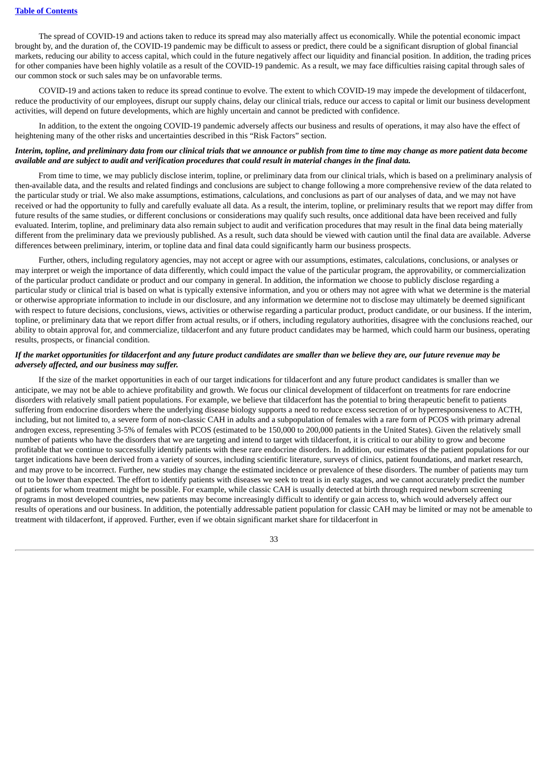The spread of COVID-19 and actions taken to reduce its spread may also materially affect us economically. While the potential economic impact brought by, and the duration of, the COVID-19 pandemic may be difficult to assess or predict, there could be a significant disruption of global financial markets, reducing our ability to access capital, which could in the future negatively affect our liquidity and financial position. In addition, the trading prices for other companies have been highly volatile as a result of the COVID-19 pandemic. As a result, we may face difficulties raising capital through sales of our common stock or such sales may be on unfavorable terms.

COVID-19 and actions taken to reduce its spread continue to evolve. The extent to which COVID-19 may impede the development of tildacerfont, reduce the productivity of our employees, disrupt our supply chains, delay our clinical trials, reduce our access to capital or limit our business development activities, will depend on future developments, which are highly uncertain and cannot be predicted with confidence.

In addition, to the extent the ongoing COVID-19 pandemic adversely affects our business and results of operations, it may also have the effect of heightening many of the other risks and uncertainties described in this "Risk Factors" section.

## Interim, topline, and preliminary data from our clinical trials that we announce or publish from time to time may change as more patient data become available and are subject to audit and verification procedures that could result in material changes in the final data.

From time to time, we may publicly disclose interim, topline, or preliminary data from our clinical trials, which is based on a preliminary analysis of then-available data, and the results and related findings and conclusions are subject to change following a more comprehensive review of the data related to the particular study or trial. We also make assumptions, estimations, calculations, and conclusions as part of our analyses of data, and we may not have received or had the opportunity to fully and carefully evaluate all data. As a result, the interim, topline, or preliminary results that we report may differ from future results of the same studies, or different conclusions or considerations may qualify such results, once additional data have been received and fully evaluated. Interim, topline, and preliminary data also remain subject to audit and verification procedures that may result in the final data being materially different from the preliminary data we previously published. As a result, such data should be viewed with caution until the final data are available. Adverse differences between preliminary, interim, or topline data and final data could significantly harm our business prospects.

Further, others, including regulatory agencies, may not accept or agree with our assumptions, estimates, calculations, conclusions, or analyses or may interpret or weigh the importance of data differently, which could impact the value of the particular program, the approvability, or commercialization of the particular product candidate or product and our company in general. In addition, the information we choose to publicly disclose regarding a particular study or clinical trial is based on what is typically extensive information, and you or others may not agree with what we determine is the material or otherwise appropriate information to include in our disclosure, and any information we determine not to disclose may ultimately be deemed significant with respect to future decisions, conclusions, views, activities or otherwise regarding a particular product, product candidate, or our business. If the interim, topline, or preliminary data that we report differ from actual results, or if others, including regulatory authorities, disagree with the conclusions reached, our ability to obtain approval for, and commercialize, tildacerfont and any future product candidates may be harmed, which could harm our business, operating results, prospects, or financial condition.

## If the market opportunities for tildacerfont and any future product candidates are smaller than we believe they are, our future revenue may be *adversely affected, and our business may suffer.*

If the size of the market opportunities in each of our target indications for tildacerfont and any future product candidates is smaller than we anticipate, we may not be able to achieve profitability and growth. We focus our clinical development of tildacerfont on treatments for rare endocrine disorders with relatively small patient populations. For example, we believe that tildacerfont has the potential to bring therapeutic benefit to patients suffering from endocrine disorders where the underlying disease biology supports a need to reduce excess secretion of or hyperresponsiveness to ACTH, including, but not limited to, a severe form of non-classic CAH in adults and a subpopulation of females with a rare form of PCOS with primary adrenal androgen excess, representing 3-5% of females with PCOS (estimated to be 150,000 to 200,000 patients in the United States). Given the relatively small number of patients who have the disorders that we are targeting and intend to target with tildacerfont, it is critical to our ability to grow and become profitable that we continue to successfully identify patients with these rare endocrine disorders. In addition, our estimates of the patient populations for our target indications have been derived from a variety of sources, including scientific literature, surveys of clinics, patient foundations, and market research, and may prove to be incorrect. Further, new studies may change the estimated incidence or prevalence of these disorders. The number of patients may turn out to be lower than expected. The effort to identify patients with diseases we seek to treat is in early stages, and we cannot accurately predict the number of patients for whom treatment might be possible. For example, while classic CAH is usually detected at birth through required newborn screening programs in most developed countries, new patients may become increasingly difficult to identify or gain access to, which would adversely affect our results of operations and our business. In addition, the potentially addressable patient population for classic CAH may be limited or may not be amenable to treatment with tildacerfont, if approved. Further, even if we obtain significant market share for tildacerfont in

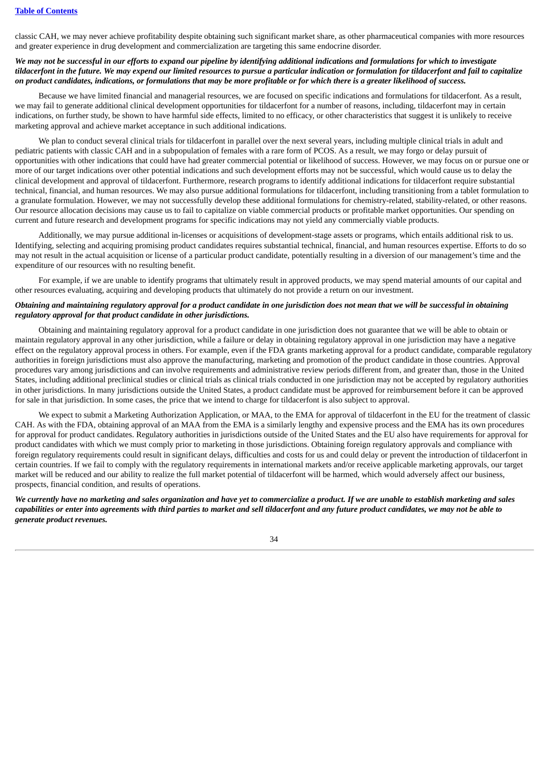classic CAH, we may never achieve profitability despite obtaining such significant market share, as other pharmaceutical companies with more resources and greater experience in drug development and commercialization are targeting this same endocrine disorder.

# We may not be successful in our efforts to expand our pipeline by identifying additional indications and formulations for which to investigate tildacerfont in the future. We may expend our limited resources to pursue a particular indication or formulation for tildacerfont and fail to capitalize on product candidates, indications, or formulations that may be more profitable or for which there is a greater likelihood of success.

Because we have limited financial and managerial resources, we are focused on specific indications and formulations for tildacerfont. As a result, we may fail to generate additional clinical development opportunities for tildacerfont for a number of reasons, including, tildacerfont may in certain indications, on further study, be shown to have harmful side effects, limited to no efficacy, or other characteristics that suggest it is unlikely to receive marketing approval and achieve market acceptance in such additional indications.

We plan to conduct several clinical trials for tildacerfont in parallel over the next several years, including multiple clinical trials in adult and pediatric patients with classic CAH and in a subpopulation of females with a rare form of PCOS. As a result, we may forgo or delay pursuit of opportunities with other indications that could have had greater commercial potential or likelihood of success. However, we may focus on or pursue one or more of our target indications over other potential indications and such development efforts may not be successful, which would cause us to delay the clinical development and approval of tildacerfont. Furthermore, research programs to identify additional indications for tildacerfont require substantial technical, financial, and human resources. We may also pursue additional formulations for tildacerfont, including transitioning from a tablet formulation to a granulate formulation. However, we may not successfully develop these additional formulations for chemistry-related, stability-related, or other reasons. Our resource allocation decisions may cause us to fail to capitalize on viable commercial products or profitable market opportunities. Our spending on current and future research and development programs for specific indications may not yield any commercially viable products.

Additionally, we may pursue additional in-licenses or acquisitions of development-stage assets or programs, which entails additional risk to us. Identifying, selecting and acquiring promising product candidates requires substantial technical, financial, and human resources expertise. Efforts to do so may not result in the actual acquisition or license of a particular product candidate, potentially resulting in a diversion of our management's time and the expenditure of our resources with no resulting benefit.

For example, if we are unable to identify programs that ultimately result in approved products, we may spend material amounts of our capital and other resources evaluating, acquiring and developing products that ultimately do not provide a return on our investment.

#### Obtaining and maintaining regulatory approval for a product candidate in one jurisdiction does not mean that we will be successful in obtaining *regulatory approval for that product candidate in other jurisdictions.*

Obtaining and maintaining regulatory approval for a product candidate in one jurisdiction does not guarantee that we will be able to obtain or maintain regulatory approval in any other jurisdiction, while a failure or delay in obtaining regulatory approval in one jurisdiction may have a negative effect on the regulatory approval process in others. For example, even if the FDA grants marketing approval for a product candidate, comparable regulatory authorities in foreign jurisdictions must also approve the manufacturing, marketing and promotion of the product candidate in those countries. Approval procedures vary among jurisdictions and can involve requirements and administrative review periods different from, and greater than, those in the United States, including additional preclinical studies or clinical trials as clinical trials conducted in one jurisdiction may not be accepted by regulatory authorities in other jurisdictions. In many jurisdictions outside the United States, a product candidate must be approved for reimbursement before it can be approved for sale in that jurisdiction. In some cases, the price that we intend to charge for tildacerfont is also subject to approval.

We expect to submit a Marketing Authorization Application, or MAA, to the EMA for approval of tildacerfont in the EU for the treatment of classic CAH. As with the FDA, obtaining approval of an MAA from the EMA is a similarly lengthy and expensive process and the EMA has its own procedures for approval for product candidates. Regulatory authorities in jurisdictions outside of the United States and the EU also have requirements for approval for product candidates with which we must comply prior to marketing in those jurisdictions. Obtaining foreign regulatory approvals and compliance with foreign regulatory requirements could result in significant delays, difficulties and costs for us and could delay or prevent the introduction of tildacerfont in certain countries. If we fail to comply with the regulatory requirements in international markets and/or receive applicable marketing approvals, our target market will be reduced and our ability to realize the full market potential of tildacerfont will be harmed, which would adversely affect our business, prospects, financial condition, and results of operations.

We currently have no marketing and sales organization and have yet to commercialize a product. If we are unable to establish marketing and sales capabilities or enter into agreements with third parties to market and sell tildacerfont and any future product candidates, we may not be able to *generate product revenues.*

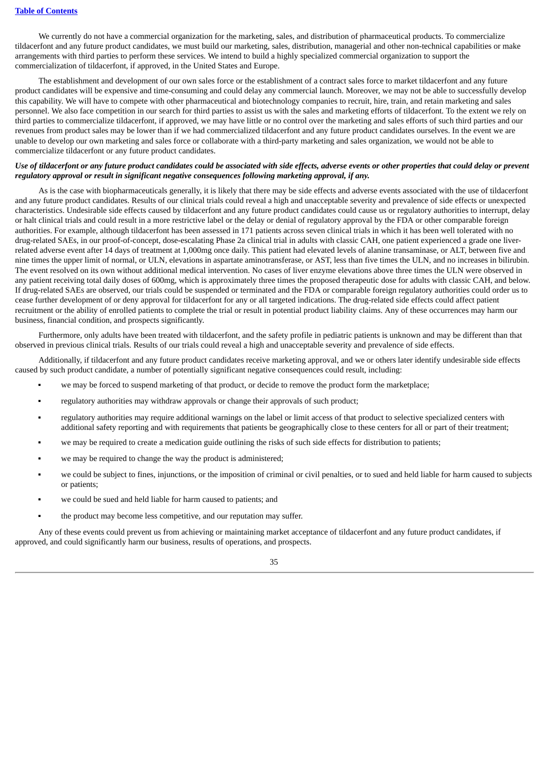We currently do not have a commercial organization for the marketing, sales, and distribution of pharmaceutical products. To commercialize tildacerfont and any future product candidates, we must build our marketing, sales, distribution, managerial and other non-technical capabilities or make arrangements with third parties to perform these services. We intend to build a highly specialized commercial organization to support the commercialization of tildacerfont, if approved, in the United States and Europe.

The establishment and development of our own sales force or the establishment of a contract sales force to market tildacerfont and any future product candidates will be expensive and time-consuming and could delay any commercial launch. Moreover, we may not be able to successfully develop this capability. We will have to compete with other pharmaceutical and biotechnology companies to recruit, hire, train, and retain marketing and sales personnel. We also face competition in our search for third parties to assist us with the sales and marketing efforts of tildacerfont. To the extent we rely on third parties to commercialize tildacerfont, if approved, we may have little or no control over the marketing and sales efforts of such third parties and our revenues from product sales may be lower than if we had commercialized tildacerfont and any future product candidates ourselves. In the event we are unable to develop our own marketing and sales force or collaborate with a third-party marketing and sales organization, we would not be able to commercialize tildacerfont or any future product candidates.

# Use of tildacerfont or any future product candidates could be associated with side effects, adverse events or other properties that could delay or prevent *regulatory approval or result in significant negative consequences following marketing approval, if any.*

As is the case with biopharmaceuticals generally, it is likely that there may be side effects and adverse events associated with the use of tildacerfont and any future product candidates. Results of our clinical trials could reveal a high and unacceptable severity and prevalence of side effects or unexpected characteristics. Undesirable side effects caused by tildacerfont and any future product candidates could cause us or regulatory authorities to interrupt, delay or halt clinical trials and could result in a more restrictive label or the delay or denial of regulatory approval by the FDA or other comparable foreign authorities. For example, although tildacerfont has been assessed in 171 patients across seven clinical trials in which it has been well tolerated with no drug-related SAEs, in our proof-of-concept, dose-escalating Phase 2a clinical trial in adults with classic CAH, one patient experienced a grade one liverrelated adverse event after 14 days of treatment at 1,000mg once daily. This patient had elevated levels of alanine transaminase, or ALT, between five and nine times the upper limit of normal, or ULN, elevations in aspartate aminotransferase, or AST, less than five times the ULN, and no increases in bilirubin. The event resolved on its own without additional medical intervention. No cases of liver enzyme elevations above three times the ULN were observed in any patient receiving total daily doses of 600mg, which is approximately three times the proposed therapeutic dose for adults with classic CAH, and below. If drug-related SAEs are observed, our trials could be suspended or terminated and the FDA or comparable foreign regulatory authorities could order us to cease further development of or deny approval for tildacerfont for any or all targeted indications. The drug-related side effects could affect patient recruitment or the ability of enrolled patients to complete the trial or result in potential product liability claims. Any of these occurrences may harm our business, financial condition, and prospects significantly.

Furthermore, only adults have been treated with tildacerfont, and the safety profile in pediatric patients is unknown and may be different than that observed in previous clinical trials. Results of our trials could reveal a high and unacceptable severity and prevalence of side effects.

Additionally, if tildacerfont and any future product candidates receive marketing approval, and we or others later identify undesirable side effects caused by such product candidate, a number of potentially significant negative consequences could result, including:

- we may be forced to suspend marketing of that product, or decide to remove the product form the marketplace;
- regulatory authorities may withdraw approvals or change their approvals of such product;
- regulatory authorities may require additional warnings on the label or limit access of that product to selective specialized centers with additional safety reporting and with requirements that patients be geographically close to these centers for all or part of their treatment;
- we may be required to create a medication guide outlining the risks of such side effects for distribution to patients;
- we may be required to change the way the product is administered;
- we could be subject to fines, injunctions, or the imposition of criminal or civil penalties, or to sued and held liable for harm caused to subjects or patients;
- we could be sued and held liable for harm caused to patients; and
- the product may become less competitive, and our reputation may suffer.

Any of these events could prevent us from achieving or maintaining market acceptance of tildacerfont and any future product candidates, if approved, and could significantly harm our business, results of operations, and prospects.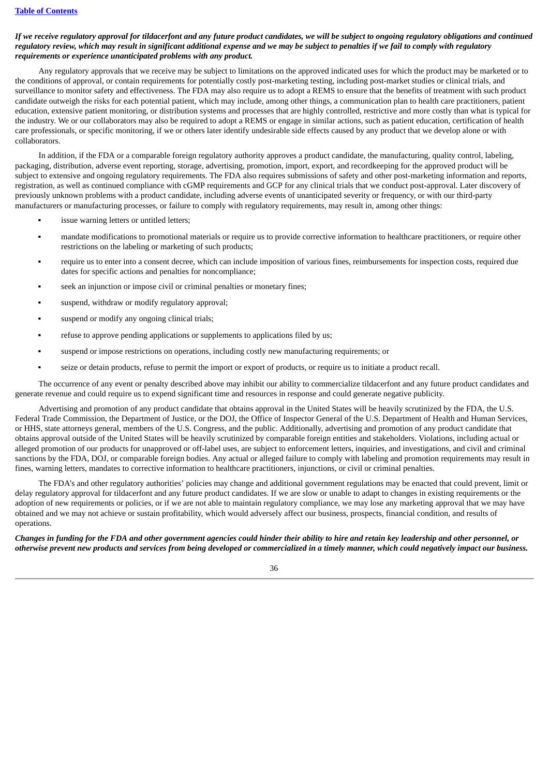# If we receive regulatory approval for tildacerfont and any future product candidates, we will be subject to ongoing regulatory obligations and continued regulatory review, which may result in significant additional expense and we may be subject to penalties if we fail to comply with regulatory *requirements or experience unanticipated problems with any product.*

Any regulatory approvals that we receive may be subject to limitations on the approved indicated uses for which the product may be marketed or to the conditions of approval, or contain requirements for potentially costly post-marketing testing, including post-market studies or clinical trials, and surveillance to monitor safety and effectiveness. The FDA may also require us to adopt a REMS to ensure that the benefits of treatment with such product candidate outweigh the risks for each potential patient, which may include, among other things, a communication plan to health care practitioners, patient education, extensive patient monitoring, or distribution systems and processes that are highly controlled, restrictive and more costly than what is typical for the industry. We or our collaborators may also be required to adopt a REMS or engage in similar actions, such as patient education, certification of health care professionals, or specific monitoring, if we or others later identify undesirable side effects caused by any product that we develop alone or with collaborators.

In addition, if the FDA or a comparable foreign regulatory authority approves a product candidate, the manufacturing, quality control, labeling, packaging, distribution, adverse event reporting, storage, advertising, promotion, import, export, and recordkeeping for the approved product will be subject to extensive and ongoing regulatory requirements. The FDA also requires submissions of safety and other post-marketing information and reports, registration, as well as continued compliance with cGMP requirements and GCP for any clinical trials that we conduct post-approval. Later discovery of previously unknown problems with a product candidate, including adverse events of unanticipated severity or frequency, or with our third-party manufacturers or manufacturing processes, or failure to comply with regulatory requirements, may result in, among other things:

- issue warning letters or untitled letters;
- mandate modifications to promotional materials or require us to provide corrective information to healthcare practitioners, or require other restrictions on the labeling or marketing of such products;
- require us to enter into a consent decree, which can include imposition of various fines, reimbursements for inspection costs, required due dates for specific actions and penalties for noncompliance;
- seek an injunction or impose civil or criminal penalties or monetary fines;
- suspend, withdraw or modify regulatory approval;
- suspend or modify any ongoing clinical trials;
- refuse to approve pending applications or supplements to applications filed by us;
- suspend or impose restrictions on operations, including costly new manufacturing requirements; or
- seize or detain products, refuse to permit the import or export of products, or require us to initiate a product recall.

The occurrence of any event or penalty described above may inhibit our ability to commercialize tildacerfont and any future product candidates and generate revenue and could require us to expend significant time and resources in response and could generate negative publicity.

Advertising and promotion of any product candidate that obtains approval in the United States will be heavily scrutinized by the FDA, the U.S. Federal Trade Commission, the Department of Justice, or the DOJ, the Office of Inspector General of the U.S. Department of Health and Human Services, or HHS, state attorneys general, members of the U.S. Congress, and the public. Additionally, advertising and promotion of any product candidate that obtains approval outside of the United States will be heavily scrutinized by comparable foreign entities and stakeholders. Violations, including actual or alleged promotion of our products for unapproved or off-label uses, are subject to enforcement letters, inquiries, and investigations, and civil and criminal sanctions by the FDA, DOJ, or comparable foreign bodies. Any actual or alleged failure to comply with labeling and promotion requirements may result in fines, warning letters, mandates to corrective information to healthcare practitioners, injunctions, or civil or criminal penalties.

The FDA's and other regulatory authorities' policies may change and additional government regulations may be enacted that could prevent, limit or delay regulatory approval for tildacerfont and any future product candidates. If we are slow or unable to adapt to changes in existing requirements or the adoption of new requirements or policies, or if we are not able to maintain regulatory compliance, we may lose any marketing approval that we may have obtained and we may not achieve or sustain profitability, which would adversely affect our business, prospects, financial condition, and results of operations.

Changes in funding for the FDA and other government agencies could hinder their ability to hire and retain key leadership and other personnel, or otherwise prevent new products and services from being developed or commercialized in a timely manner, which could negatively impact our business.

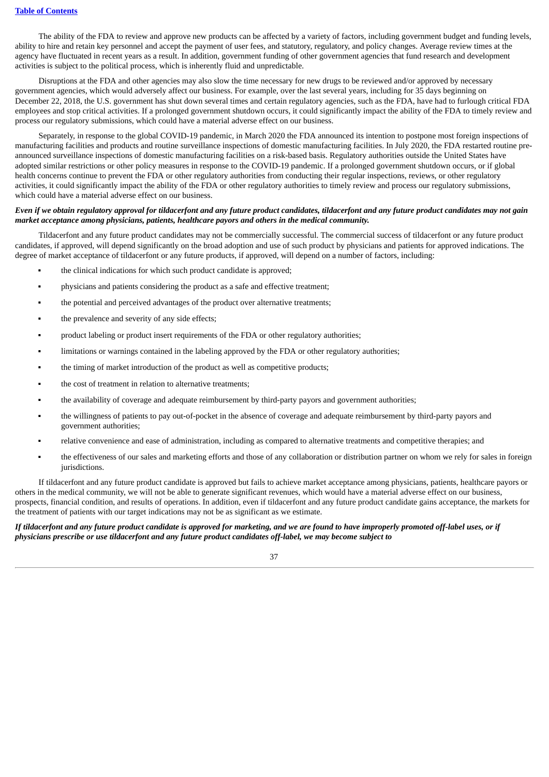The ability of the FDA to review and approve new products can be affected by a variety of factors, including government budget and funding levels, ability to hire and retain key personnel and accept the payment of user fees, and statutory, regulatory, and policy changes. Average review times at the agency have fluctuated in recent years as a result. In addition, government funding of other government agencies that fund research and development activities is subject to the political process, which is inherently fluid and unpredictable.

Disruptions at the FDA and other agencies may also slow the time necessary for new drugs to be reviewed and/or approved by necessary government agencies, which would adversely affect our business. For example, over the last several years, including for 35 days beginning on December 22, 2018, the U.S. government has shut down several times and certain regulatory agencies, such as the FDA, have had to furlough critical FDA employees and stop critical activities. If a prolonged government shutdown occurs, it could significantly impact the ability of the FDA to timely review and process our regulatory submissions, which could have a material adverse effect on our business.

Separately, in response to the global COVID-19 pandemic, in March 2020 the FDA announced its intention to postpone most foreign inspections of manufacturing facilities and products and routine surveillance inspections of domestic manufacturing facilities. In July 2020, the FDA restarted routine preannounced surveillance inspections of domestic manufacturing facilities on a risk-based basis. Regulatory authorities outside the United States have adopted similar restrictions or other policy measures in response to the COVID-19 pandemic. If a prolonged government shutdown occurs, or if global health concerns continue to prevent the FDA or other regulatory authorities from conducting their regular inspections, reviews, or other regulatory activities, it could significantly impact the ability of the FDA or other regulatory authorities to timely review and process our regulatory submissions, which could have a material adverse effect on our business.

# Even if we obtain requlatory approval for tildacerfont and any future product candidates, tildacerfont and any future product candidates may not qain *market acceptance among physicians, patients, healthcare payors and others in the medical community.*

Tildacerfont and any future product candidates may not be commercially successful. The commercial success of tildacerfont or any future product candidates, if approved, will depend significantly on the broad adoption and use of such product by physicians and patients for approved indications. The degree of market acceptance of tildacerfont or any future products, if approved, will depend on a number of factors, including:

- the clinical indications for which such product candidate is approved;
- physicians and patients considering the product as a safe and effective treatment;
- the potential and perceived advantages of the product over alternative treatments;
- **•** the prevalence and severity of any side effects;
- **•** product labeling or product insert requirements of the FDA or other regulatory authorities;
- **•** limitations or warnings contained in the labeling approved by the FDA or other regulatory authorities;
- the timing of market introduction of the product as well as competitive products;
- the cost of treatment in relation to alternative treatments;
- the availability of coverage and adequate reimbursement by third-party payors and government authorities;
- the willingness of patients to pay out-of-pocket in the absence of coverage and adequate reimbursement by third-party payors and government authorities;
- relative convenience and ease of administration, including as compared to alternative treatments and competitive therapies; and
- the effectiveness of our sales and marketing efforts and those of any collaboration or distribution partner on whom we rely for sales in foreign jurisdictions.

If tildacerfont and any future product candidate is approved but fails to achieve market acceptance among physicians, patients, healthcare payors or others in the medical community, we will not be able to generate significant revenues, which would have a material adverse effect on our business, prospects, financial condition, and results of operations. In addition, even if tildacerfont and any future product candidate gains acceptance, the markets for the treatment of patients with our target indications may not be as significant as we estimate.

#### If tildacerfont and any future product candidate is approved for marketing, and we are found to have improperly promoted off-label uses, or if *physicians prescribe or use tildacerfont and any future product candidates off-label, we may become subject to*

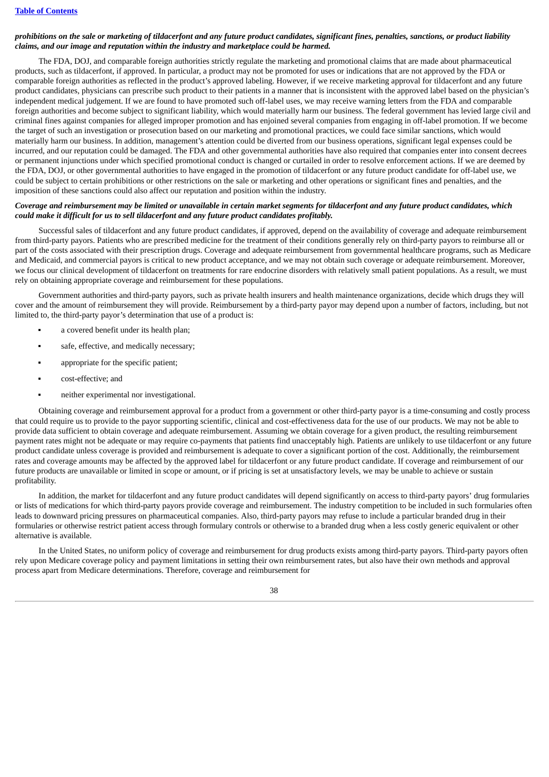# prohibitions on the sale or marketing of tildacerfont and any future product candidates, significant fines, penalties, sanctions, or product liability *claims, and our image and reputation within the industry and marketplace could be harmed.*

The FDA, DOJ, and comparable foreign authorities strictly regulate the marketing and promotional claims that are made about pharmaceutical products, such as tildacerfont, if approved. In particular, a product may not be promoted for uses or indications that are not approved by the FDA or comparable foreign authorities as reflected in the product's approved labeling. However, if we receive marketing approval for tildacerfont and any future product candidates, physicians can prescribe such product to their patients in a manner that is inconsistent with the approved label based on the physician's independent medical judgement. If we are found to have promoted such off-label uses, we may receive warning letters from the FDA and comparable foreign authorities and become subject to significant liability, which would materially harm our business. The federal government has levied large civil and criminal fines against companies for alleged improper promotion and has enjoined several companies from engaging in off-label promotion. If we become the target of such an investigation or prosecution based on our marketing and promotional practices, we could face similar sanctions, which would materially harm our business. In addition, management's attention could be diverted from our business operations, significant legal expenses could be incurred, and our reputation could be damaged. The FDA and other governmental authorities have also required that companies enter into consent decrees or permanent injunctions under which specified promotional conduct is changed or curtailed in order to resolve enforcement actions. If we are deemed by the FDA, DOJ, or other governmental authorities to have engaged in the promotion of tildacerfont or any future product candidate for off-label use, we could be subject to certain prohibitions or other restrictions on the sale or marketing and other operations or significant fines and penalties, and the imposition of these sanctions could also affect our reputation and position within the industry.

# Coverage and reimbursement may be limited or unavailable in certain market segments for tildacerfont and any future product candidates, which *could make it difficult for us to sell tildacerfont and any future product candidates profitably.*

Successful sales of tildacerfont and any future product candidates, if approved, depend on the availability of coverage and adequate reimbursement from third-party payors. Patients who are prescribed medicine for the treatment of their conditions generally rely on third-party payors to reimburse all or part of the costs associated with their prescription drugs. Coverage and adequate reimbursement from governmental healthcare programs, such as Medicare and Medicaid, and commercial payors is critical to new product acceptance, and we may not obtain such coverage or adequate reimbursement. Moreover, we focus our clinical development of tildacerfont on treatments for rare endocrine disorders with relatively small patient populations. As a result, we must rely on obtaining appropriate coverage and reimbursement for these populations.

Government authorities and third-party payors, such as private health insurers and health maintenance organizations, decide which drugs they will cover and the amount of reimbursement they will provide. Reimbursement by a third-party payor may depend upon a number of factors, including, but not limited to, the third-party payor's determination that use of a product is:

- a covered benefit under its health plan;
- safe, effective, and medically necessary;
- appropriate for the specific patient;
- cost-effective: and
- **•** neither experimental nor investigational.

Obtaining coverage and reimbursement approval for a product from a government or other third-party payor is a time-consuming and costly process that could require us to provide to the payor supporting scientific, clinical and cost-effectiveness data for the use of our products. We may not be able to provide data sufficient to obtain coverage and adequate reimbursement. Assuming we obtain coverage for a given product, the resulting reimbursement payment rates might not be adequate or may require co-payments that patients find unacceptably high. Patients are unlikely to use tildacerfont or any future product candidate unless coverage is provided and reimbursement is adequate to cover a significant portion of the cost. Additionally, the reimbursement rates and coverage amounts may be affected by the approved label for tildacerfont or any future product candidate. If coverage and reimbursement of our future products are unavailable or limited in scope or amount, or if pricing is set at unsatisfactory levels, we may be unable to achieve or sustain profitability.

In addition, the market for tildacerfont and any future product candidates will depend significantly on access to third-party payors' drug formularies or lists of medications for which third-party payors provide coverage and reimbursement. The industry competition to be included in such formularies often leads to downward pricing pressures on pharmaceutical companies. Also, third-party payors may refuse to include a particular branded drug in their formularies or otherwise restrict patient access through formulary controls or otherwise to a branded drug when a less costly generic equivalent or other alternative is available.

In the United States, no uniform policy of coverage and reimbursement for drug products exists among third-party payors. Third-party payors often rely upon Medicare coverage policy and payment limitations in setting their own reimbursement rates, but also have their own methods and approval process apart from Medicare determinations. Therefore, coverage and reimbursement for

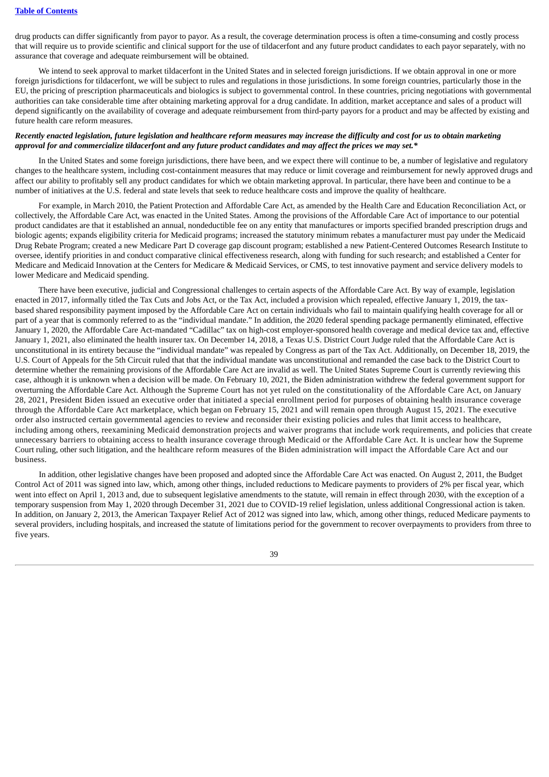drug products can differ significantly from payor to payor. As a result, the coverage determination process is often a time-consuming and costly process that will require us to provide scientific and clinical support for the use of tildacerfont and any future product candidates to each payor separately, with no assurance that coverage and adequate reimbursement will be obtained.

We intend to seek approval to market tildacerfont in the United States and in selected foreign jurisdictions. If we obtain approval in one or more foreign jurisdictions for tildacerfont, we will be subject to rules and regulations in those jurisdictions. In some foreign countries, particularly those in the EU, the pricing of prescription pharmaceuticals and biologics is subject to governmental control. In these countries, pricing negotiations with governmental authorities can take considerable time after obtaining marketing approval for a drug candidate. In addition, market acceptance and sales of a product will depend significantly on the availability of coverage and adequate reimbursement from third-party payors for a product and may be affected by existing and future health care reform measures.

# Recently enacted legislation, future legislation and healthcare reform measures may increase the difficulty and cost for us to obtain marketing approval for and commercialize tildacerfont and any future product candidates and may affect the prices we may set.\*

In the United States and some foreign jurisdictions, there have been, and we expect there will continue to be, a number of legislative and regulatory changes to the healthcare system, including cost-containment measures that may reduce or limit coverage and reimbursement for newly approved drugs and affect our ability to profitably sell any product candidates for which we obtain marketing approval. In particular, there have been and continue to be a number of initiatives at the U.S. federal and state levels that seek to reduce healthcare costs and improve the quality of healthcare.

For example, in March 2010, the Patient Protection and Affordable Care Act, as amended by the Health Care and Education Reconciliation Act, or collectively, the Affordable Care Act, was enacted in the United States. Among the provisions of the Affordable Care Act of importance to our potential product candidates are that it established an annual, nondeductible fee on any entity that manufactures or imports specified branded prescription drugs and biologic agents; expands eligibility criteria for Medicaid programs; increased the statutory minimum rebates a manufacturer must pay under the Medicaid Drug Rebate Program; created a new Medicare Part D coverage gap discount program; established a new Patient-Centered Outcomes Research Institute to oversee, identify priorities in and conduct comparative clinical effectiveness research, along with funding for such research; and established a Center for Medicare and Medicaid Innovation at the Centers for Medicare & Medicaid Services, or CMS, to test innovative payment and service delivery models to lower Medicare and Medicaid spending.

There have been executive, judicial and Congressional challenges to certain aspects of the Affordable Care Act. By way of example, legislation enacted in 2017, informally titled the Tax Cuts and Jobs Act, or the Tax Act, included a provision which repealed, effective January 1, 2019, the taxbased shared responsibility payment imposed by the Affordable Care Act on certain individuals who fail to maintain qualifying health coverage for all or part of a year that is commonly referred to as the "individual mandate." In addition, the 2020 federal spending package permanently eliminated, effective January 1, 2020, the Affordable Care Act-mandated "Cadillac" tax on high-cost employer-sponsored health coverage and medical device tax and, effective January 1, 2021, also eliminated the health insurer tax. On December 14, 2018, a Texas U.S. District Court Judge ruled that the Affordable Care Act is unconstitutional in its entirety because the "individual mandate" was repealed by Congress as part of the Tax Act. Additionally, on December 18, 2019, the U.S. Court of Appeals for the 5th Circuit ruled that that the individual mandate was unconstitutional and remanded the case back to the District Court to determine whether the remaining provisions of the Affordable Care Act are invalid as well. The United States Supreme Court is currently reviewing this case, although it is unknown when a decision will be made. On February 10, 2021, the Biden administration withdrew the federal government support for overturning the Affordable Care Act. Although the Supreme Court has not yet ruled on the constitutionality of the Affordable Care Act, on January 28, 2021, President Biden issued an executive order that initiated a special enrollment period for purposes of obtaining health insurance coverage through the Affordable Care Act marketplace, which began on February 15, 2021 and will remain open through August 15, 2021. The executive order also instructed certain governmental agencies to review and reconsider their existing policies and rules that limit access to healthcare, including among others, reexamining Medicaid demonstration projects and waiver programs that include work requirements, and policies that create unnecessary barriers to obtaining access to health insurance coverage through Medicaid or the Affordable Care Act. It is unclear how the Supreme Court ruling, other such litigation, and the healthcare reform measures of the Biden administration will impact the Affordable Care Act and our business.

In addition, other legislative changes have been proposed and adopted since the Affordable Care Act was enacted. On August 2, 2011, the Budget Control Act of 2011 was signed into law, which, among other things, included reductions to Medicare payments to providers of 2% per fiscal year, which went into effect on April 1, 2013 and, due to subsequent legislative amendments to the statute, will remain in effect through 2030, with the exception of a temporary suspension from May 1, 2020 through December 31, 2021 due to COVID-19 relief legislation, unless additional Congressional action is taken. In addition, on January 2, 2013, the American Taxpayer Relief Act of 2012 was signed into law, which, among other things, reduced Medicare payments to several providers, including hospitals, and increased the statute of limitations period for the government to recover overpayments to providers from three to five years.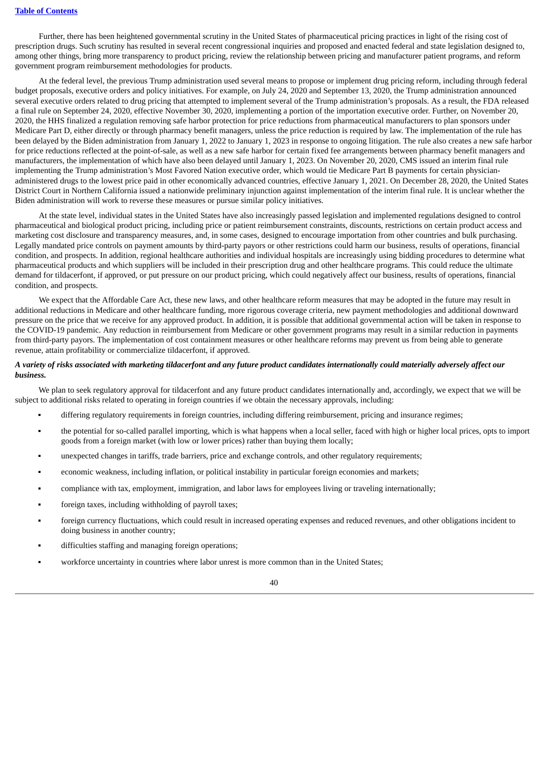Further, there has been heightened governmental scrutiny in the United States of pharmaceutical pricing practices in light of the rising cost of prescription drugs. Such scrutiny has resulted in several recent congressional inquiries and proposed and enacted federal and state legislation designed to, among other things, bring more transparency to product pricing, review the relationship between pricing and manufacturer patient programs, and reform government program reimbursement methodologies for products.

At the federal level, the previous Trump administration used several means to propose or implement drug pricing reform, including through federal budget proposals, executive orders and policy initiatives. For example, on July 24, 2020 and September 13, 2020, the Trump administration announced several executive orders related to drug pricing that attempted to implement several of the Trump administration's proposals. As a result, the FDA released a final rule on September 24, 2020, effective November 30, 2020, implementing a portion of the importation executive order. Further, on November 20, 2020, the HHS finalized a regulation removing safe harbor protection for price reductions from pharmaceutical manufacturers to plan sponsors under Medicare Part D, either directly or through pharmacy benefit managers, unless the price reduction is required by law. The implementation of the rule has been delayed by the Biden administration from January 1, 2022 to January 1, 2023 in response to ongoing litigation. The rule also creates a new safe harbor for price reductions reflected at the point-of-sale, as well as a new safe harbor for certain fixed fee arrangements between pharmacy benefit managers and manufacturers, the implementation of which have also been delayed until January 1, 2023. On November 20, 2020, CMS issued an interim final rule implementing the Trump administration's Most Favored Nation executive order, which would tie Medicare Part B payments for certain physicianadministered drugs to the lowest price paid in other economically advanced countries, effective January 1, 2021. On December 28, 2020, the United States District Court in Northern California issued a nationwide preliminary injunction against implementation of the interim final rule. It is unclear whether the Biden administration will work to reverse these measures or pursue similar policy initiatives.

At the state level, individual states in the United States have also increasingly passed legislation and implemented regulations designed to control pharmaceutical and biological product pricing, including price or patient reimbursement constraints, discounts, restrictions on certain product access and marketing cost disclosure and transparency measures, and, in some cases, designed to encourage importation from other countries and bulk purchasing. Legally mandated price controls on payment amounts by third-party payors or other restrictions could harm our business, results of operations, financial condition, and prospects. In addition, regional healthcare authorities and individual hospitals are increasingly using bidding procedures to determine what pharmaceutical products and which suppliers will be included in their prescription drug and other healthcare programs. This could reduce the ultimate demand for tildacerfont, if approved, or put pressure on our product pricing, which could negatively affect our business, results of operations, financial condition, and prospects.

We expect that the Affordable Care Act, these new laws, and other healthcare reform measures that may be adopted in the future may result in additional reductions in Medicare and other healthcare funding, more rigorous coverage criteria, new payment methodologies and additional downward pressure on the price that we receive for any approved product. In addition, it is possible that additional governmental action will be taken in response to the COVID-19 pandemic. Any reduction in reimbursement from Medicare or other government programs may result in a similar reduction in payments from third-party payors. The implementation of cost containment measures or other healthcare reforms may prevent us from being able to generate revenue, attain profitability or commercialize tildacerfont, if approved.

#### A variety of risks associated with marketing tildacerfont and any future product candidates internationally could materially adversely affect our *business.*

We plan to seek regulatory approval for tildacerfont and any future product candidates internationally and, accordingly, we expect that we will be subject to additional risks related to operating in foreign countries if we obtain the necessary approvals, including:

- differing regulatory requirements in foreign countries, including differing reimbursement, pricing and insurance regimes;
- the potential for so-called parallel importing, which is what happens when a local seller, faced with high or higher local prices, opts to import goods from a foreign market (with low or lower prices) rather than buying them locally;
- unexpected changes in tariffs, trade barriers, price and exchange controls, and other regulatory requirements;
- economic weakness, including inflation, or political instability in particular foreign economies and markets;
- compliance with tax, employment, immigration, and labor laws for employees living or traveling internationally;
- foreign taxes, including withholding of payroll taxes;
- foreign currency fluctuations, which could result in increased operating expenses and reduced revenues, and other obligations incident to doing business in another country;
- difficulties staffing and managing foreign operations;
- workforce uncertainty in countries where labor unrest is more common than in the United States;

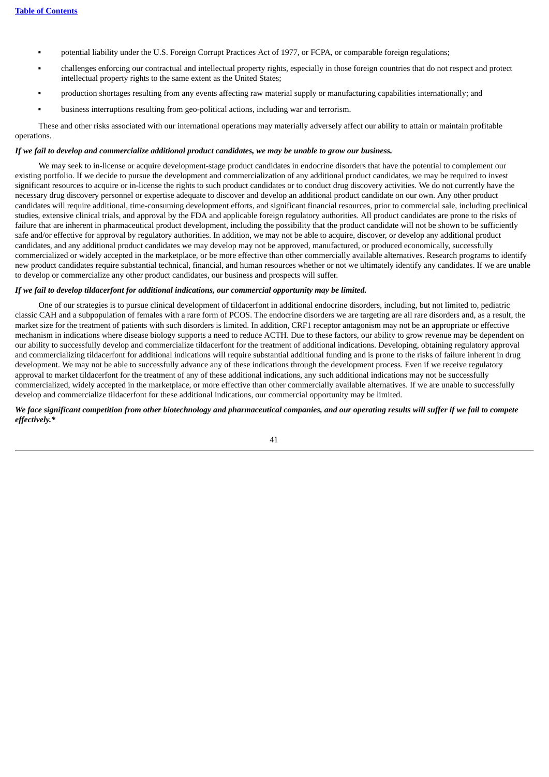- potential liability under the U.S. Foreign Corrupt Practices Act of 1977, or FCPA, or comparable foreign regulations;
- challenges enforcing our contractual and intellectual property rights, especially in those foreign countries that do not respect and protect intellectual property rights to the same extent as the United States;
- production shortages resulting from any events affecting raw material supply or manufacturing capabilities internationally; and
- business interruptions resulting from geo-political actions, including war and terrorism.

These and other risks associated with our international operations may materially adversely affect our ability to attain or maintain profitable operations.

#### If we fail to develop and commercialize additional product candidates, we may be unable to grow our business.

We may seek to in-license or acquire development-stage product candidates in endocrine disorders that have the potential to complement our existing portfolio. If we decide to pursue the development and commercialization of any additional product candidates, we may be required to invest significant resources to acquire or in-license the rights to such product candidates or to conduct drug discovery activities. We do not currently have the necessary drug discovery personnel or expertise adequate to discover and develop an additional product candidate on our own. Any other product candidates will require additional, time-consuming development efforts, and significant financial resources, prior to commercial sale, including preclinical studies, extensive clinical trials, and approval by the FDA and applicable foreign regulatory authorities. All product candidates are prone to the risks of failure that are inherent in pharmaceutical product development, including the possibility that the product candidate will not be shown to be sufficiently safe and/or effective for approval by regulatory authorities. In addition, we may not be able to acquire, discover, or develop any additional product candidates, and any additional product candidates we may develop may not be approved, manufactured, or produced economically, successfully commercialized or widely accepted in the marketplace, or be more effective than other commercially available alternatives. Research programs to identify new product candidates require substantial technical, financial, and human resources whether or not we ultimately identify any candidates. If we are unable to develop or commercialize any other product candidates, our business and prospects will suffer.

#### *If we fail to develop tildacerfont for additional indications, our commercial opportunity may be limited.*

One of our strategies is to pursue clinical development of tildacerfont in additional endocrine disorders, including, but not limited to, pediatric classic CAH and a subpopulation of females with a rare form of PCOS. The endocrine disorders we are targeting are all rare disorders and, as a result, the market size for the treatment of patients with such disorders is limited. In addition, CRF1 receptor antagonism may not be an appropriate or effective mechanism in indications where disease biology supports a need to reduce ACTH. Due to these factors, our ability to grow revenue may be dependent on our ability to successfully develop and commercialize tildacerfont for the treatment of additional indications. Developing, obtaining regulatory approval and commercializing tildacerfont for additional indications will require substantial additional funding and is prone to the risks of failure inherent in drug development. We may not be able to successfully advance any of these indications through the development process. Even if we receive regulatory approval to market tildacerfont for the treatment of any of these additional indications, any such additional indications may not be successfully commercialized, widely accepted in the marketplace, or more effective than other commercially available alternatives. If we are unable to successfully develop and commercialize tildacerfont for these additional indications, our commercial opportunity may be limited.

We face significant competition from other biotechnology and pharmaceutical companies, and our operating results will suffer if we fail to compete *effectively.\**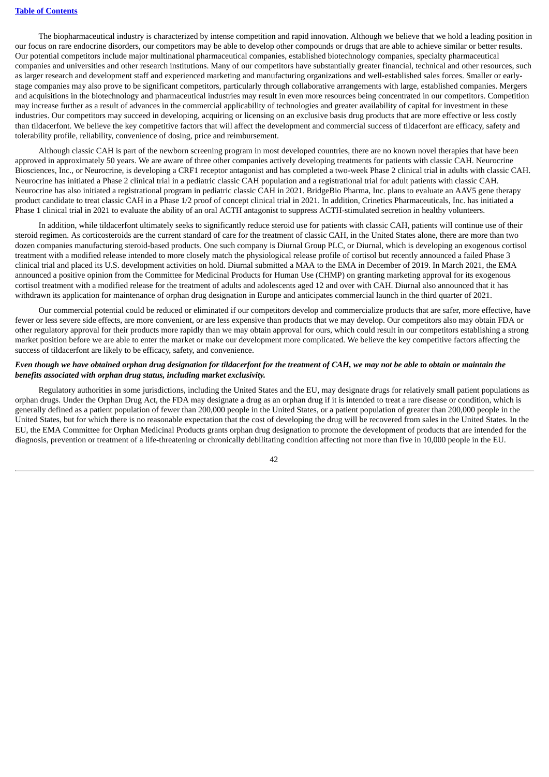The biopharmaceutical industry is characterized by intense competition and rapid innovation. Although we believe that we hold a leading position in our focus on rare endocrine disorders, our competitors may be able to develop other compounds or drugs that are able to achieve similar or better results. Our potential competitors include major multinational pharmaceutical companies, established biotechnology companies, specialty pharmaceutical companies and universities and other research institutions. Many of our competitors have substantially greater financial, technical and other resources, such as larger research and development staff and experienced marketing and manufacturing organizations and well-established sales forces. Smaller or earlystage companies may also prove to be significant competitors, particularly through collaborative arrangements with large, established companies. Mergers and acquisitions in the biotechnology and pharmaceutical industries may result in even more resources being concentrated in our competitors. Competition may increase further as a result of advances in the commercial applicability of technologies and greater availability of capital for investment in these industries. Our competitors may succeed in developing, acquiring or licensing on an exclusive basis drug products that are more effective or less costly than tildacerfont. We believe the key competitive factors that will affect the development and commercial success of tildacerfont are efficacy, safety and tolerability profile, reliability, convenience of dosing, price and reimbursement.

Although classic CAH is part of the newborn screening program in most developed countries, there are no known novel therapies that have been approved in approximately 50 years. We are aware of three other companies actively developing treatments for patients with classic CAH. Neurocrine Biosciences, Inc., or Neurocrine, is developing a CRF1 receptor antagonist and has completed a two-week Phase 2 clinical trial in adults with classic CAH. Neurocrine has initiated a Phase 2 clinical trial in a pediatric classic CAH population and a registrational trial for adult patients with classic CAH. Neurocrine has also initiated a registrational program in pediatric classic CAH in 2021. BridgeBio Pharma, Inc. plans to evaluate an AAV5 gene therapy product candidate to treat classic CAH in a Phase 1/2 proof of concept clinical trial in 2021. In addition, Crinetics Pharmaceuticals, Inc. has initiated a Phase 1 clinical trial in 2021 to evaluate the ability of an oral ACTH antagonist to suppress ACTH-stimulated secretion in healthy volunteers.

In addition, while tildacerfont ultimately seeks to significantly reduce steroid use for patients with classic CAH, patients will continue use of their steroid regimen. As corticosteroids are the current standard of care for the treatment of classic CAH, in the United States alone, there are more than two dozen companies manufacturing steroid-based products. One such company is Diurnal Group PLC, or Diurnal, which is developing an exogenous cortisol treatment with a modified release intended to more closely match the physiological release profile of cortisol but recently announced a failed Phase 3 clinical trial and placed its U.S. development activities on hold. Diurnal submitted a MAA to the EMA in December of 2019. In March 2021, the EMA announced a positive opinion from the Committee for Medicinal Products for Human Use (CHMP) on granting marketing approval for its exogenous cortisol treatment with a modified release for the treatment of adults and adolescents aged 12 and over with CAH. Diurnal also announced that it has withdrawn its application for maintenance of orphan drug designation in Europe and anticipates commercial launch in the third quarter of 2021.

Our commercial potential could be reduced or eliminated if our competitors develop and commercialize products that are safer, more effective, have fewer or less severe side effects, are more convenient, or are less expensive than products that we may develop. Our competitors also may obtain FDA or other regulatory approval for their products more rapidly than we may obtain approval for ours, which could result in our competitors establishing a strong market position before we are able to enter the market or make our development more complicated. We believe the key competitive factors affecting the success of tildacerfont are likely to be efficacy, safety, and convenience.

## Even though we have obtained orphan drug designation for tildacerfont for the treatment of CAH, we may not be able to obtain or maintain the *benefits associated with orphan drug status, including market exclusivity.*

Regulatory authorities in some jurisdictions, including the United States and the EU, may designate drugs for relatively small patient populations as orphan drugs. Under the Orphan Drug Act, the FDA may designate a drug as an orphan drug if it is intended to treat a rare disease or condition, which is generally defined as a patient population of fewer than 200,000 people in the United States, or a patient population of greater than 200,000 people in the United States, but for which there is no reasonable expectation that the cost of developing the drug will be recovered from sales in the United States. In the EU, the EMA Committee for Orphan Medicinal Products grants orphan drug designation to promote the development of products that are intended for the diagnosis, prevention or treatment of a life-threatening or chronically debilitating condition affecting not more than five in 10,000 people in the EU.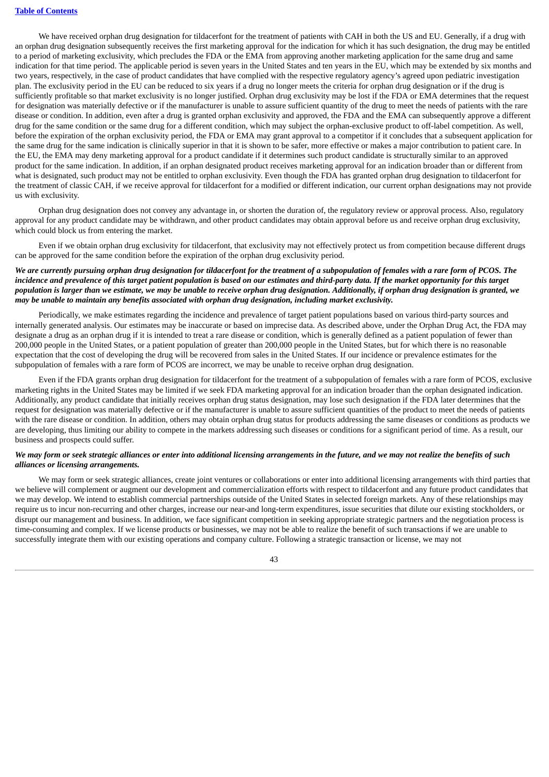We have received orphan drug designation for tildacerfont for the treatment of patients with CAH in both the US and EU. Generally, if a drug with an orphan drug designation subsequently receives the first marketing approval for the indication for which it has such designation, the drug may be entitled to a period of marketing exclusivity, which precludes the FDA or the EMA from approving another marketing application for the same drug and same indication for that time period. The applicable period is seven years in the United States and ten years in the EU, which may be extended by six months and two years, respectively, in the case of product candidates that have complied with the respective regulatory agency's agreed upon pediatric investigation plan. The exclusivity period in the EU can be reduced to six years if a drug no longer meets the criteria for orphan drug designation or if the drug is sufficiently profitable so that market exclusivity is no longer justified. Orphan drug exclusivity may be lost if the FDA or EMA determines that the request for designation was materially defective or if the manufacturer is unable to assure sufficient quantity of the drug to meet the needs of patients with the rare disease or condition. In addition, even after a drug is granted orphan exclusivity and approved, the FDA and the EMA can subsequently approve a different drug for the same condition or the same drug for a different condition, which may subject the orphan-exclusive product to off-label competition. As well, before the expiration of the orphan exclusivity period, the FDA or EMA may grant approval to a competitor if it concludes that a subsequent application for the same drug for the same indication is clinically superior in that it is shown to be safer, more effective or makes a major contribution to patient care. In the EU, the EMA may deny marketing approval for a product candidate if it determines such product candidate is structurally similar to an approved product for the same indication. In addition, if an orphan designated product receives marketing approval for an indication broader than or different from what is designated, such product may not be entitled to orphan exclusivity. Even though the FDA has granted orphan drug designation to tildacerfont for the treatment of classic CAH, if we receive approval for tildacerfont for a modified or different indication, our current orphan designations may not provide us with exclusivity.

Orphan drug designation does not convey any advantage in, or shorten the duration of, the regulatory review or approval process. Also, regulatory approval for any product candidate may be withdrawn, and other product candidates may obtain approval before us and receive orphan drug exclusivity, which could block us from entering the market.

Even if we obtain orphan drug exclusivity for tildacerfont, that exclusivity may not effectively protect us from competition because different drugs can be approved for the same condition before the expiration of the orphan drug exclusivity period.

### We are currently pursuing orphan drug designation for tildacerfont for the treatment of a subpopulation of females with a rare form of PCOS. The incidence and prevalence of this target patient population is based on our estimates and third-party data. If the market opportunity for this target population is larger than we estimate, we may be unable to receive orphan drug designation. Additionally, if orphan drug designation is granted, we *may be unable to maintain any benefits associated with orphan drug designation, including market exclusivity.*

Periodically, we make estimates regarding the incidence and prevalence of target patient populations based on various third-party sources and internally generated analysis. Our estimates may be inaccurate or based on imprecise data. As described above, under the Orphan Drug Act, the FDA may designate a drug as an orphan drug if it is intended to treat a rare disease or condition, which is generally defined as a patient population of fewer than 200,000 people in the United States, or a patient population of greater than 200,000 people in the United States, but for which there is no reasonable expectation that the cost of developing the drug will be recovered from sales in the United States. If our incidence or prevalence estimates for the subpopulation of females with a rare form of PCOS are incorrect, we may be unable to receive orphan drug designation.

Even if the FDA grants orphan drug designation for tildacerfont for the treatment of a subpopulation of females with a rare form of PCOS, exclusive marketing rights in the United States may be limited if we seek FDA marketing approval for an indication broader than the orphan designated indication. Additionally, any product candidate that initially receives orphan drug status designation, may lose such designation if the FDA later determines that the request for designation was materially defective or if the manufacturer is unable to assure sufficient quantities of the product to meet the needs of patients with the rare disease or condition. In addition, others may obtain orphan drug status for products addressing the same diseases or conditions as products we are developing, thus limiting our ability to compete in the markets addressing such diseases or conditions for a significant period of time. As a result, our business and prospects could suffer.

# We may form or seek strategic alliances or enter into additional licensing arrangements in the future, and we may not realize the benefits of such *alliances or licensing arrangements.*

We may form or seek strategic alliances, create joint ventures or collaborations or enter into additional licensing arrangements with third parties that we believe will complement or augment our development and commercialization efforts with respect to tildacerfont and any future product candidates that we may develop. We intend to establish commercial partnerships outside of the United States in selected foreign markets. Any of these relationships may require us to incur non-recurring and other charges, increase our near-and long-term expenditures, issue securities that dilute our existing stockholders, or disrupt our management and business. In addition, we face significant competition in seeking appropriate strategic partners and the negotiation process is time-consuming and complex. If we license products or businesses, we may not be able to realize the benefit of such transactions if we are unable to successfully integrate them with our existing operations and company culture. Following a strategic transaction or license, we may not

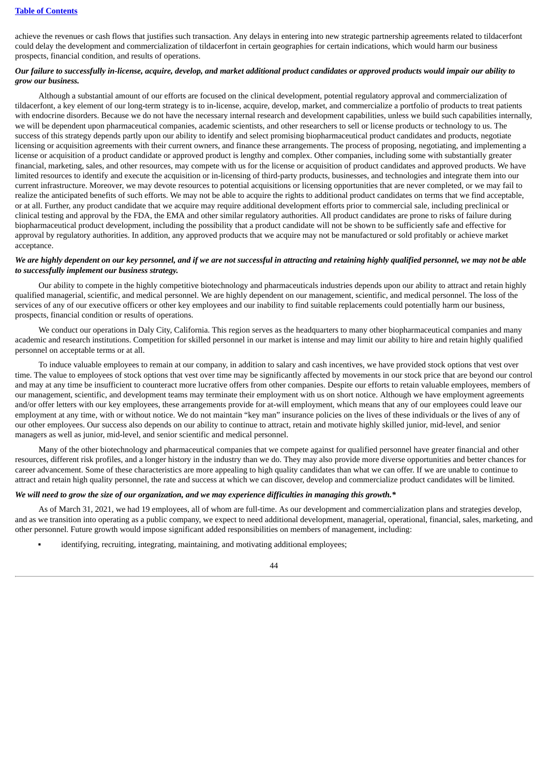# **Table of [Contents](#page-1-0)**

achieve the revenues or cash flows that justifies such transaction. Any delays in entering into new strategic partnership agreements related to tildacerfont could delay the development and commercialization of tildacerfont in certain geographies for certain indications, which would harm our business prospects, financial condition, and results of operations.

### Our failure to successfully in-license, acquire, develop, and market additional product candidates or approved products would impair our ability to *grow our business.*

Although a substantial amount of our efforts are focused on the clinical development, potential regulatory approval and commercialization of tildacerfont, a key element of our long-term strategy is to in-license, acquire, develop, market, and commercialize a portfolio of products to treat patients with endocrine disorders. Because we do not have the necessary internal research and development capabilities, unless we build such capabilities internally, we will be dependent upon pharmaceutical companies, academic scientists, and other researchers to sell or license products or technology to us. The success of this strategy depends partly upon our ability to identify and select promising biopharmaceutical product candidates and products, negotiate licensing or acquisition agreements with their current owners, and finance these arrangements. The process of proposing, negotiating, and implementing a license or acquisition of a product candidate or approved product is lengthy and complex. Other companies, including some with substantially greater financial, marketing, sales, and other resources, may compete with us for the license or acquisition of product candidates and approved products. We have limited resources to identify and execute the acquisition or in-licensing of third-party products, businesses, and technologies and integrate them into our current infrastructure. Moreover, we may devote resources to potential acquisitions or licensing opportunities that are never completed, or we may fail to realize the anticipated benefits of such efforts. We may not be able to acquire the rights to additional product candidates on terms that we find acceptable, or at all. Further, any product candidate that we acquire may require additional development efforts prior to commercial sale, including preclinical or clinical testing and approval by the FDA, the EMA and other similar regulatory authorities. All product candidates are prone to risks of failure during biopharmaceutical product development, including the possibility that a product candidate will not be shown to be sufficiently safe and effective for approval by regulatory authorities. In addition, any approved products that we acquire may not be manufactured or sold profitably or achieve market acceptance.

### We are highly dependent on our key personnel, and if we are not successful in attracting and retaining highly qualified personnel, we may not be able *to successfully implement our business strategy.*

Our ability to compete in the highly competitive biotechnology and pharmaceuticals industries depends upon our ability to attract and retain highly qualified managerial, scientific, and medical personnel. We are highly dependent on our management, scientific, and medical personnel. The loss of the services of any of our executive officers or other key employees and our inability to find suitable replacements could potentially harm our business, prospects, financial condition or results of operations.

We conduct our operations in Daly City, California. This region serves as the headquarters to many other biopharmaceutical companies and many academic and research institutions. Competition for skilled personnel in our market is intense and may limit our ability to hire and retain highly qualified personnel on acceptable terms or at all.

To induce valuable employees to remain at our company, in addition to salary and cash incentives, we have provided stock options that vest over time. The value to employees of stock options that vest over time may be significantly affected by movements in our stock price that are beyond our control and may at any time be insufficient to counteract more lucrative offers from other companies. Despite our efforts to retain valuable employees, members of our management, scientific, and development teams may terminate their employment with us on short notice. Although we have employment agreements and/or offer letters with our key employees, these arrangements provide for at-will employment, which means that any of our employees could leave our employment at any time, with or without notice. We do not maintain "key man" insurance policies on the lives of these individuals or the lives of any of our other employees. Our success also depends on our ability to continue to attract, retain and motivate highly skilled junior, mid-level, and senior managers as well as junior, mid-level, and senior scientific and medical personnel.

Many of the other biotechnology and pharmaceutical companies that we compete against for qualified personnel have greater financial and other resources, different risk profiles, and a longer history in the industry than we do. They may also provide more diverse opportunities and better chances for career advancement. Some of these characteristics are more appealing to high quality candidates than what we can offer. If we are unable to continue to attract and retain high quality personnel, the rate and success at which we can discover, develop and commercialize product candidates will be limited.

# We will need to grow the size of our organization, and we may experience difficulties in managing this growth.\*

As of March 31, 2021, we had 19 employees, all of whom are full-time. As our development and commercialization plans and strategies develop, and as we transition into operating as a public company, we expect to need additional development, managerial, operational, financial, sales, marketing, and other personnel. Future growth would impose significant added responsibilities on members of management, including:

identifying, recruiting, integrating, maintaining, and motivating additional employees;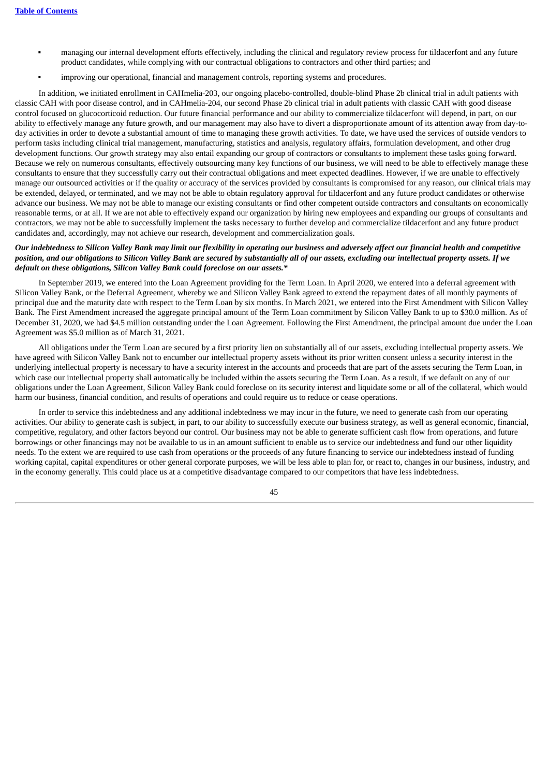- managing our internal development efforts effectively, including the clinical and regulatory review process for tildacerfont and any future product candidates, while complying with our contractual obligations to contractors and other third parties; and
- improving our operational, financial and management controls, reporting systems and procedures.

In addition, we initiated enrollment in CAHmelia-203, our ongoing placebo-controlled, double-blind Phase 2b clinical trial in adult patients with classic CAH with poor disease control, and in CAHmelia-204, our second Phase 2b clinical trial in adult patients with classic CAH with good disease control focused on glucocorticoid reduction. Our future financial performance and our ability to commercialize tildacerfont will depend, in part, on our ability to effectively manage any future growth, and our management may also have to divert a disproportionate amount of its attention away from day-today activities in order to devote a substantial amount of time to managing these growth activities. To date, we have used the services of outside vendors to perform tasks including clinical trial management, manufacturing, statistics and analysis, regulatory affairs, formulation development, and other drug development functions. Our growth strategy may also entail expanding our group of contractors or consultants to implement these tasks going forward. Because we rely on numerous consultants, effectively outsourcing many key functions of our business, we will need to be able to effectively manage these consultants to ensure that they successfully carry out their contractual obligations and meet expected deadlines. However, if we are unable to effectively manage our outsourced activities or if the quality or accuracy of the services provided by consultants is compromised for any reason, our clinical trials may be extended, delayed, or terminated, and we may not be able to obtain regulatory approval for tildacerfont and any future product candidates or otherwise advance our business. We may not be able to manage our existing consultants or find other competent outside contractors and consultants on economically reasonable terms, or at all. If we are not able to effectively expand our organization by hiring new employees and expanding our groups of consultants and contractors, we may not be able to successfully implement the tasks necessary to further develop and commercialize tildacerfont and any future product candidates and, accordingly, may not achieve our research, development and commercialization goals.

# Our indebtedness to Silicon Valley Bank may limit our flexibility in operating our business and adversely affect our financial health and competitive position, and our obligations to Silicon Valley Bank are secured by substantially all of our assets, excluding our intellectual property assets. If we *default on these obligations, Silicon Valley Bank could foreclose on our assets.\**

In September 2019, we entered into the Loan Agreement providing for the Term Loan. In April 2020, we entered into a deferral agreement with Silicon Valley Bank, or the Deferral Agreement, whereby we and Silicon Valley Bank agreed to extend the repayment dates of all monthly payments of principal due and the maturity date with respect to the Term Loan by six months. In March 2021, we entered into the First Amendment with Silicon Valley Bank. The First Amendment increased the aggregate principal amount of the Term Loan commitment by Silicon Valley Bank to up to \$30.0 million. As of December 31, 2020, we had \$4.5 million outstanding under the Loan Agreement. Following the First Amendment, the principal amount due under the Loan Agreement was \$5.0 million as of March 31, 2021.

All obligations under the Term Loan are secured by a first priority lien on substantially all of our assets, excluding intellectual property assets. We have agreed with Silicon Valley Bank not to encumber our intellectual property assets without its prior written consent unless a security interest in the underlying intellectual property is necessary to have a security interest in the accounts and proceeds that are part of the assets securing the Term Loan, in which case our intellectual property shall automatically be included within the assets securing the Term Loan. As a result, if we default on any of our obligations under the Loan Agreement, Silicon Valley Bank could foreclose on its security interest and liquidate some or all of the collateral, which would harm our business, financial condition, and results of operations and could require us to reduce or cease operations.

In order to service this indebtedness and any additional indebtedness we may incur in the future, we need to generate cash from our operating activities. Our ability to generate cash is subject, in part, to our ability to successfully execute our business strategy, as well as general economic, financial, competitive, regulatory, and other factors beyond our control. Our business may not be able to generate sufficient cash flow from operations, and future borrowings or other financings may not be available to us in an amount sufficient to enable us to service our indebtedness and fund our other liquidity needs. To the extent we are required to use cash from operations or the proceeds of any future financing to service our indebtedness instead of funding working capital, capital expenditures or other general corporate purposes, we will be less able to plan for, or react to, changes in our business, industry, and in the economy generally. This could place us at a competitive disadvantage compared to our competitors that have less indebtedness.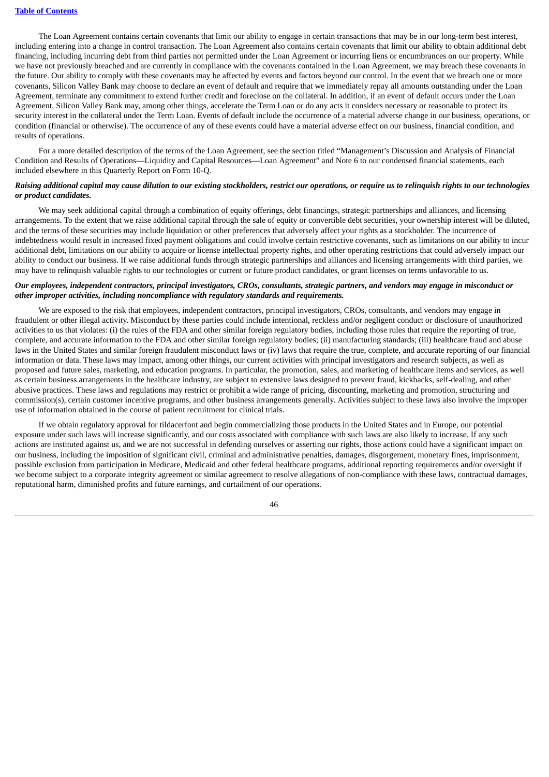The Loan Agreement contains certain covenants that limit our ability to engage in certain transactions that may be in our long-term best interest, including entering into a change in control transaction. The Loan Agreement also contains certain covenants that limit our ability to obtain additional debt financing, including incurring debt from third parties not permitted under the Loan Agreement or incurring liens or encumbrances on our property. While we have not previously breached and are currently in compliance with the covenants contained in the Loan Agreement, we may breach these covenants in the future. Our ability to comply with these covenants may be affected by events and factors beyond our control. In the event that we breach one or more covenants, Silicon Valley Bank may choose to declare an event of default and require that we immediately repay all amounts outstanding under the Loan Agreement, terminate any commitment to extend further credit and foreclose on the collateral. In addition, if an event of default occurs under the Loan Agreement, Silicon Valley Bank may, among other things, accelerate the Term Loan or do any acts it considers necessary or reasonable to protect its security interest in the collateral under the Term Loan. Events of default include the occurrence of a material adverse change in our business, operations, or condition (financial or otherwise). The occurrence of any of these events could have a material adverse effect on our business, financial condition, and results of operations.

For a more detailed description of the terms of the Loan Agreement, see the section titled "Management's Discussion and Analysis of Financial Condition and Results of Operations—Liquidity and Capital Resources—Loan Agreement" and Note 6 to our condensed financial statements, each included elsewhere in this Quarterly Report on Form 10-Q.

# Raising additional capital may cause dilution to our existing stockholders, restrict our operations, or require us to relinguish rights to our technologies *or product candidates.*

We may seek additional capital through a combination of equity offerings, debt financings, strategic partnerships and alliances, and licensing arrangements. To the extent that we raise additional capital through the sale of equity or convertible debt securities, your ownership interest will be diluted, and the terms of these securities may include liquidation or other preferences that adversely affect your rights as a stockholder. The incurrence of indebtedness would result in increased fixed payment obligations and could involve certain restrictive covenants, such as limitations on our ability to incur additional debt, limitations on our ability to acquire or license intellectual property rights, and other operating restrictions that could adversely impact our ability to conduct our business. If we raise additional funds through strategic partnerships and alliances and licensing arrangements with third parties, we may have to relinquish valuable rights to our technologies or current or future product candidates, or grant licenses on terms unfavorable to us.

# Our employees, independent contractors, principal investigators, CROs, consultants, strategic partners, and vendors may engage in misconduct or *other improper activities, including noncompliance with regulatory standards and requirements.*

We are exposed to the risk that employees, independent contractors, principal investigators, CROs, consultants, and vendors may engage in fraudulent or other illegal activity. Misconduct by these parties could include intentional, reckless and/or negligent conduct or disclosure of unauthorized activities to us that violates: (i) the rules of the FDA and other similar foreign regulatory bodies, including those rules that require the reporting of true, complete, and accurate information to the FDA and other similar foreign regulatory bodies; (ii) manufacturing standards; (iii) healthcare fraud and abuse laws in the United States and similar foreign fraudulent misconduct laws or (iv) laws that require the true, complete, and accurate reporting of our financial information or data. These laws may impact, among other things, our current activities with principal investigators and research subjects, as well as proposed and future sales, marketing, and education programs. In particular, the promotion, sales, and marketing of healthcare items and services, as well as certain business arrangements in the healthcare industry, are subject to extensive laws designed to prevent fraud, kickbacks, self-dealing, and other abusive practices. These laws and regulations may restrict or prohibit a wide range of pricing, discounting, marketing and promotion, structuring and commission(s), certain customer incentive programs, and other business arrangements generally. Activities subject to these laws also involve the improper use of information obtained in the course of patient recruitment for clinical trials.

If we obtain regulatory approval for tildacerfont and begin commercializing those products in the United States and in Europe, our potential exposure under such laws will increase significantly, and our costs associated with compliance with such laws are also likely to increase. If any such actions are instituted against us, and we are not successful in defending ourselves or asserting our rights, those actions could have a significant impact on our business, including the imposition of significant civil, criminal and administrative penalties, damages, disgorgement, monetary fines, imprisonment, possible exclusion from participation in Medicare, Medicaid and other federal healthcare programs, additional reporting requirements and/or oversight if we become subject to a corporate integrity agreement or similar agreement to resolve allegations of non-compliance with these laws, contractual damages, reputational harm, diminished profits and future earnings, and curtailment of our operations.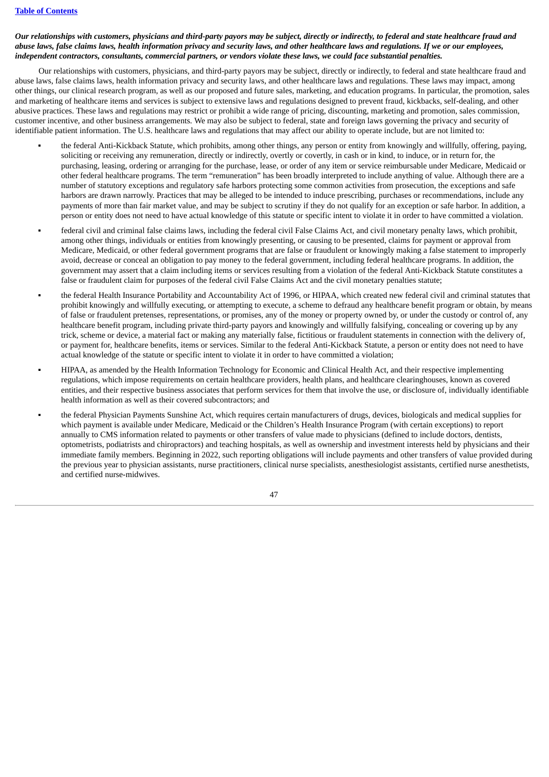# Our relationships with customers, physicians and third-party payors may be subject, directly or indirectly, to federal and state healthcare fraud and abuse laws, false claims laws, health information privacy and security laws, and other healthcare laws and regulations. If we or our employees, independent contractors, consultants, commercial partners, or vendors violate these laws, we could face substantial penalties.

Our relationships with customers, physicians, and third-party payors may be subject, directly or indirectly, to federal and state healthcare fraud and abuse laws, false claims laws, health information privacy and security laws, and other healthcare laws and regulations. These laws may impact, among other things, our clinical research program, as well as our proposed and future sales, marketing, and education programs. In particular, the promotion, sales and marketing of healthcare items and services is subject to extensive laws and regulations designed to prevent fraud, kickbacks, self-dealing, and other abusive practices. These laws and regulations may restrict or prohibit a wide range of pricing, discounting, marketing and promotion, sales commission, customer incentive, and other business arrangements. We may also be subject to federal, state and foreign laws governing the privacy and security of identifiable patient information. The U.S. healthcare laws and regulations that may affect our ability to operate include, but are not limited to:

- the federal Anti-Kickback Statute, which prohibits, among other things, any person or entity from knowingly and willfully, offering, paying, soliciting or receiving any remuneration, directly or indirectly, overtly or covertly, in cash or in kind, to induce, or in return for, the purchasing, leasing, ordering or arranging for the purchase, lease, or order of any item or service reimbursable under Medicare, Medicaid or other federal healthcare programs. The term "remuneration" has been broadly interpreted to include anything of value. Although there are a number of statutory exceptions and regulatory safe harbors protecting some common activities from prosecution, the exceptions and safe harbors are drawn narrowly. Practices that may be alleged to be intended to induce prescribing, purchases or recommendations, include any payments of more than fair market value, and may be subject to scrutiny if they do not qualify for an exception or safe harbor. In addition, a person or entity does not need to have actual knowledge of this statute or specific intent to violate it in order to have committed a violation.
- federal civil and criminal false claims laws, including the federal civil False Claims Act, and civil monetary penalty laws, which prohibit, among other things, individuals or entities from knowingly presenting, or causing to be presented, claims for payment or approval from Medicare, Medicaid, or other federal government programs that are false or fraudulent or knowingly making a false statement to improperly avoid, decrease or conceal an obligation to pay money to the federal government, including federal healthcare programs. In addition, the government may assert that a claim including items or services resulting from a violation of the federal Anti-Kickback Statute constitutes a false or fraudulent claim for purposes of the federal civil False Claims Act and the civil monetary penalties statute;
- the federal Health Insurance Portability and Accountability Act of 1996, or HIPAA, which created new federal civil and criminal statutes that prohibit knowingly and willfully executing, or attempting to execute, a scheme to defraud any healthcare benefit program or obtain, by means of false or fraudulent pretenses, representations, or promises, any of the money or property owned by, or under the custody or control of, any healthcare benefit program, including private third-party payors and knowingly and willfully falsifying, concealing or covering up by any trick, scheme or device, a material fact or making any materially false, fictitious or fraudulent statements in connection with the delivery of, or payment for, healthcare benefits, items or services. Similar to the federal Anti-Kickback Statute, a person or entity does not need to have actual knowledge of the statute or specific intent to violate it in order to have committed a violation;
- HIPAA, as amended by the Health Information Technology for Economic and Clinical Health Act, and their respective implementing regulations, which impose requirements on certain healthcare providers, health plans, and healthcare clearinghouses, known as covered entities, and their respective business associates that perform services for them that involve the use, or disclosure of, individually identifiable health information as well as their covered subcontractors; and
- the federal Physician Payments Sunshine Act, which requires certain manufacturers of drugs, devices, biologicals and medical supplies for which payment is available under Medicare, Medicaid or the Children's Health Insurance Program (with certain exceptions) to report annually to CMS information related to payments or other transfers of value made to physicians (defined to include doctors, dentists, optometrists, podiatrists and chiropractors) and teaching hospitals, as well as ownership and investment interests held by physicians and their immediate family members. Beginning in 2022, such reporting obligations will include payments and other transfers of value provided during the previous year to physician assistants, nurse practitioners, clinical nurse specialists, anesthesiologist assistants, certified nurse anesthetists, and certified nurse-midwives.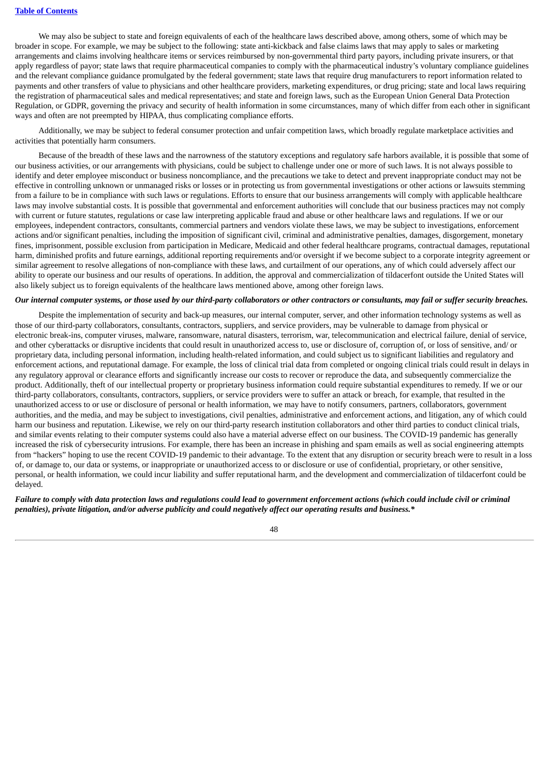#### **Table of [Contents](#page-1-0)**

We may also be subject to state and foreign equivalents of each of the healthcare laws described above, among others, some of which may be broader in scope. For example, we may be subject to the following: state anti-kickback and false claims laws that may apply to sales or marketing arrangements and claims involving healthcare items or services reimbursed by non-governmental third party payors, including private insurers, or that apply regardless of payor; state laws that require pharmaceutical companies to comply with the pharmaceutical industry's voluntary compliance guidelines and the relevant compliance guidance promulgated by the federal government; state laws that require drug manufacturers to report information related to payments and other transfers of value to physicians and other healthcare providers, marketing expenditures, or drug pricing; state and local laws requiring the registration of pharmaceutical sales and medical representatives; and state and foreign laws, such as the European Union General Data Protection Regulation, or GDPR, governing the privacy and security of health information in some circumstances, many of which differ from each other in significant ways and often are not preempted by HIPAA, thus complicating compliance efforts.

Additionally, we may be subject to federal consumer protection and unfair competition laws, which broadly regulate marketplace activities and activities that potentially harm consumers.

Because of the breadth of these laws and the narrowness of the statutory exceptions and regulatory safe harbors available, it is possible that some of our business activities, or our arrangements with physicians, could be subject to challenge under one or more of such laws. It is not always possible to identify and deter employee misconduct or business noncompliance, and the precautions we take to detect and prevent inappropriate conduct may not be effective in controlling unknown or unmanaged risks or losses or in protecting us from governmental investigations or other actions or lawsuits stemming from a failure to be in compliance with such laws or regulations. Efforts to ensure that our business arrangements will comply with applicable healthcare laws may involve substantial costs. It is possible that governmental and enforcement authorities will conclude that our business practices may not comply with current or future statutes, regulations or case law interpreting applicable fraud and abuse or other healthcare laws and regulations. If we or our employees, independent contractors, consultants, commercial partners and vendors violate these laws, we may be subject to investigations, enforcement actions and/or significant penalties, including the imposition of significant civil, criminal and administrative penalties, damages, disgorgement, monetary fines, imprisonment, possible exclusion from participation in Medicare, Medicaid and other federal healthcare programs, contractual damages, reputational harm, diminished profits and future earnings, additional reporting requirements and/or oversight if we become subject to a corporate integrity agreement or similar agreement to resolve allegations of non-compliance with these laws, and curtailment of our operations, any of which could adversely affect our ability to operate our business and our results of operations. In addition, the approval and commercialization of tildacerfont outside the United States will also likely subject us to foreign equivalents of the healthcare laws mentioned above, among other foreign laws.

# Our internal computer systems, or those used by our third-party collaborators or other contractors or consultants, may fail or suffer security breaches.

Despite the implementation of security and back-up measures, our internal computer, server, and other information technology systems as well as those of our third-party collaborators, consultants, contractors, suppliers, and service providers, may be vulnerable to damage from physical or electronic break-ins, computer viruses, malware, ransomware, natural disasters, terrorism, war, telecommunication and electrical failure, denial of service, and other cyberattacks or disruptive incidents that could result in unauthorized access to, use or disclosure of, corruption of, or loss of sensitive, and/ or proprietary data, including personal information, including health-related information, and could subject us to significant liabilities and regulatory and enforcement actions, and reputational damage. For example, the loss of clinical trial data from completed or ongoing clinical trials could result in delays in any regulatory approval or clearance efforts and significantly increase our costs to recover or reproduce the data, and subsequently commercialize the product. Additionally, theft of our intellectual property or proprietary business information could require substantial expenditures to remedy. If we or our third-party collaborators, consultants, contractors, suppliers, or service providers were to suffer an attack or breach, for example, that resulted in the unauthorized access to or use or disclosure of personal or health information, we may have to notify consumers, partners, collaborators, government authorities, and the media, and may be subject to investigations, civil penalties, administrative and enforcement actions, and litigation, any of which could harm our business and reputation. Likewise, we rely on our third-party research institution collaborators and other third parties to conduct clinical trials, and similar events relating to their computer systems could also have a material adverse effect on our business. The COVID-19 pandemic has generally increased the risk of cybersecurity intrusions. For example, there has been an increase in phishing and spam emails as well as social engineering attempts from "hackers" hoping to use the recent COVID-19 pandemic to their advantage. To the extent that any disruption or security breach were to result in a loss of, or damage to, our data or systems, or inappropriate or unauthorized access to or disclosure or use of confidential, proprietary, or other sensitive, personal, or health information, we could incur liability and suffer reputational harm, and the development and commercialization of tildacerfont could be delayed.

Failure to comply with data protection laws and regulations could lead to government enforcement actions (which could include civil or criminal penalties), private litigation, and/or adverse publicity and could negatively affect our operating results and business.\*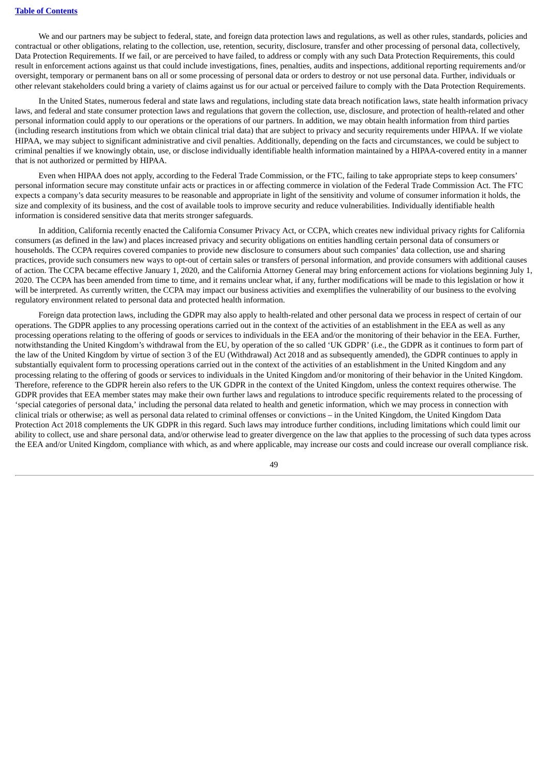We and our partners may be subject to federal, state, and foreign data protection laws and regulations, as well as other rules, standards, policies and contractual or other obligations, relating to the collection, use, retention, security, disclosure, transfer and other processing of personal data, collectively, Data Protection Requirements. If we fail, or are perceived to have failed, to address or comply with any such Data Protection Requirements, this could result in enforcement actions against us that could include investigations, fines, penalties, audits and inspections, additional reporting requirements and/or oversight, temporary or permanent bans on all or some processing of personal data or orders to destroy or not use personal data. Further, individuals or other relevant stakeholders could bring a variety of claims against us for our actual or perceived failure to comply with the Data Protection Requirements.

In the United States, numerous federal and state laws and regulations, including state data breach notification laws, state health information privacy laws, and federal and state consumer protection laws and regulations that govern the collection, use, disclosure, and protection of health-related and other personal information could apply to our operations or the operations of our partners. In addition, we may obtain health information from third parties (including research institutions from which we obtain clinical trial data) that are subject to privacy and security requirements under HIPAA. If we violate HIPAA, we may subject to significant administrative and civil penalties. Additionally, depending on the facts and circumstances, we could be subject to criminal penalties if we knowingly obtain, use, or disclose individually identifiable health information maintained by a HIPAA-covered entity in a manner that is not authorized or permitted by HIPAA.

Even when HIPAA does not apply, according to the Federal Trade Commission, or the FTC, failing to take appropriate steps to keep consumers' personal information secure may constitute unfair acts or practices in or affecting commerce in violation of the Federal Trade Commission Act. The FTC expects a company's data security measures to be reasonable and appropriate in light of the sensitivity and volume of consumer information it holds, the size and complexity of its business, and the cost of available tools to improve security and reduce vulnerabilities. Individually identifiable health information is considered sensitive data that merits stronger safeguards.

In addition, California recently enacted the California Consumer Privacy Act, or CCPA, which creates new individual privacy rights for California consumers (as defined in the law) and places increased privacy and security obligations on entities handling certain personal data of consumers or households. The CCPA requires covered companies to provide new disclosure to consumers about such companies' data collection, use and sharing practices, provide such consumers new ways to opt-out of certain sales or transfers of personal information, and provide consumers with additional causes of action. The CCPA became effective January 1, 2020, and the California Attorney General may bring enforcement actions for violations beginning July 1, 2020. The CCPA has been amended from time to time, and it remains unclear what, if any, further modifications will be made to this legislation or how it will be interpreted. As currently written, the CCPA may impact our business activities and exemplifies the vulnerability of our business to the evolving regulatory environment related to personal data and protected health information.

Foreign data protection laws, including the GDPR may also apply to health-related and other personal data we process in respect of certain of our operations. The GDPR applies to any processing operations carried out in the context of the activities of an establishment in the EEA as well as any processing operations relating to the offering of goods or services to individuals in the EEA and/or the monitoring of their behavior in the EEA. Further, notwithstanding the United Kingdom's withdrawal from the EU, by operation of the so called 'UK GDPR' (i.e., the GDPR as it continues to form part of the law of the United Kingdom by virtue of section 3 of the EU (Withdrawal) Act 2018 and as subsequently amended), the GDPR continues to apply in substantially equivalent form to processing operations carried out in the context of the activities of an establishment in the United Kingdom and any processing relating to the offering of goods or services to individuals in the United Kingdom and/or monitoring of their behavior in the United Kingdom. Therefore, reference to the GDPR herein also refers to the UK GDPR in the context of the United Kingdom, unless the context requires otherwise. The GDPR provides that EEA member states may make their own further laws and regulations to introduce specific requirements related to the processing of 'special categories of personal data,' including the personal data related to health and genetic information, which we may process in connection with clinical trials or otherwise; as well as personal data related to criminal offenses or convictions – in the United Kingdom, the United Kingdom Data Protection Act 2018 complements the UK GDPR in this regard. Such laws may introduce further conditions, including limitations which could limit our ability to collect, use and share personal data, and/or otherwise lead to greater divergence on the law that applies to the processing of such data types across the EEA and/or United Kingdom, compliance with which, as and where applicable, may increase our costs and could increase our overall compliance risk.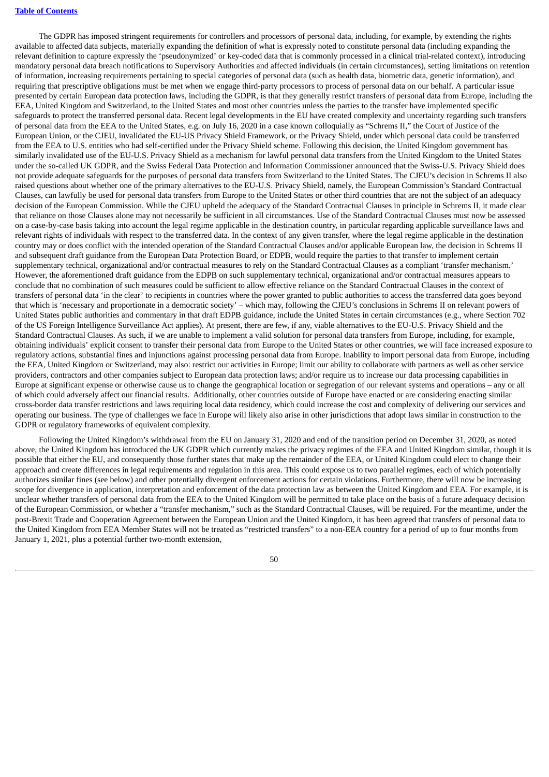#### **Table of [Contents](#page-1-0)**

The GDPR has imposed stringent requirements for controllers and processors of personal data, including, for example, by extending the rights available to affected data subjects, materially expanding the definition of what is expressly noted to constitute personal data (including expanding the relevant definition to capture expressly the 'pseudonymized' or key-coded data that is commonly processed in a clinical trial-related context), introducing mandatory personal data breach notifications to Supervisory Authorities and affected individuals (in certain circumstances), setting limitations on retention of information, increasing requirements pertaining to special categories of personal data (such as health data, biometric data, genetic information), and requiring that prescriptive obligations must be met when we engage third-party processors to process of personal data on our behalf. A particular issue presented by certain European data protection laws, including the GDPR, is that they generally restrict transfers of personal data from Europe, including the EEA, United Kingdom and Switzerland, to the United States and most other countries unless the parties to the transfer have implemented specific safeguards to protect the transferred personal data. Recent legal developments in the EU have created complexity and uncertainty regarding such transfers of personal data from the EEA to the United States, e.g. on July 16, 2020 in a case known colloquially as "Schrems II," the Court of Justice of the European Union, or the CJEU, invalidated the EU-US Privacy Shield Framework, or the Privacy Shield, under which personal data could be transferred from the EEA to U.S. entities who had self-certified under the Privacy Shield scheme. Following this decision, the United Kingdom government has similarly invalidated use of the EU-U.S. Privacy Shield as a mechanism for lawful personal data transfers from the United Kingdom to the United States under the so-called UK GDPR, and the Swiss Federal Data Protection and Information Commissioner announced that the Swiss-U.S. Privacy Shield does not provide adequate safeguards for the purposes of personal data transfers from Switzerland to the United States. The CJEU's decision in Schrems II also raised questions about whether one of the primary alternatives to the EU-U.S. Privacy Shield, namely, the European Commission's Standard Contractual Clauses, can lawfully be used for personal data transfers from Europe to the United States or other third countries that are not the subject of an adequacy decision of the European Commission. While the CJEU upheld the adequacy of the Standard Contractual Clauses in principle in Schrems II, it made clear that reliance on those Clauses alone may not necessarily be sufficient in all circumstances. Use of the Standard Contractual Clauses must now be assessed on a case-by-case basis taking into account the legal regime applicable in the destination country, in particular regarding applicable surveillance laws and relevant rights of individuals with respect to the transferred data. In the context of any given transfer, where the legal regime applicable in the destination country may or does conflict with the intended operation of the Standard Contractual Clauses and/or applicable European law, the decision in Schrems II and subsequent draft guidance from the European Data Protection Board, or EDPB, would require the parties to that transfer to implement certain supplementary technical, organizational and/or contractual measures to rely on the Standard Contractual Clauses as a compliant 'transfer mechanism.' However, the aforementioned draft guidance from the EDPB on such supplementary technical, organizational and/or contractual measures appears to conclude that no combination of such measures could be sufficient to allow effective reliance on the Standard Contractual Clauses in the context of transfers of personal data 'in the clear' to recipients in countries where the power granted to public authorities to access the transferred data goes beyond that which is 'necessary and proportionate in a democratic society' – which may, following the CJEU's conclusions in Schrems II on relevant powers of United States public authorities and commentary in that draft EDPB guidance, include the United States in certain circumstances (e.g., where Section 702 of the US Foreign Intelligence Surveillance Act applies). At present, there are few, if any, viable alternatives to the EU-U.S. Privacy Shield and the Standard Contractual Clauses. As such, if we are unable to implement a valid solution for personal data transfers from Europe, including, for example, obtaining individuals' explicit consent to transfer their personal data from Europe to the United States or other countries, we will face increased exposure to regulatory actions, substantial fines and injunctions against processing personal data from Europe. Inability to import personal data from Europe, including the EEA, United Kingdom or Switzerland, may also: restrict our activities in Europe; limit our ability to collaborate with partners as well as other service providers, contractors and other companies subject to European data protection laws; and/or require us to increase our data processing capabilities in Europe at significant expense or otherwise cause us to change the geographical location or segregation of our relevant systems and operations – any or all of which could adversely affect our financial results. Additionally, other countries outside of Europe have enacted or are considering enacting similar cross-border data transfer restrictions and laws requiring local data residency, which could increase the cost and complexity of delivering our services and operating our business. The type of challenges we face in Europe will likely also arise in other jurisdictions that adopt laws similar in construction to the GDPR or regulatory frameworks of equivalent complexity.

Following the United Kingdom's withdrawal from the EU on January 31, 2020 and end of the transition period on December 31, 2020, as noted above, the United Kingdom has introduced the UK GDPR which currently makes the privacy regimes of the EEA and United Kingdom similar, though it is possible that either the EU, and consequently those further states that make up the remainder of the EEA, or United Kingdom could elect to change their approach and create differences in legal requirements and regulation in this area. This could expose us to two parallel regimes, each of which potentially authorizes similar fines (see below) and other potentially divergent enforcement actions for certain violations. Furthermore, there will now be increasing scope for divergence in application, interpretation and enforcement of the data protection law as between the United Kingdom and EEA. For example, it is unclear whether transfers of personal data from the EEA to the United Kingdom will be permitted to take place on the basis of a future adequacy decision of the European Commission, or whether a "transfer mechanism," such as the Standard Contractual Clauses, will be required. For the meantime, under the post-Brexit Trade and Cooperation Agreement between the European Union and the United Kingdom, it has been agreed that transfers of personal data to the United Kingdom from EEA Member States will not be treated as "restricted transfers" to a non-EEA country for a period of up to four months from January 1, 2021, plus a potential further two-month extension,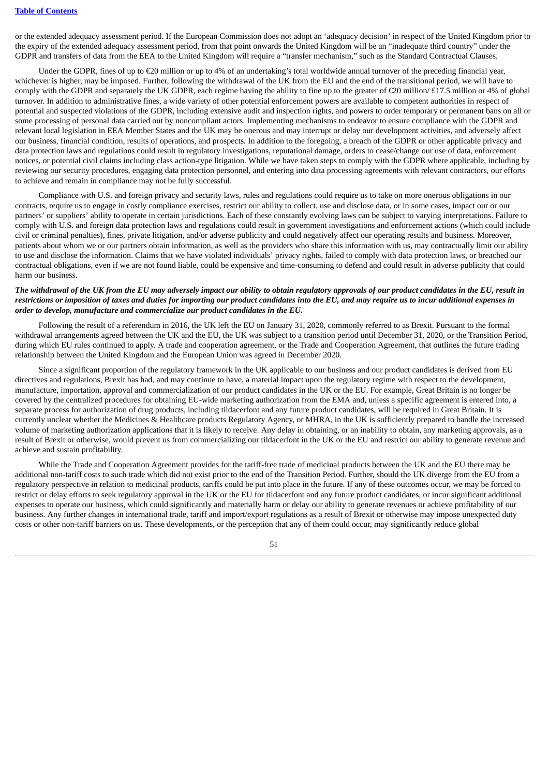or the extended adequacy assessment period. If the European Commission does not adopt an 'adequacy decision' in respect of the United Kingdom prior to the expiry of the extended adequacy assessment period, from that point onwards the United Kingdom will be an "inadequate third country" under the GDPR and transfers of data from the EEA to the United Kingdom will require a "transfer mechanism," such as the Standard Contractual Clauses.

Under the GDPR, fines of up to €20 million or up to 4% of an undertaking's total worldwide annual turnover of the preceding financial year, whichever is higher, may be imposed. Further, following the withdrawal of the UK from the EU and the end of the transitional period, we will have to comply with the GDPR and separately the UK GDPR, each regime having the ability to fine up to the greater of €20 million/ £17.5 million or 4% of global turnover. In addition to administrative fines, a wide variety of other potential enforcement powers are available to competent authorities in respect of potential and suspected violations of the GDPR, including extensive audit and inspection rights, and powers to order temporary or permanent bans on all or some processing of personal data carried out by noncompliant actors. Implementing mechanisms to endeavor to ensure compliance with the GDPR and relevant local legislation in EEA Member States and the UK may be onerous and may interrupt or delay our development activities, and adversely affect our business, financial condition, results of operations, and prospects. In addition to the foregoing, a breach of the GDPR or other applicable privacy and data protection laws and regulations could result in regulatory investigations, reputational damage, orders to cease/change our use of data, enforcement notices, or potential civil claims including class action-type litigation. While we have taken steps to comply with the GDPR where applicable, including by reviewing our security procedures, engaging data protection personnel, and entering into data processing agreements with relevant contractors, our efforts to achieve and remain in compliance may not be fully successful.

Compliance with U.S. and foreign privacy and security laws, rules and regulations could require us to take on more onerous obligations in our contracts, require us to engage in costly compliance exercises, restrict our ability to collect, use and disclose data, or in some cases, impact our or our partners' or suppliers' ability to operate in certain jurisdictions. Each of these constantly evolving laws can be subject to varying interpretations. Failure to comply with U.S. and foreign data protection laws and regulations could result in government investigations and enforcement actions (which could include civil or criminal penalties), fines, private litigation, and/or adverse publicity and could negatively affect our operating results and business. Moreover, patients about whom we or our partners obtain information, as well as the providers who share this information with us, may contractually limit our ability to use and disclose the information. Claims that we have violated individuals' privacy rights, failed to comply with data protection laws, or breached our contractual obligations, even if we are not found liable, could be expensive and time-consuming to defend and could result in adverse publicity that could harm our business.

# The withdrawal of the UK from the EU may adversely impact our ability to obtain reaulatory approvals of our product candidates in the EU, result in restrictions or imposition of taxes and duties for importing our product candidates into the EU, and may require us to incur additional expenses in *order to develop, manufacture and commercialize our product candidates in the EU.*

Following the result of a referendum in 2016, the UK left the EU on January 31, 2020, commonly referred to as Brexit. Pursuant to the formal withdrawal arrangements agreed between the UK and the EU, the UK was subject to a transition period until December 31, 2020, or the Transition Period, during which EU rules continued to apply. A trade and cooperation agreement, or the Trade and Cooperation Agreement, that outlines the future trading relationship between the United Kingdom and the European Union was agreed in December 2020.

Since a significant proportion of the regulatory framework in the UK applicable to our business and our product candidates is derived from EU directives and regulations, Brexit has had, and may continue to have, a material impact upon the regulatory regime with respect to the development, manufacture, importation, approval and commercialization of our product candidates in the UK or the EU. For example, Great Britain is no longer be covered by the centralized procedures for obtaining EU-wide marketing authorization from the EMA and, unless a specific agreement is entered into, a separate process for authorization of drug products, including tildacerfont and any future product candidates, will be required in Great Britain. It is currently unclear whether the Medicines & Healthcare products Regulatory Agency, or MHRA, in the UK is sufficiently prepared to handle the increased volume of marketing authorization applications that it is likely to receive. Any delay in obtaining, or an inability to obtain, any marketing approvals, as a result of Brexit or otherwise, would prevent us from commercializing our tildacerfont in the UK or the EU and restrict our ability to generate revenue and achieve and sustain profitability.

While the Trade and Cooperation Agreement provides for the tariff-free trade of medicinal products between the UK and the EU there may be additional non-tariff costs to such trade which did not exist prior to the end of the Transition Period. Further, should the UK diverge from the EU from a regulatory perspective in relation to medicinal products, tariffs could be put into place in the future. If any of these outcomes occur, we may be forced to restrict or delay efforts to seek regulatory approval in the UK or the EU for tildacerfont and any future product candidates, or incur significant additional expenses to operate our business, which could significantly and materially harm or delay our ability to generate revenues or achieve profitability of our business. Any further changes in international trade, tariff and import/export regulations as a result of Brexit or otherwise may impose unexpected duty costs or other non-tariff barriers on us. These developments, or the perception that any of them could occur, may significantly reduce global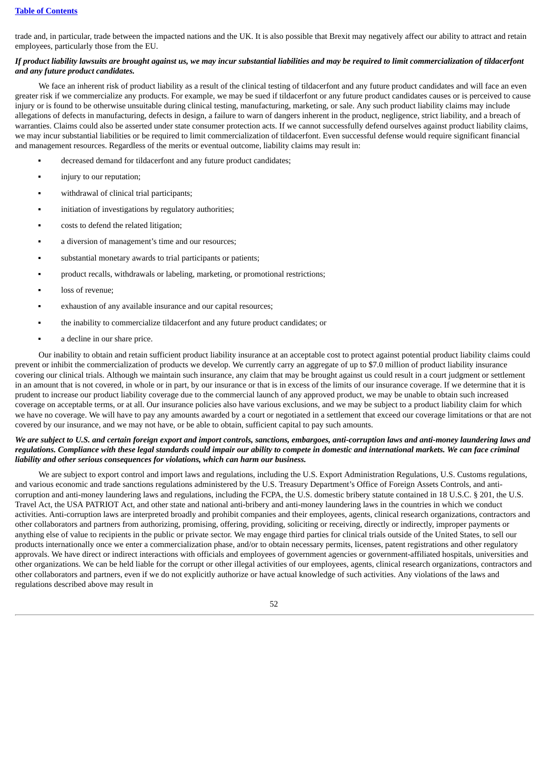trade and, in particular, trade between the impacted nations and the UK. It is also possible that Brexit may negatively affect our ability to attract and retain employees, particularly those from the EU.

# If product liability lawsuits are brought against us, we may incur substantial liabilities and may be required to limit commercialization of tildacerfont *and any future product candidates.*

We face an inherent risk of product liability as a result of the clinical testing of tildacerfont and any future product candidates and will face an even greater risk if we commercialize any products. For example, we may be sued if tildacerfont or any future product candidates causes or is perceived to cause injury or is found to be otherwise unsuitable during clinical testing, manufacturing, marketing, or sale. Any such product liability claims may include allegations of defects in manufacturing, defects in design, a failure to warn of dangers inherent in the product, negligence, strict liability, and a breach of warranties. Claims could also be asserted under state consumer protection acts. If we cannot successfully defend ourselves against product liability claims, we may incur substantial liabilities or be required to limit commercialization of tildacerfont. Even successful defense would require significant financial and management resources. Regardless of the merits or eventual outcome, liability claims may result in:

- decreased demand for tildacerfont and any future product candidates;
- **•** injury to our reputation;
- withdrawal of clinical trial participants;
- **•** initiation of investigations by regulatory authorities:
- costs to defend the related litigation;
- a diversion of management's time and our resources;
- substantial monetary awards to trial participants or patients;
- product recalls, withdrawals or labeling, marketing, or promotional restrictions;
- loss of revenue:
- exhaustion of any available insurance and our capital resources;
- the inability to commercialize tildacerfont and any future product candidates; or
- a decline in our share price.

Our inability to obtain and retain sufficient product liability insurance at an acceptable cost to protect against potential product liability claims could prevent or inhibit the commercialization of products we develop. We currently carry an aggregate of up to \$7.0 million of product liability insurance covering our clinical trials. Although we maintain such insurance, any claim that may be brought against us could result in a court judgment or settlement in an amount that is not covered, in whole or in part, by our insurance or that is in excess of the limits of our insurance coverage. If we determine that it is prudent to increase our product liability coverage due to the commercial launch of any approved product, we may be unable to obtain such increased coverage on acceptable terms, or at all. Our insurance policies also have various exclusions, and we may be subject to a product liability claim for which we have no coverage. We will have to pay any amounts awarded by a court or negotiated in a settlement that exceed our coverage limitations or that are not covered by our insurance, and we may not have, or be able to obtain, sufficient capital to pay such amounts.

## We are subject to U.S. and certain foreign export and import controls, sanctions, embargoes, anti-corruption laws and anti-money laundering laws and regulations. Compliance with these legal standards could impair our ability to compete in domestic and international markets. We can face criminal *liability and other serious consequences for violations, which can harm our business.*

We are subject to export control and import laws and regulations, including the U.S. Export Administration Regulations, U.S. Customs regulations, and various economic and trade sanctions regulations administered by the U.S. Treasury Department's Office of Foreign Assets Controls, and anticorruption and anti-money laundering laws and regulations, including the FCPA, the U.S. domestic bribery statute contained in 18 U.S.C. § 201, the U.S. Travel Act, the USA PATRIOT Act, and other state and national anti-bribery and anti-money laundering laws in the countries in which we conduct activities. Anti-corruption laws are interpreted broadly and prohibit companies and their employees, agents, clinical research organizations, contractors and other collaborators and partners from authorizing, promising, offering, providing, soliciting or receiving, directly or indirectly, improper payments or anything else of value to recipients in the public or private sector. We may engage third parties for clinical trials outside of the United States, to sell our products internationally once we enter a commercialization phase, and/or to obtain necessary permits, licenses, patent registrations and other regulatory approvals. We have direct or indirect interactions with officials and employees of government agencies or government-affiliated hospitals, universities and other organizations. We can be held liable for the corrupt or other illegal activities of our employees, agents, clinical research organizations, contractors and other collaborators and partners, even if we do not explicitly authorize or have actual knowledge of such activities. Any violations of the laws and regulations described above may result in

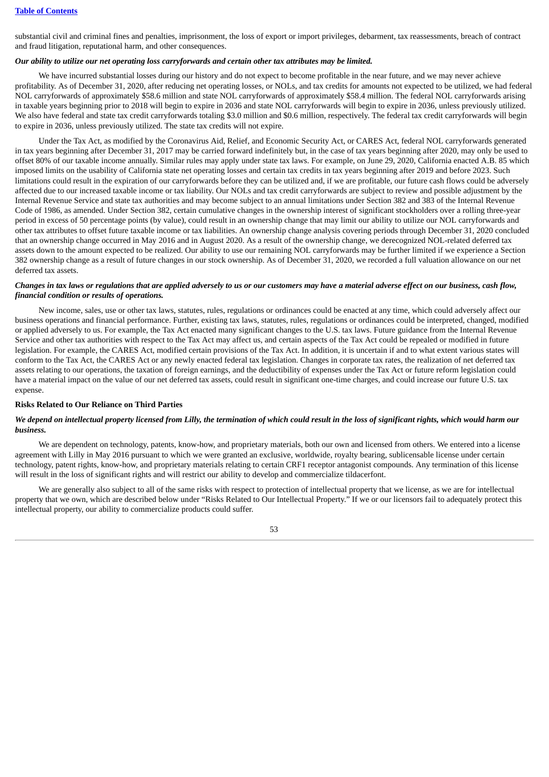substantial civil and criminal fines and penalties, imprisonment, the loss of export or import privileges, debarment, tax reassessments, breach of contract and fraud litigation, reputational harm, and other consequences.

#### Our ability to utilize our net operating loss carryforwards and certain other tax attributes may be limited.

We have incurred substantial losses during our history and do not expect to become profitable in the near future, and we may never achieve profitability. As of December 31, 2020, after reducing net operating losses, or NOLs, and tax credits for amounts not expected to be utilized, we had federal NOL carryforwards of approximately \$58.6 million and state NOL carryforwards of approximately \$58.4 million. The federal NOL carryforwards arising in taxable years beginning prior to 2018 will begin to expire in 2036 and state NOL carryforwards will begin to expire in 2036, unless previously utilized. We also have federal and state tax credit carryforwards totaling \$3.0 million and \$0.6 million, respectively. The federal tax credit carryforwards will begin to expire in 2036, unless previously utilized. The state tax credits will not expire.

Under the Tax Act, as modified by the Coronavirus Aid, Relief, and Economic Security Act, or CARES Act, federal NOL carryforwards generated in tax years beginning after December 31, 2017 may be carried forward indefinitely but, in the case of tax years beginning after 2020, may only be used to offset 80% of our taxable income annually. Similar rules may apply under state tax laws. For example, on June 29, 2020, California enacted A.B. 85 which imposed limits on the usability of California state net operating losses and certain tax credits in tax years beginning after 2019 and before 2023. Such limitations could result in the expiration of our carryforwards before they can be utilized and, if we are profitable, our future cash flows could be adversely affected due to our increased taxable income or tax liability. Our NOLs and tax credit carryforwards are subject to review and possible adjustment by the Internal Revenue Service and state tax authorities and may become subject to an annual limitations under Section 382 and 383 of the Internal Revenue Code of 1986, as amended. Under Section 382, certain cumulative changes in the ownership interest of significant stockholders over a rolling three-year period in excess of 50 percentage points (by value), could result in an ownership change that may limit our ability to utilize our NOL carryforwards and other tax attributes to offset future taxable income or tax liabilities. An ownership change analysis covering periods through December 31, 2020 concluded that an ownership change occurred in May 2016 and in August 2020. As a result of the ownership change, we derecognized NOL-related deferred tax assets down to the amount expected to be realized. Our ability to use our remaining NOL carryforwards may be further limited if we experience a Section 382 ownership change as a result of future changes in our stock ownership. As of December 31, 2020, we recorded a full valuation allowance on our net deferred tax assets.

# Changes in tax laws or regulations that are applied adversely to us or our customers may have a material adverse effect on our business, cash flow, *financial condition or results of operations.*

New income, sales, use or other tax laws, statutes, rules, regulations or ordinances could be enacted at any time, which could adversely affect our business operations and financial performance. Further, existing tax laws, statutes, rules, regulations or ordinances could be interpreted, changed, modified or applied adversely to us. For example, the Tax Act enacted many significant changes to the U.S. tax laws. Future guidance from the Internal Revenue Service and other tax authorities with respect to the Tax Act may affect us, and certain aspects of the Tax Act could be repealed or modified in future legislation. For example, the CARES Act, modified certain provisions of the Tax Act. In addition, it is uncertain if and to what extent various states will conform to the Tax Act, the CARES Act or any newly enacted federal tax legislation. Changes in corporate tax rates, the realization of net deferred tax assets relating to our operations, the taxation of foreign earnings, and the deductibility of expenses under the Tax Act or future reform legislation could have a material impact on the value of our net deferred tax assets, could result in significant one-time charges, and could increase our future U.S. tax expense.

#### **Risks Related to Our Reliance on Third Parties**

# We depend on intellectual property licensed from Lilly, the termination of which could result in the loss of significant rights, which would harm our *business.*

We are dependent on technology, patents, know-how, and proprietary materials, both our own and licensed from others. We entered into a license agreement with Lilly in May 2016 pursuant to which we were granted an exclusive, worldwide, royalty bearing, sublicensable license under certain technology, patent rights, know-how, and proprietary materials relating to certain CRF1 receptor antagonist compounds. Any termination of this license will result in the loss of significant rights and will restrict our ability to develop and commercialize tildacerfont.

We are generally also subject to all of the same risks with respect to protection of intellectual property that we license, as we are for intellectual property that we own, which are described below under "Risks Related to Our Intellectual Property." If we or our licensors fail to adequately protect this intellectual property, our ability to commercialize products could suffer.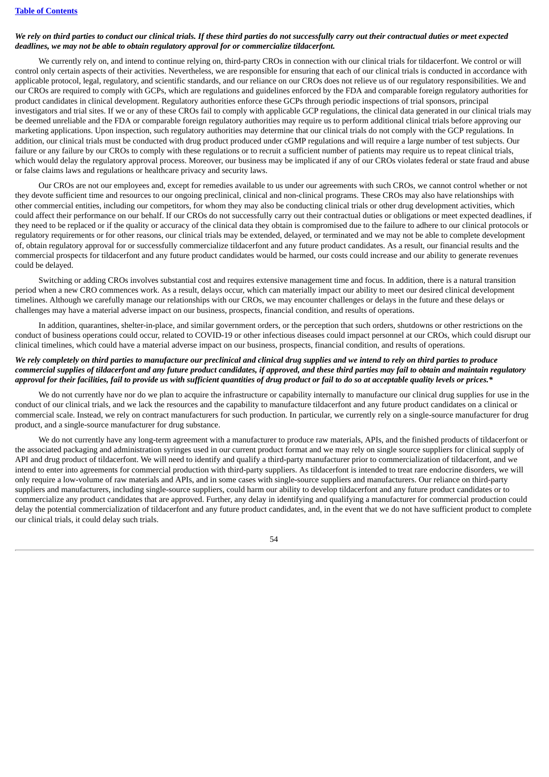# We rely on third parties to conduct our clinical trials. If these third parties do not successfully carry out their contractual duties or meet expected *deadlines, we may not be able to obtain regulatory approval for or commercialize tildacerfont.*

We currently rely on, and intend to continue relying on, third-party CROs in connection with our clinical trials for tildacerfont. We control or will control only certain aspects of their activities. Nevertheless, we are responsible for ensuring that each of our clinical trials is conducted in accordance with applicable protocol, legal, regulatory, and scientific standards, and our reliance on our CROs does not relieve us of our regulatory responsibilities. We and our CROs are required to comply with GCPs, which are regulations and guidelines enforced by the FDA and comparable foreign regulatory authorities for product candidates in clinical development. Regulatory authorities enforce these GCPs through periodic inspections of trial sponsors, principal investigators and trial sites. If we or any of these CROs fail to comply with applicable GCP regulations, the clinical data generated in our clinical trials may be deemed unreliable and the FDA or comparable foreign regulatory authorities may require us to perform additional clinical trials before approving our marketing applications. Upon inspection, such regulatory authorities may determine that our clinical trials do not comply with the GCP regulations. In addition, our clinical trials must be conducted with drug product produced under cGMP regulations and will require a large number of test subjects. Our failure or any failure by our CROs to comply with these regulations or to recruit a sufficient number of patients may require us to repeat clinical trials. which would delay the regulatory approval process. Moreover, our business may be implicated if any of our CROs violates federal or state fraud and abuse or false claims laws and regulations or healthcare privacy and security laws.

Our CROs are not our employees and, except for remedies available to us under our agreements with such CROs, we cannot control whether or not they devote sufficient time and resources to our ongoing preclinical, clinical and non-clinical programs. These CROs may also have relationships with other commercial entities, including our competitors, for whom they may also be conducting clinical trials or other drug development activities, which could affect their performance on our behalf. If our CROs do not successfully carry out their contractual duties or obligations or meet expected deadlines, if they need to be replaced or if the quality or accuracy of the clinical data they obtain is compromised due to the failure to adhere to our clinical protocols or regulatory requirements or for other reasons, our clinical trials may be extended, delayed, or terminated and we may not be able to complete development of, obtain regulatory approval for or successfully commercialize tildacerfont and any future product candidates. As a result, our financial results and the commercial prospects for tildacerfont and any future product candidates would be harmed, our costs could increase and our ability to generate revenues could be delayed.

Switching or adding CROs involves substantial cost and requires extensive management time and focus. In addition, there is a natural transition period when a new CRO commences work. As a result, delays occur, which can materially impact our ability to meet our desired clinical development timelines. Although we carefully manage our relationships with our CROs, we may encounter challenges or delays in the future and these delays or challenges may have a material adverse impact on our business, prospects, financial condition, and results of operations.

In addition, quarantines, shelter-in-place, and similar government orders, or the perception that such orders, shutdowns or other restrictions on the conduct of business operations could occur, related to COVID-19 or other infectious diseases could impact personnel at our CROs, which could disrupt our clinical timelines, which could have a material adverse impact on our business, prospects, financial condition, and results of operations.

# We rely completely on third parties to manufacture our preclinical and clinical drua supplies and we intend to rely on third parties to produce commercial supplies of tildacerfont and any future product candidates, if approved, and these third parties may fail to obtain and maintain regulatory approval for their facilities, fail to provide us with sufficient quantities of drug product or fail to do so at acceptable quality levels or prices.\*

We do not currently have nor do we plan to acquire the infrastructure or capability internally to manufacture our clinical drug supplies for use in the conduct of our clinical trials, and we lack the resources and the capability to manufacture tildacerfont and any future product candidates on a clinical or commercial scale. Instead, we rely on contract manufacturers for such production. In particular, we currently rely on a single-source manufacturer for drug product, and a single-source manufacturer for drug substance.

We do not currently have any long-term agreement with a manufacturer to produce raw materials, APIs, and the finished products of tildacerfont or the associated packaging and administration syringes used in our current product format and we may rely on single source suppliers for clinical supply of API and drug product of tildacerfont. We will need to identify and qualify a third-party manufacturer prior to commercialization of tildacerfont, and we intend to enter into agreements for commercial production with third-party suppliers. As tildacerfont is intended to treat rare endocrine disorders, we will only require a low-volume of raw materials and APIs, and in some cases with single-source suppliers and manufacturers. Our reliance on third-party suppliers and manufacturers, including single-source suppliers, could harm our ability to develop tildacerfont and any future product candidates or to commercialize any product candidates that are approved. Further, any delay in identifying and qualifying a manufacturer for commercial production could delay the potential commercialization of tildacerfont and any future product candidates, and, in the event that we do not have sufficient product to complete our clinical trials, it could delay such trials.

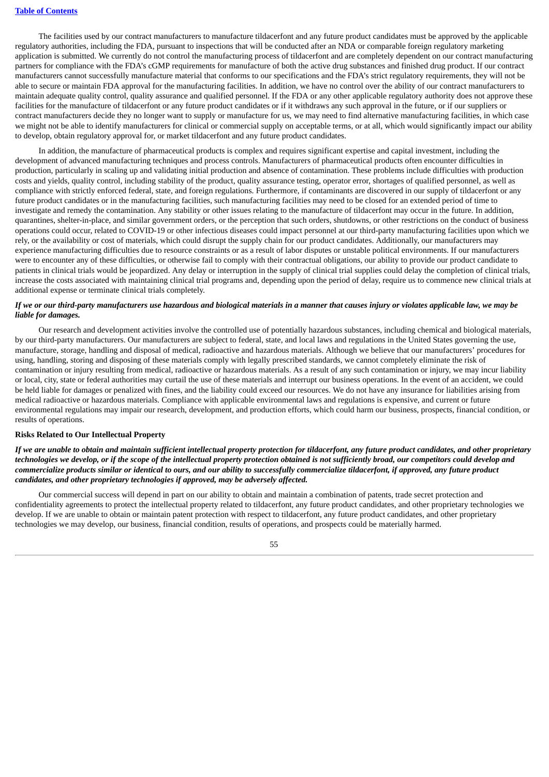The facilities used by our contract manufacturers to manufacture tildacerfont and any future product candidates must be approved by the applicable regulatory authorities, including the FDA, pursuant to inspections that will be conducted after an NDA or comparable foreign regulatory marketing application is submitted. We currently do not control the manufacturing process of tildacerfont and are completely dependent on our contract manufacturing partners for compliance with the FDA's cGMP requirements for manufacture of both the active drug substances and finished drug product. If our contract manufacturers cannot successfully manufacture material that conforms to our specifications and the FDA's strict regulatory requirements, they will not be able to secure or maintain FDA approval for the manufacturing facilities. In addition, we have no control over the ability of our contract manufacturers to maintain adequate quality control, quality assurance and qualified personnel. If the FDA or any other applicable regulatory authority does not approve these facilities for the manufacture of tildacerfont or any future product candidates or if it withdraws any such approval in the future, or if our suppliers or contract manufacturers decide they no longer want to supply or manufacture for us, we may need to find alternative manufacturing facilities, in which case we might not be able to identify manufacturers for clinical or commercial supply on acceptable terms, or at all, which would significantly impact our ability to develop, obtain regulatory approval for, or market tildacerfont and any future product candidates.

In addition, the manufacture of pharmaceutical products is complex and requires significant expertise and capital investment, including the development of advanced manufacturing techniques and process controls. Manufacturers of pharmaceutical products often encounter difficulties in production, particularly in scaling up and validating initial production and absence of contamination. These problems include difficulties with production costs and yields, quality control, including stability of the product, quality assurance testing, operator error, shortages of qualified personnel, as well as compliance with strictly enforced federal, state, and foreign regulations. Furthermore, if contaminants are discovered in our supply of tildacerfont or any future product candidates or in the manufacturing facilities, such manufacturing facilities may need to be closed for an extended period of time to investigate and remedy the contamination. Any stability or other issues relating to the manufacture of tildacerfont may occur in the future. In addition, quarantines, shelter-in-place, and similar government orders, or the perception that such orders, shutdowns, or other restrictions on the conduct of business operations could occur, related to COVID-19 or other infectious diseases could impact personnel at our third-party manufacturing facilities upon which we rely, or the availability or cost of materials, which could disrupt the supply chain for our product candidates. Additionally, our manufacturers may experience manufacturing difficulties due to resource constraints or as a result of labor disputes or unstable political environments. If our manufacturers were to encounter any of these difficulties, or otherwise fail to comply with their contractual obligations, our ability to provide our product candidate to patients in clinical trials would be jeopardized. Any delay or interruption in the supply of clinical trial supplies could delay the completion of clinical trials, increase the costs associated with maintaining clinical trial programs and, depending upon the period of delay, require us to commence new clinical trials at additional expense or terminate clinical trials completely.

#### If we or our third-party manufacturers use hazardous and biological materials in a manner that causes injury or violates applicable law, we may be *liable for damages.*

Our research and development activities involve the controlled use of potentially hazardous substances, including chemical and biological materials, by our third-party manufacturers. Our manufacturers are subject to federal, state, and local laws and regulations in the United States governing the use, manufacture, storage, handling and disposal of medical, radioactive and hazardous materials. Although we believe that our manufacturers' procedures for using, handling, storing and disposing of these materials comply with legally prescribed standards, we cannot completely eliminate the risk of contamination or injury resulting from medical, radioactive or hazardous materials. As a result of any such contamination or injury, we may incur liability or local, city, state or federal authorities may curtail the use of these materials and interrupt our business operations. In the event of an accident, we could be held liable for damages or penalized with fines, and the liability could exceed our resources. We do not have any insurance for liabilities arising from medical radioactive or hazardous materials. Compliance with applicable environmental laws and regulations is expensive, and current or future environmental regulations may impair our research, development, and production efforts, which could harm our business, prospects, financial condition, or results of operations.

#### **Risks Related to Our Intellectual Property**

If we are unable to obtain and maintain sufficient intellectual property protection for tildacerfont, any future product candidates, and other proprietary technologies we develop, or if the scope of the intellectual property protection obtained is not sufficiently broad, our competitors could develop and commercialize products similar or identical to ours, and our ability to successfully commercialize tildacerfont, if approved, any future product *candidates, and other proprietary technologies if approved, may be adversely affected.*

Our commercial success will depend in part on our ability to obtain and maintain a combination of patents, trade secret protection and confidentiality agreements to protect the intellectual property related to tildacerfont, any future product candidates, and other proprietary technologies we develop. If we are unable to obtain or maintain patent protection with respect to tildacerfont, any future product candidates, and other proprietary technologies we may develop, our business, financial condition, results of operations, and prospects could be materially harmed.

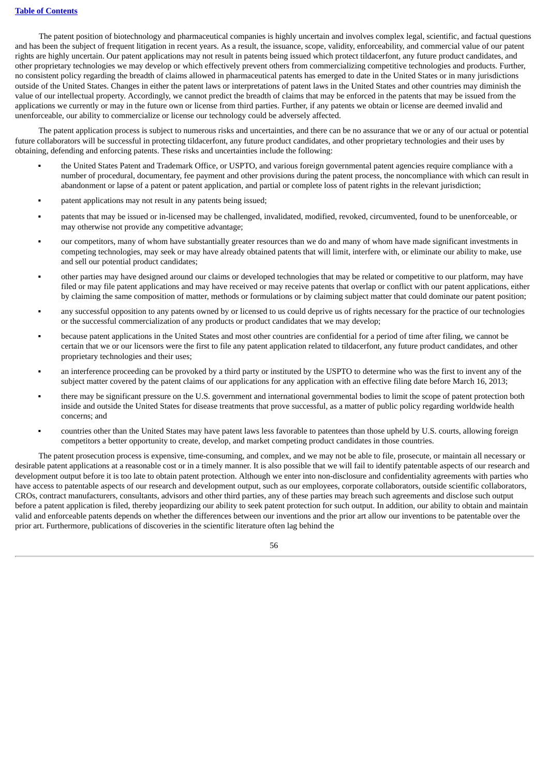The patent position of biotechnology and pharmaceutical companies is highly uncertain and involves complex legal, scientific, and factual questions and has been the subject of frequent litigation in recent years. As a result, the issuance, scope, validity, enforceability, and commercial value of our patent rights are highly uncertain. Our patent applications may not result in patents being issued which protect tildacerfont, any future product candidates, and other proprietary technologies we may develop or which effectively prevent others from commercializing competitive technologies and products. Further, no consistent policy regarding the breadth of claims allowed in pharmaceutical patents has emerged to date in the United States or in many jurisdictions outside of the United States. Changes in either the patent laws or interpretations of patent laws in the United States and other countries may diminish the value of our intellectual property. Accordingly, we cannot predict the breadth of claims that may be enforced in the patents that may be issued from the applications we currently or may in the future own or license from third parties. Further, if any patents we obtain or license are deemed invalid and unenforceable, our ability to commercialize or license our technology could be adversely affected.

The patent application process is subject to numerous risks and uncertainties, and there can be no assurance that we or any of our actual or potential future collaborators will be successful in protecting tildacerfont, any future product candidates, and other proprietary technologies and their uses by obtaining, defending and enforcing patents. These risks and uncertainties include the following:

- the United States Patent and Trademark Office, or USPTO, and various foreign governmental patent agencies require compliance with a number of procedural, documentary, fee payment and other provisions during the patent process, the noncompliance with which can result in abandonment or lapse of a patent or patent application, and partial or complete loss of patent rights in the relevant jurisdiction;
- patent applications may not result in any patents being issued;
- patents that may be issued or in-licensed may be challenged, invalidated, modified, revoked, circumvented, found to be unenforceable, or may otherwise not provide any competitive advantage;
- our competitors, many of whom have substantially greater resources than we do and many of whom have made significant investments in competing technologies, may seek or may have already obtained patents that will limit, interfere with, or eliminate our ability to make, use and sell our potential product candidates;
- other parties may have designed around our claims or developed technologies that may be related or competitive to our platform, may have filed or may file patent applications and may have received or may receive patents that overlap or conflict with our patent applications, either by claiming the same composition of matter, methods or formulations or by claiming subject matter that could dominate our patent position;
- any successful opposition to any patents owned by or licensed to us could deprive us of rights necessary for the practice of our technologies or the successful commercialization of any products or product candidates that we may develop;
- because patent applications in the United States and most other countries are confidential for a period of time after filing, we cannot be certain that we or our licensors were the first to file any patent application related to tildacerfont, any future product candidates, and other proprietary technologies and their uses;
- an interference proceeding can be provoked by a third party or instituted by the USPTO to determine who was the first to invent any of the subject matter covered by the patent claims of our applications for any application with an effective filing date before March 16, 2013;
- there may be significant pressure on the U.S. government and international governmental bodies to limit the scope of patent protection both inside and outside the United States for disease treatments that prove successful, as a matter of public policy regarding worldwide health concerns; and
- countries other than the United States may have patent laws less favorable to patentees than those upheld by U.S. courts, allowing foreign competitors a better opportunity to create, develop, and market competing product candidates in those countries.

The patent prosecution process is expensive, time-consuming, and complex, and we may not be able to file, prosecute, or maintain all necessary or desirable patent applications at a reasonable cost or in a timely manner. It is also possible that we will fail to identify patentable aspects of our research and development output before it is too late to obtain patent protection. Although we enter into non-disclosure and confidentiality agreements with parties who have access to patentable aspects of our research and development output, such as our employees, corporate collaborators, outside scientific collaborators, CROs, contract manufacturers, consultants, advisors and other third parties, any of these parties may breach such agreements and disclose such output before a patent application is filed, thereby jeopardizing our ability to seek patent protection for such output. In addition, our ability to obtain and maintain valid and enforceable patents depends on whether the differences between our inventions and the prior art allow our inventions to be patentable over the prior art. Furthermore, publications of discoveries in the scientific literature often lag behind the

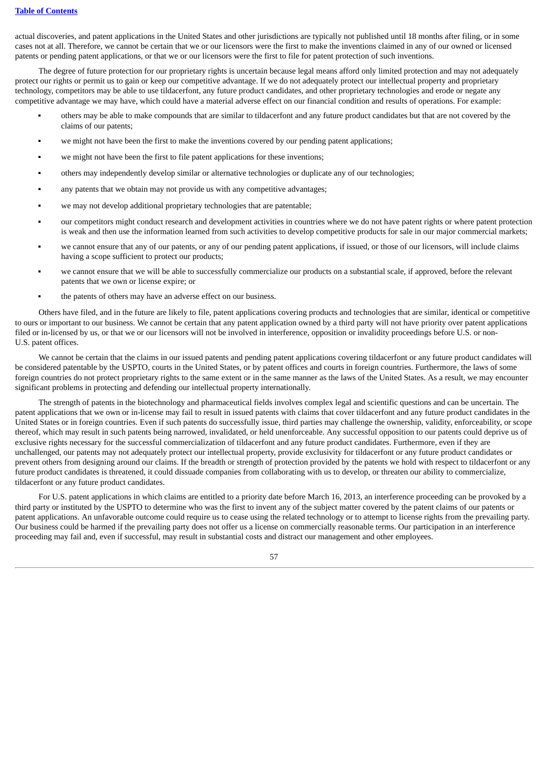actual discoveries, and patent applications in the United States and other jurisdictions are typically not published until 18 months after filing, or in some cases not at all. Therefore, we cannot be certain that we or our licensors were the first to make the inventions claimed in any of our owned or licensed patents or pending patent applications, or that we or our licensors were the first to file for patent protection of such inventions.

The degree of future protection for our proprietary rights is uncertain because legal means afford only limited protection and may not adequately protect our rights or permit us to gain or keep our competitive advantage. If we do not adequately protect our intellectual property and proprietary technology, competitors may be able to use tildacerfont, any future product candidates, and other proprietary technologies and erode or negate any competitive advantage we may have, which could have a material adverse effect on our financial condition and results of operations. For example:

- others may be able to make compounds that are similar to tildacerfont and any future product candidates but that are not covered by the claims of our patents;
- we might not have been the first to make the inventions covered by our pending patent applications;
- we might not have been the first to file patent applications for these inventions;
- others may independently develop similar or alternative technologies or duplicate any of our technologies;
- any patents that we obtain may not provide us with any competitive advantages;
- we may not develop additional proprietary technologies that are patentable;
- our competitors might conduct research and development activities in countries where we do not have patent rights or where patent protection is weak and then use the information learned from such activities to develop competitive products for sale in our major commercial markets;
- we cannot ensure that any of our patents, or any of our pending patent applications, if issued, or those of our licensors, will include claims having a scope sufficient to protect our products;
- we cannot ensure that we will be able to successfully commercialize our products on a substantial scale, if approved, before the relevant patents that we own or license expire; or
- the patents of others may have an adverse effect on our business.

Others have filed, and in the future are likely to file, patent applications covering products and technologies that are similar, identical or competitive to ours or important to our business. We cannot be certain that any patent application owned by a third party will not have priority over patent applications filed or in-licensed by us, or that we or our licensors will not be involved in interference, opposition or invalidity proceedings before U.S. or non-U.S. patent offices.

We cannot be certain that the claims in our issued patents and pending patent applications covering tildacerfont or any future product candidates will be considered patentable by the USPTO, courts in the United States, or by patent offices and courts in foreign countries. Furthermore, the laws of some foreign countries do not protect proprietary rights to the same extent or in the same manner as the laws of the United States. As a result, we may encounter significant problems in protecting and defending our intellectual property internationally.

The strength of patents in the biotechnology and pharmaceutical fields involves complex legal and scientific questions and can be uncertain. The patent applications that we own or in-license may fail to result in issued patents with claims that cover tildacerfont and any future product candidates in the United States or in foreign countries. Even if such patents do successfully issue, third parties may challenge the ownership, validity, enforceability, or scope thereof, which may result in such patents being narrowed, invalidated, or held unenforceable. Any successful opposition to our patents could deprive us of exclusive rights necessary for the successful commercialization of tildacerfont and any future product candidates. Furthermore, even if they are unchallenged, our patents may not adequately protect our intellectual property, provide exclusivity for tildacerfont or any future product candidates or prevent others from designing around our claims. If the breadth or strength of protection provided by the patents we hold with respect to tildacerfont or any future product candidates is threatened, it could dissuade companies from collaborating with us to develop, or threaten our ability to commercialize, tildacerfont or any future product candidates.

For U.S. patent applications in which claims are entitled to a priority date before March 16, 2013, an interference proceeding can be provoked by a third party or instituted by the USPTO to determine who was the first to invent any of the subject matter covered by the patent claims of our patents or patent applications. An unfavorable outcome could require us to cease using the related technology or to attempt to license rights from the prevailing party. Our business could be harmed if the prevailing party does not offer us a license on commercially reasonable terms. Our participation in an interference proceeding may fail and, even if successful, may result in substantial costs and distract our management and other employees.

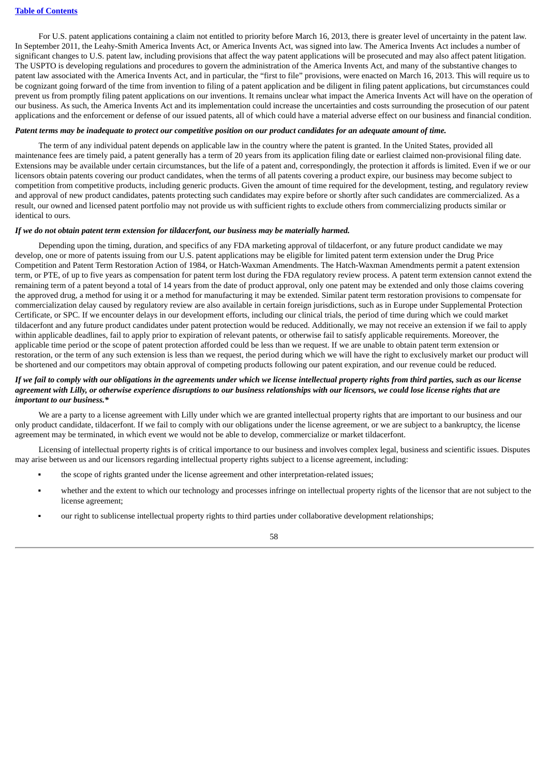For U.S. patent applications containing a claim not entitled to priority before March 16, 2013, there is greater level of uncertainty in the patent law. In September 2011, the Leahy-Smith America Invents Act, or America Invents Act, was signed into law. The America Invents Act includes a number of significant changes to U.S. patent law, including provisions that affect the way patent applications will be prosecuted and may also affect patent litigation. The USPTO is developing regulations and procedures to govern the administration of the America Invents Act, and many of the substantive changes to patent law associated with the America Invents Act, and in particular, the "first to file" provisions, were enacted on March 16, 2013. This will require us to be cognizant going forward of the time from invention to filing of a patent application and be diligent in filing patent applications, but circumstances could prevent us from promptly filing patent applications on our inventions. It remains unclear what impact the America Invents Act will have on the operation of our business. As such, the America Invents Act and its implementation could increase the uncertainties and costs surrounding the prosecution of our patent applications and the enforcement or defense of our issued patents, all of which could have a material adverse effect on our business and financial condition.

#### Patent terms may be inadequate to protect our competitive position on our product candidates for an adequate amount of time.

The term of any individual patent depends on applicable law in the country where the patent is granted. In the United States, provided all maintenance fees are timely paid, a patent generally has a term of 20 years from its application filing date or earliest claimed non-provisional filing date. Extensions may be available under certain circumstances, but the life of a patent and, correspondingly, the protection it affords is limited. Even if we or our licensors obtain patents covering our product candidates, when the terms of all patents covering a product expire, our business may become subject to competition from competitive products, including generic products. Given the amount of time required for the development, testing, and regulatory review and approval of new product candidates, patents protecting such candidates may expire before or shortly after such candidates are commercialized. As a result, our owned and licensed patent portfolio may not provide us with sufficient rights to exclude others from commercializing products similar or identical to ours.

#### *If we do not obtain patent term extension for tildacerfont, our business may be materially harmed.*

Depending upon the timing, duration, and specifics of any FDA marketing approval of tildacerfont, or any future product candidate we may develop, one or more of patents issuing from our U.S. patent applications may be eligible for limited patent term extension under the Drug Price Competition and Patent Term Restoration Action of 1984, or Hatch-Waxman Amendments. The Hatch-Waxman Amendments permit a patent extension term, or PTE, of up to five years as compensation for patent term lost during the FDA regulatory review process. A patent term extension cannot extend the remaining term of a patent beyond a total of 14 years from the date of product approval, only one patent may be extended and only those claims covering the approved drug, a method for using it or a method for manufacturing it may be extended. Similar patent term restoration provisions to compensate for commercialization delay caused by regulatory review are also available in certain foreign jurisdictions, such as in Europe under Supplemental Protection Certificate, or SPC. If we encounter delays in our development efforts, including our clinical trials, the period of time during which we could market tildacerfont and any future product candidates under patent protection would be reduced. Additionally, we may not receive an extension if we fail to apply within applicable deadlines, fail to apply prior to expiration of relevant patents, or otherwise fail to satisfy applicable requirements. Moreover, the applicable time period or the scope of patent protection afforded could be less than we request. If we are unable to obtain patent term extension or restoration, or the term of any such extension is less than we request, the period during which we will have the right to exclusively market our product will be shortened and our competitors may obtain approval of competing products following our patent expiration, and our revenue could be reduced.

#### If we fail to comply with our obligations in the agreements under which we license intellectual property rights from third parties, such as our license agreement with Lilly, or otherwise experience disruptions to our business relationships with our licensors, we could lose license rights that are *important to our business.\**

We are a party to a license agreement with Lilly under which we are granted intellectual property rights that are important to our business and our only product candidate, tildacerfont. If we fail to comply with our obligations under the license agreement, or we are subject to a bankruptcy, the license agreement may be terminated, in which event we would not be able to develop, commercialize or market tildacerfont.

Licensing of intellectual property rights is of critical importance to our business and involves complex legal, business and scientific issues. Disputes may arise between us and our licensors regarding intellectual property rights subject to a license agreement, including:

- the scope of rights granted under the license agreement and other interpretation-related issues;
- whether and the extent to which our technology and processes infringe on intellectual property rights of the licensor that are not subject to the license agreement;
- our right to sublicense intellectual property rights to third parties under collaborative development relationships;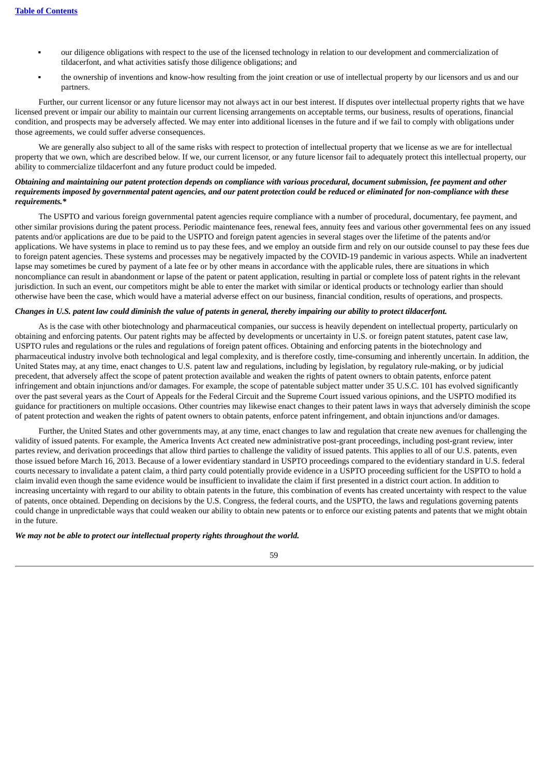- our diligence obligations with respect to the use of the licensed technology in relation to our development and commercialization of tildacerfont, and what activities satisfy those diligence obligations; and
- the ownership of inventions and know-how resulting from the joint creation or use of intellectual property by our licensors and us and our partners.

Further, our current licensor or any future licensor may not always act in our best interest. If disputes over intellectual property rights that we have licensed prevent or impair our ability to maintain our current licensing arrangements on acceptable terms, our business, results of operations, financial condition, and prospects may be adversely affected. We may enter into additional licenses in the future and if we fail to comply with obligations under those agreements, we could suffer adverse consequences.

We are generally also subject to all of the same risks with respect to protection of intellectual property that we license as we are for intellectual property that we own, which are described below. If we, our current licensor, or any future licensor fail to adequately protect this intellectual property, our ability to commercialize tildacerfont and any future product could be impeded.

# Obtaining and maintaining our patent protection depends on compliance with various procedural, document submission, fee payment and other requirements imposed by governmental patent agencies, and our patent protection could be reduced or eliminated for non-compliance with these *requirements.\**

The USPTO and various foreign governmental patent agencies require compliance with a number of procedural, documentary, fee payment, and other similar provisions during the patent process. Periodic maintenance fees, renewal fees, annuity fees and various other governmental fees on any issued patents and/or applications are due to be paid to the USPTO and foreign patent agencies in several stages over the lifetime of the patents and/or applications. We have systems in place to remind us to pay these fees, and we employ an outside firm and rely on our outside counsel to pay these fees due to foreign patent agencies. These systems and processes may be negatively impacted by the COVID-19 pandemic in various aspects. While an inadvertent lapse may sometimes be cured by payment of a late fee or by other means in accordance with the applicable rules, there are situations in which noncompliance can result in abandonment or lapse of the patent or patent application, resulting in partial or complete loss of patent rights in the relevant jurisdiction. In such an event, our competitors might be able to enter the market with similar or identical products or technology earlier than should otherwise have been the case, which would have a material adverse effect on our business, financial condition, results of operations, and prospects.

#### Changes in U.S. patent law could diminish the value of patents in general, thereby impairing our ability to protect tildacerfont.

As is the case with other biotechnology and pharmaceutical companies, our success is heavily dependent on intellectual property, particularly on obtaining and enforcing patents. Our patent rights may be affected by developments or uncertainty in U.S. or foreign patent statutes, patent case law, USPTO rules and regulations or the rules and regulations of foreign patent offices. Obtaining and enforcing patents in the biotechnology and pharmaceutical industry involve both technological and legal complexity, and is therefore costly, time-consuming and inherently uncertain. In addition, the United States may, at any time, enact changes to U.S. patent law and regulations, including by legislation, by regulatory rule-making, or by judicial precedent, that adversely affect the scope of patent protection available and weaken the rights of patent owners to obtain patents, enforce patent infringement and obtain injunctions and/or damages. For example, the scope of patentable subject matter under 35 U.S.C. 101 has evolved significantly over the past several years as the Court of Appeals for the Federal Circuit and the Supreme Court issued various opinions, and the USPTO modified its guidance for practitioners on multiple occasions. Other countries may likewise enact changes to their patent laws in ways that adversely diminish the scope of patent protection and weaken the rights of patent owners to obtain patents, enforce patent infringement, and obtain injunctions and/or damages.

Further, the United States and other governments may, at any time, enact changes to law and regulation that create new avenues for challenging the validity of issued patents. For example, the America Invents Act created new administrative post-grant proceedings, including post-grant review, inter partes review, and derivation proceedings that allow third parties to challenge the validity of issued patents. This applies to all of our U.S. patents, even those issued before March 16, 2013. Because of a lower evidentiary standard in USPTO proceedings compared to the evidentiary standard in U.S. federal courts necessary to invalidate a patent claim, a third party could potentially provide evidence in a USPTO proceeding sufficient for the USPTO to hold a claim invalid even though the same evidence would be insufficient to invalidate the claim if first presented in a district court action. In addition to increasing uncertainty with regard to our ability to obtain patents in the future, this combination of events has created uncertainty with respect to the value of patents, once obtained. Depending on decisions by the U.S. Congress, the federal courts, and the USPTO, the laws and regulations governing patents could change in unpredictable ways that could weaken our ability to obtain new patents or to enforce our existing patents and patents that we might obtain in the future.

#### *We may not be able to protect our intellectual property rights throughout the world.*

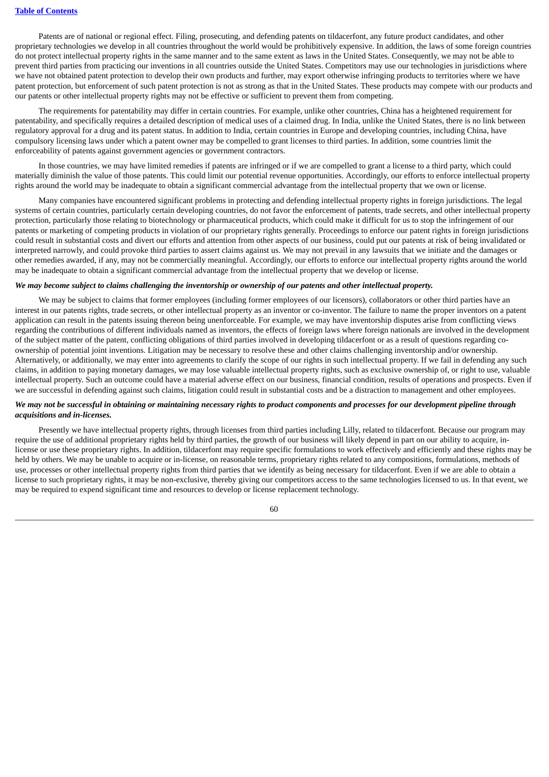Patents are of national or regional effect. Filing, prosecuting, and defending patents on tildacerfont, any future product candidates, and other proprietary technologies we develop in all countries throughout the world would be prohibitively expensive. In addition, the laws of some foreign countries do not protect intellectual property rights in the same manner and to the same extent as laws in the United States. Consequently, we may not be able to prevent third parties from practicing our inventions in all countries outside the United States. Competitors may use our technologies in jurisdictions where we have not obtained patent protection to develop their own products and further, may export otherwise infringing products to territories where we have patent protection, but enforcement of such patent protection is not as strong as that in the United States. These products may compete with our products and our patents or other intellectual property rights may not be effective or sufficient to prevent them from competing.

The requirements for patentability may differ in certain countries. For example, unlike other countries, China has a heightened requirement for patentability, and specifically requires a detailed description of medical uses of a claimed drug. In India, unlike the United States, there is no link between regulatory approval for a drug and its patent status. In addition to India, certain countries in Europe and developing countries, including China, have compulsory licensing laws under which a patent owner may be compelled to grant licenses to third parties. In addition, some countries limit the enforceability of patents against government agencies or government contractors.

In those countries, we may have limited remedies if patents are infringed or if we are compelled to grant a license to a third party, which could materially diminish the value of those patents. This could limit our potential revenue opportunities. Accordingly, our efforts to enforce intellectual property rights around the world may be inadequate to obtain a significant commercial advantage from the intellectual property that we own or license.

Many companies have encountered significant problems in protecting and defending intellectual property rights in foreign jurisdictions. The legal systems of certain countries, particularly certain developing countries, do not favor the enforcement of patents, trade secrets, and other intellectual property protection, particularly those relating to biotechnology or pharmaceutical products, which could make it difficult for us to stop the infringement of our patents or marketing of competing products in violation of our proprietary rights generally. Proceedings to enforce our patent rights in foreign jurisdictions could result in substantial costs and divert our efforts and attention from other aspects of our business, could put our patents at risk of being invalidated or interpreted narrowly, and could provoke third parties to assert claims against us. We may not prevail in any lawsuits that we initiate and the damages or other remedies awarded, if any, may not be commercially meaningful. Accordingly, our efforts to enforce our intellectual property rights around the world may be inadequate to obtain a significant commercial advantage from the intellectual property that we develop or license.

#### We may become subject to claims challenging the inventorship or ownership of our patents and other intellectual property.

We may be subject to claims that former employees (including former employees of our licensors), collaborators or other third parties have an interest in our patents rights, trade secrets, or other intellectual property as an inventor or co-inventor. The failure to name the proper inventors on a patent application can result in the patents issuing thereon being unenforceable. For example, we may have inventorship disputes arise from conflicting views regarding the contributions of different individuals named as inventors, the effects of foreign laws where foreign nationals are involved in the development of the subject matter of the patent, conflicting obligations of third parties involved in developing tildacerfont or as a result of questions regarding coownership of potential joint inventions. Litigation may be necessary to resolve these and other claims challenging inventorship and/or ownership. Alternatively, or additionally, we may enter into agreements to clarify the scope of our rights in such intellectual property. If we fail in defending any such claims, in addition to paying monetary damages, we may lose valuable intellectual property rights, such as exclusive ownership of, or right to use, valuable intellectual property. Such an outcome could have a material adverse effect on our business, financial condition, results of operations and prospects. Even if we are successful in defending against such claims, litigation could result in substantial costs and be a distraction to management and other employees.

# We may not be successful in obtaining or maintaining necessary rights to product components and processes for our development pipeline through *acquisitions and in-licenses.*

Presently we have intellectual property rights, through licenses from third parties including Lilly, related to tildacerfont. Because our program may require the use of additional proprietary rights held by third parties, the growth of our business will likely depend in part on our ability to acquire, inlicense or use these proprietary rights. In addition, tildacerfont may require specific formulations to work effectively and efficiently and these rights may be held by others. We may be unable to acquire or in-license, on reasonable terms, proprietary rights related to any compositions, formulations, methods of use, processes or other intellectual property rights from third parties that we identify as being necessary for tildacerfont. Even if we are able to obtain a license to such proprietary rights, it may be non-exclusive, thereby giving our competitors access to the same technologies licensed to us. In that event, we may be required to expend significant time and resources to develop or license replacement technology.

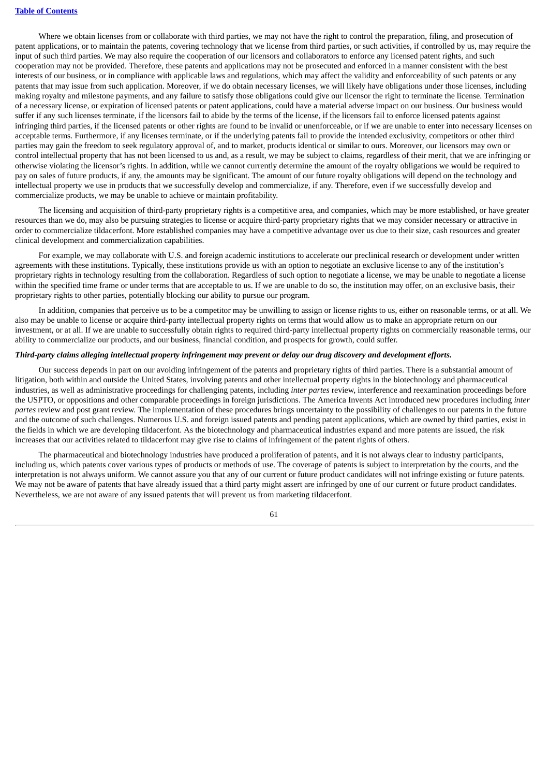Where we obtain licenses from or collaborate with third parties, we may not have the right to control the preparation, filing, and prosecution of patent applications, or to maintain the patents, covering technology that we license from third parties, or such activities, if controlled by us, may require the input of such third parties. We may also require the cooperation of our licensors and collaborators to enforce any licensed patent rights, and such cooperation may not be provided. Therefore, these patents and applications may not be prosecuted and enforced in a manner consistent with the best interests of our business, or in compliance with applicable laws and regulations, which may affect the validity and enforceability of such patents or any patents that may issue from such application. Moreover, if we do obtain necessary licenses, we will likely have obligations under those licenses, including making royalty and milestone payments, and any failure to satisfy those obligations could give our licensor the right to terminate the license. Termination of a necessary license, or expiration of licensed patents or patent applications, could have a material adverse impact on our business. Our business would suffer if any such licenses terminate, if the licensors fail to abide by the terms of the license, if the licensors fail to enforce licensed patents against infringing third parties, if the licensed patents or other rights are found to be invalid or unenforceable, or if we are unable to enter into necessary licenses on acceptable terms. Furthermore, if any licenses terminate, or if the underlying patents fail to provide the intended exclusivity, competitors or other third parties may gain the freedom to seek regulatory approval of, and to market, products identical or similar to ours. Moreover, our licensors may own or control intellectual property that has not been licensed to us and, as a result, we may be subject to claims, regardless of their merit, that we are infringing or otherwise violating the licensor's rights. In addition, while we cannot currently determine the amount of the royalty obligations we would be required to pay on sales of future products, if any, the amounts may be significant. The amount of our future royalty obligations will depend on the technology and intellectual property we use in products that we successfully develop and commercialize, if any. Therefore, even if we successfully develop and commercialize products, we may be unable to achieve or maintain profitability.

The licensing and acquisition of third-party proprietary rights is a competitive area, and companies, which may be more established, or have greater resources than we do, may also be pursuing strategies to license or acquire third-party proprietary rights that we may consider necessary or attractive in order to commercialize tildacerfont. More established companies may have a competitive advantage over us due to their size, cash resources and greater clinical development and commercialization capabilities.

For example, we may collaborate with U.S. and foreign academic institutions to accelerate our preclinical research or development under written agreements with these institutions. Typically, these institutions provide us with an option to negotiate an exclusive license to any of the institution's proprietary rights in technology resulting from the collaboration. Regardless of such option to negotiate a license, we may be unable to negotiate a license within the specified time frame or under terms that are acceptable to us. If we are unable to do so, the institution may offer, on an exclusive basis, their proprietary rights to other parties, potentially blocking our ability to pursue our program.

In addition, companies that perceive us to be a competitor may be unwilling to assign or license rights to us, either on reasonable terms, or at all. We also may be unable to license or acquire third-party intellectual property rights on terms that would allow us to make an appropriate return on our investment, or at all. If we are unable to successfully obtain rights to required third-party intellectual property rights on commercially reasonable terms, our ability to commercialize our products, and our business, financial condition, and prospects for growth, could suffer.

# Third-party claims alleging intellectual property infringement may prevent or delay our drug discovery and development efforts.

Our success depends in part on our avoiding infringement of the patents and proprietary rights of third parties. There is a substantial amount of litigation, both within and outside the United States, involving patents and other intellectual property rights in the biotechnology and pharmaceutical industries, as well as administrative proceedings for challenging patents, including *inter partes* review, interference and reexamination proceedings before the USPTO, or oppositions and other comparable proceedings in foreign jurisdictions. The America Invents Act introduced new procedures including *inter partes* review and post grant review. The implementation of these procedures brings uncertainty to the possibility of challenges to our patents in the future and the outcome of such challenges. Numerous U.S. and foreign issued patents and pending patent applications, which are owned by third parties, exist in the fields in which we are developing tildacerfont. As the biotechnology and pharmaceutical industries expand and more patents are issued, the risk increases that our activities related to tildacerfont may give rise to claims of infringement of the patent rights of others.

The pharmaceutical and biotechnology industries have produced a proliferation of patents, and it is not always clear to industry participants, including us, which patents cover various types of products or methods of use. The coverage of patents is subject to interpretation by the courts, and the interpretation is not always uniform. We cannot assure you that any of our current or future product candidates will not infringe existing or future patents. We may not be aware of patents that have already issued that a third party might assert are infringed by one of our current or future product candidates. Nevertheless, we are not aware of any issued patents that will prevent us from marketing tildacerfont.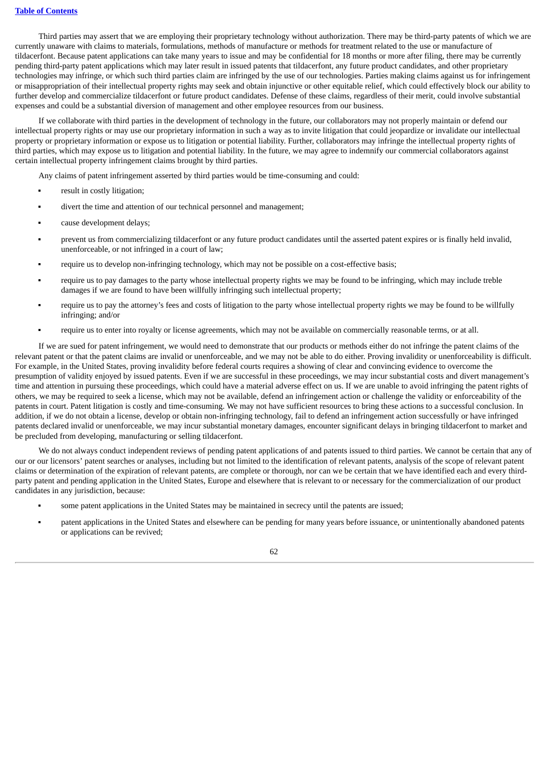Third parties may assert that we are employing their proprietary technology without authorization. There may be third-party patents of which we are currently unaware with claims to materials, formulations, methods of manufacture or methods for treatment related to the use or manufacture of tildacerfont. Because patent applications can take many years to issue and may be confidential for 18 months or more after filing, there may be currently pending third-party patent applications which may later result in issued patents that tildacerfont, any future product candidates, and other proprietary technologies may infringe, or which such third parties claim are infringed by the use of our technologies. Parties making claims against us for infringement or misappropriation of their intellectual property rights may seek and obtain injunctive or other equitable relief, which could effectively block our ability to further develop and commercialize tildacerfont or future product candidates. Defense of these claims, regardless of their merit, could involve substantial expenses and could be a substantial diversion of management and other employee resources from our business.

If we collaborate with third parties in the development of technology in the future, our collaborators may not properly maintain or defend our intellectual property rights or may use our proprietary information in such a way as to invite litigation that could jeopardize or invalidate our intellectual property or proprietary information or expose us to litigation or potential liability. Further, collaborators may infringe the intellectual property rights of third parties, which may expose us to litigation and potential liability. In the future, we may agree to indemnify our commercial collaborators against certain intellectual property infringement claims brought by third parties.

Any claims of patent infringement asserted by third parties would be time-consuming and could:

- result in costly litigation;
- divert the time and attention of our technical personnel and management;
- cause development delays:
- prevent us from commercializing tildacerfont or any future product candidates until the asserted patent expires or is finally held invalid, unenforceable, or not infringed in a court of law;
- require us to develop non-infringing technology, which may not be possible on a cost-effective basis;
- require us to pay damages to the party whose intellectual property rights we may be found to be infringing, which may include treble damages if we are found to have been willfully infringing such intellectual property;
- require us to pay the attorney's fees and costs of litigation to the party whose intellectual property rights we may be found to be willfully infringing; and/or
- require us to enter into royalty or license agreements, which may not be available on commercially reasonable terms, or at all.

If we are sued for patent infringement, we would need to demonstrate that our products or methods either do not infringe the patent claims of the relevant patent or that the patent claims are invalid or unenforceable, and we may not be able to do either. Proving invalidity or unenforceability is difficult. For example, in the United States, proving invalidity before federal courts requires a showing of clear and convincing evidence to overcome the presumption of validity enjoyed by issued patents. Even if we are successful in these proceedings, we may incur substantial costs and divert management's time and attention in pursuing these proceedings, which could have a material adverse effect on us. If we are unable to avoid infringing the patent rights of others, we may be required to seek a license, which may not be available, defend an infringement action or challenge the validity or enforceability of the patents in court. Patent litigation is costly and time-consuming. We may not have sufficient resources to bring these actions to a successful conclusion. In addition, if we do not obtain a license, develop or obtain non-infringing technology, fail to defend an infringement action successfully or have infringed patents declared invalid or unenforceable, we may incur substantial monetary damages, encounter significant delays in bringing tildacerfont to market and be precluded from developing, manufacturing or selling tildacerfont.

We do not always conduct independent reviews of pending patent applications of and patents issued to third parties. We cannot be certain that any of our or our licensors' patent searches or analyses, including but not limited to the identification of relevant patents, analysis of the scope of relevant patent claims or determination of the expiration of relevant patents, are complete or thorough, nor can we be certain that we have identified each and every thirdparty patent and pending application in the United States, Europe and elsewhere that is relevant to or necessary for the commercialization of our product candidates in any jurisdiction, because:

- some patent applications in the United States may be maintained in secrecy until the patents are issued;
- patent applications in the United States and elsewhere can be pending for many years before issuance, or unintentionally abandoned patents or applications can be revived;

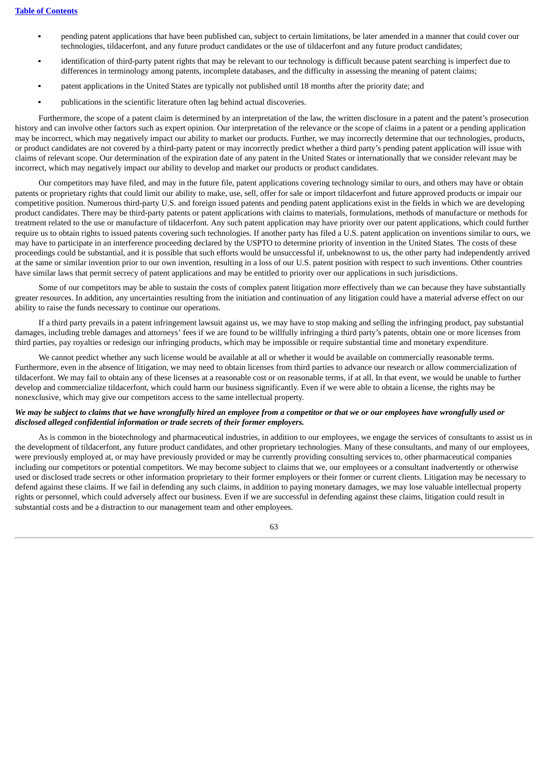- pending patent applications that have been published can, subject to certain limitations, be later amended in a manner that could cover our technologies, tildacerfont, and any future product candidates or the use of tildacerfont and any future product candidates;
- identification of third-party patent rights that may be relevant to our technology is difficult because patent searching is imperfect due to differences in terminology among patents, incomplete databases, and the difficulty in assessing the meaning of patent claims;
- patent applications in the United States are typically not published until 18 months after the priority date; and
- publications in the scientific literature often lag behind actual discoveries.

Furthermore, the scope of a patent claim is determined by an interpretation of the law, the written disclosure in a patent and the patent's prosecution history and can involve other factors such as expert opinion. Our interpretation of the relevance or the scope of claims in a patent or a pending application may be incorrect, which may negatively impact our ability to market our products. Further, we may incorrectly determine that our technologies, products, or product candidates are not covered by a third-party patent or may incorrectly predict whether a third party's pending patent application will issue with claims of relevant scope. Our determination of the expiration date of any patent in the United States or internationally that we consider relevant may be incorrect, which may negatively impact our ability to develop and market our products or product candidates.

Our competitors may have filed, and may in the future file, patent applications covering technology similar to ours, and others may have or obtain patents or proprietary rights that could limit our ability to make, use, sell, offer for sale or import tildacerfont and future approved products or impair our competitive position. Numerous third-party U.S. and foreign issued patents and pending patent applications exist in the fields in which we are developing product candidates. There may be third-party patents or patent applications with claims to materials, formulations, methods of manufacture or methods for treatment related to the use or manufacture of tildacerfont. Any such patent application may have priority over our patent applications, which could further require us to obtain rights to issued patents covering such technologies. If another party has filed a U.S. patent application on inventions similar to ours, we may have to participate in an interference proceeding declared by the USPTO to determine priority of invention in the United States. The costs of these proceedings could be substantial, and it is possible that such efforts would be unsuccessful if, unbeknownst to us, the other party had independently arrived at the same or similar invention prior to our own invention, resulting in a loss of our U.S. patent position with respect to such inventions. Other countries have similar laws that permit secrecy of patent applications and may be entitled to priority over our applications in such jurisdictions.

Some of our competitors may be able to sustain the costs of complex patent litigation more effectively than we can because they have substantially greater resources. In addition, any uncertainties resulting from the initiation and continuation of any litigation could have a material adverse effect on our ability to raise the funds necessary to continue our operations.

If a third party prevails in a patent infringement lawsuit against us, we may have to stop making and selling the infringing product, pay substantial damages, including treble damages and attorneys' fees if we are found to be willfully infringing a third party's patents, obtain one or more licenses from third parties, pay royalties or redesign our infringing products, which may be impossible or require substantial time and monetary expenditure.

We cannot predict whether any such license would be available at all or whether it would be available on commercially reasonable terms. Furthermore, even in the absence of litigation, we may need to obtain licenses from third parties to advance our research or allow commercialization of tildacerfont. We may fail to obtain any of these licenses at a reasonable cost or on reasonable terms, if at all. In that event, we would be unable to further develop and commercialize tildacerfont, which could harm our business significantly. Even if we were able to obtain a license, the rights may be nonexclusive, which may give our competitors access to the same intellectual property.

#### We may be subject to claims that we have wrongfully hired an employee from a competitor or that we or our employees have wrongfully used or *disclosed alleged confidential information or trade secrets of their former employers.*

As is common in the biotechnology and pharmaceutical industries, in addition to our employees, we engage the services of consultants to assist us in the development of tildacerfont, any future product candidates, and other proprietary technologies. Many of these consultants, and many of our employees, were previously employed at, or may have previously provided or may be currently providing consulting services to, other pharmaceutical companies including our competitors or potential competitors. We may become subject to claims that we, our employees or a consultant inadvertently or otherwise used or disclosed trade secrets or other information proprietary to their former employers or their former or current clients. Litigation may be necessary to defend against these claims. If we fail in defending any such claims, in addition to paying monetary damages, we may lose valuable intellectual property rights or personnel, which could adversely affect our business. Even if we are successful in defending against these claims, litigation could result in substantial costs and be a distraction to our management team and other employees.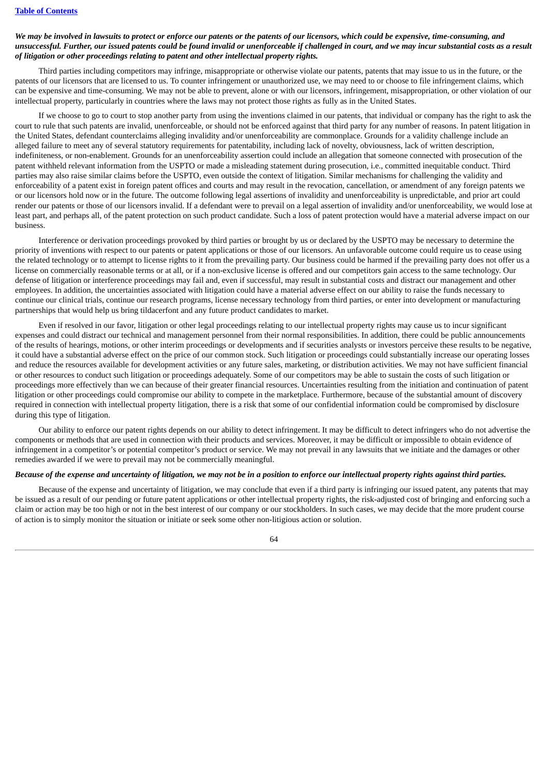# We may be involved in lawsuits to protect or enforce our patents or the patents of our licensors, which could be expensive, time-consuming, and unsuccessful. Further, our issued patents could be found invalid or unenforceable if challenged in court, and we may incur substantial costs as a result *of litigation or other proceedings relating to patent and other intellectual property rights.*

Third parties including competitors may infringe, misappropriate or otherwise violate our patents, patents that may issue to us in the future, or the patents of our licensors that are licensed to us. To counter infringement or unauthorized use, we may need to or choose to file infringement claims, which can be expensive and time-consuming. We may not be able to prevent, alone or with our licensors, infringement, misappropriation, or other violation of our intellectual property, particularly in countries where the laws may not protect those rights as fully as in the United States.

If we choose to go to court to stop another party from using the inventions claimed in our patents, that individual or company has the right to ask the court to rule that such patents are invalid, unenforceable, or should not be enforced against that third party for any number of reasons. In patent litigation in the United States, defendant counterclaims alleging invalidity and/or unenforceability are commonplace. Grounds for a validity challenge include an alleged failure to meet any of several statutory requirements for patentability, including lack of novelty, obviousness, lack of written description, indefiniteness, or non-enablement. Grounds for an unenforceability assertion could include an allegation that someone connected with prosecution of the patent withheld relevant information from the USPTO or made a misleading statement during prosecution, i.e., committed inequitable conduct. Third parties may also raise similar claims before the USPTO, even outside the context of litigation. Similar mechanisms for challenging the validity and enforceability of a patent exist in foreign patent offices and courts and may result in the revocation, cancellation, or amendment of any foreign patents we or our licensors hold now or in the future. The outcome following legal assertions of invalidity and unenforceability is unpredictable, and prior art could render our patents or those of our licensors invalid. If a defendant were to prevail on a legal assertion of invalidity and/or unenforceability, we would lose at least part, and perhaps all, of the patent protection on such product candidate. Such a loss of patent protection would have a material adverse impact on our business.

Interference or derivation proceedings provoked by third parties or brought by us or declared by the USPTO may be necessary to determine the priority of inventions with respect to our patents or patent applications or those of our licensors. An unfavorable outcome could require us to cease using the related technology or to attempt to license rights to it from the prevailing party. Our business could be harmed if the prevailing party does not offer us a license on commercially reasonable terms or at all, or if a non-exclusive license is offered and our competitors gain access to the same technology. Our defense of litigation or interference proceedings may fail and, even if successful, may result in substantial costs and distract our management and other employees. In addition, the uncertainties associated with litigation could have a material adverse effect on our ability to raise the funds necessary to continue our clinical trials, continue our research programs, license necessary technology from third parties, or enter into development or manufacturing partnerships that would help us bring tildacerfont and any future product candidates to market.

Even if resolved in our favor, litigation or other legal proceedings relating to our intellectual property rights may cause us to incur significant expenses and could distract our technical and management personnel from their normal responsibilities. In addition, there could be public announcements of the results of hearings, motions, or other interim proceedings or developments and if securities analysts or investors perceive these results to be negative, it could have a substantial adverse effect on the price of our common stock. Such litigation or proceedings could substantially increase our operating losses and reduce the resources available for development activities or any future sales, marketing, or distribution activities. We may not have sufficient financial or other resources to conduct such litigation or proceedings adequately. Some of our competitors may be able to sustain the costs of such litigation or proceedings more effectively than we can because of their greater financial resources. Uncertainties resulting from the initiation and continuation of patent litigation or other proceedings could compromise our ability to compete in the marketplace. Furthermore, because of the substantial amount of discovery required in connection with intellectual property litigation, there is a risk that some of our confidential information could be compromised by disclosure during this type of litigation.

Our ability to enforce our patent rights depends on our ability to detect infringement. It may be difficult to detect infringers who do not advertise the components or methods that are used in connection with their products and services. Moreover, it may be difficult or impossible to obtain evidence of infringement in a competitor's or potential competitor's product or service. We may not prevail in any lawsuits that we initiate and the damages or other remedies awarded if we were to prevail may not be commercially meaningful.

# Because of the expense and uncertainty of litigation, we may not be in a position to enforce our intellectual property rights against third parties.

Because of the expense and uncertainty of litigation, we may conclude that even if a third party is infringing our issued patent, any patents that may be issued as a result of our pending or future patent applications or other intellectual property rights, the risk-adjusted cost of bringing and enforcing such a claim or action may be too high or not in the best interest of our company or our stockholders. In such cases, we may decide that the more prudent course of action is to simply monitor the situation or initiate or seek some other non-litigious action or solution.

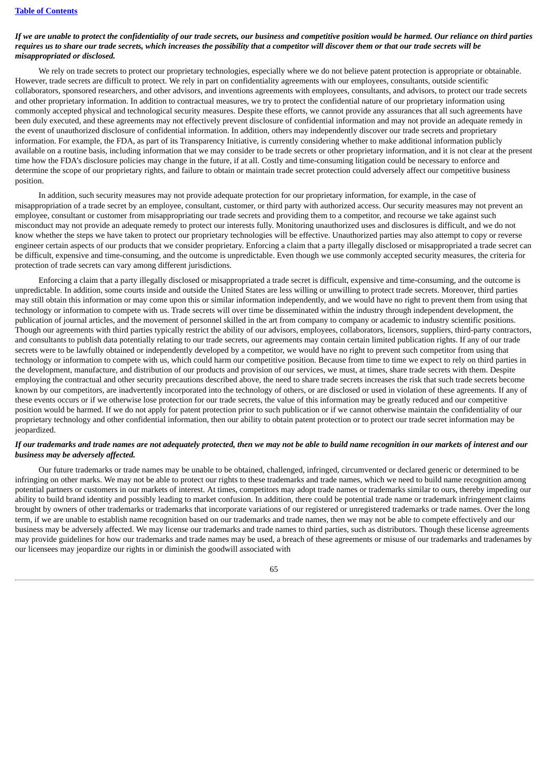# If we are unable to protect the confidentiality of our trade secrets, our business and competitive position would be harmed. Our reliance on third parties requires us to share our trade secrets, which increases the possibility that a competitor will discover them or that our trade secrets will be *misappropriated or disclosed.*

We rely on trade secrets to protect our proprietary technologies, especially where we do not believe patent protection is appropriate or obtainable. However, trade secrets are difficult to protect. We rely in part on confidentiality agreements with our employees, consultants, outside scientific collaborators, sponsored researchers, and other advisors, and inventions agreements with employees, consultants, and advisors, to protect our trade secrets and other proprietary information. In addition to contractual measures, we try to protect the confidential nature of our proprietary information using commonly accepted physical and technological security measures. Despite these efforts, we cannot provide any assurances that all such agreements have been duly executed, and these agreements may not effectively prevent disclosure of confidential information and may not provide an adequate remedy in the event of unauthorized disclosure of confidential information. In addition, others may independently discover our trade secrets and proprietary information. For example, the FDA, as part of its Transparency Initiative, is currently considering whether to make additional information publicly available on a routine basis, including information that we may consider to be trade secrets or other proprietary information, and it is not clear at the present time how the FDA's disclosure policies may change in the future, if at all. Costly and time-consuming litigation could be necessary to enforce and determine the scope of our proprietary rights, and failure to obtain or maintain trade secret protection could adversely affect our competitive business position.

In addition, such security measures may not provide adequate protection for our proprietary information, for example, in the case of misappropriation of a trade secret by an employee, consultant, customer, or third party with authorized access. Our security measures may not prevent an employee, consultant or customer from misappropriating our trade secrets and providing them to a competitor, and recourse we take against such misconduct may not provide an adequate remedy to protect our interests fully. Monitoring unauthorized uses and disclosures is difficult, and we do not know whether the steps we have taken to protect our proprietary technologies will be effective. Unauthorized parties may also attempt to copy or reverse engineer certain aspects of our products that we consider proprietary. Enforcing a claim that a party illegally disclosed or misappropriated a trade secret can be difficult, expensive and time-consuming, and the outcome is unpredictable. Even though we use commonly accepted security measures, the criteria for protection of trade secrets can vary among different jurisdictions.

Enforcing a claim that a party illegally disclosed or misappropriated a trade secret is difficult, expensive and time-consuming, and the outcome is unpredictable. In addition, some courts inside and outside the United States are less willing or unwilling to protect trade secrets. Moreover, third parties may still obtain this information or may come upon this or similar information independently, and we would have no right to prevent them from using that technology or information to compete with us. Trade secrets will over time be disseminated within the industry through independent development, the publication of journal articles, and the movement of personnel skilled in the art from company to company or academic to industry scientific positions. Though our agreements with third parties typically restrict the ability of our advisors, employees, collaborators, licensors, suppliers, third-party contractors, and consultants to publish data potentially relating to our trade secrets, our agreements may contain certain limited publication rights. If any of our trade secrets were to be lawfully obtained or independently developed by a competitor, we would have no right to prevent such competitor from using that technology or information to compete with us, which could harm our competitive position. Because from time to time we expect to rely on third parties in the development, manufacture, and distribution of our products and provision of our services, we must, at times, share trade secrets with them. Despite employing the contractual and other security precautions described above, the need to share trade secrets increases the risk that such trade secrets become known by our competitors, are inadvertently incorporated into the technology of others, or are disclosed or used in violation of these agreements. If any of these events occurs or if we otherwise lose protection for our trade secrets, the value of this information may be greatly reduced and our competitive position would be harmed. If we do not apply for patent protection prior to such publication or if we cannot otherwise maintain the confidentiality of our proprietary technology and other confidential information, then our ability to obtain patent protection or to protect our trade secret information may be jeopardized.

#### If our trademarks and trade names are not adequately protected, then we may not be able to build name recognition in our markets of interest and our *business may be adversely affected.*

Our future trademarks or trade names may be unable to be obtained, challenged, infringed, circumvented or declared generic or determined to be infringing on other marks. We may not be able to protect our rights to these trademarks and trade names, which we need to build name recognition among potential partners or customers in our markets of interest. At times, competitors may adopt trade names or trademarks similar to ours, thereby impeding our ability to build brand identity and possibly leading to market confusion. In addition, there could be potential trade name or trademark infringement claims brought by owners of other trademarks or trademarks that incorporate variations of our registered or unregistered trademarks or trade names. Over the long term, if we are unable to establish name recognition based on our trademarks and trade names, then we may not be able to compete effectively and our business may be adversely affected. We may license our trademarks and trade names to third parties, such as distributors. Though these license agreements may provide guidelines for how our trademarks and trade names may be used, a breach of these agreements or misuse of our trademarks and tradenames by our licensees may jeopardize our rights in or diminish the goodwill associated with

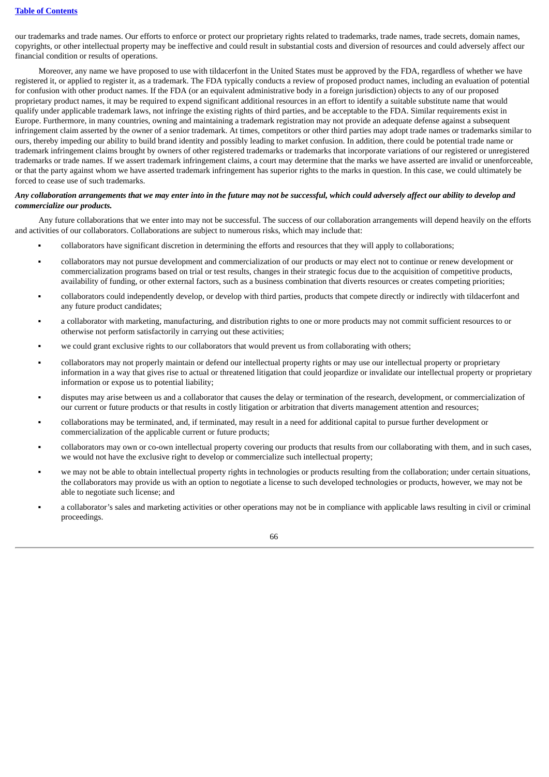our trademarks and trade names. Our efforts to enforce or protect our proprietary rights related to trademarks, trade names, trade secrets, domain names, copyrights, or other intellectual property may be ineffective and could result in substantial costs and diversion of resources and could adversely affect our financial condition or results of operations.

Moreover, any name we have proposed to use with tildacerfont in the United States must be approved by the FDA, regardless of whether we have registered it, or applied to register it, as a trademark. The FDA typically conducts a review of proposed product names, including an evaluation of potential for confusion with other product names. If the FDA (or an equivalent administrative body in a foreign jurisdiction) objects to any of our proposed proprietary product names, it may be required to expend significant additional resources in an effort to identify a suitable substitute name that would qualify under applicable trademark laws, not infringe the existing rights of third parties, and be acceptable to the FDA. Similar requirements exist in Europe. Furthermore, in many countries, owning and maintaining a trademark registration may not provide an adequate defense against a subsequent infringement claim asserted by the owner of a senior trademark. At times, competitors or other third parties may adopt trade names or trademarks similar to ours, thereby impeding our ability to build brand identity and possibly leading to market confusion. In addition, there could be potential trade name or trademark infringement claims brought by owners of other registered trademarks or trademarks that incorporate variations of our registered or unregistered trademarks or trade names. If we assert trademark infringement claims, a court may determine that the marks we have asserted are invalid or unenforceable, or that the party against whom we have asserted trademark infringement has superior rights to the marks in question. In this case, we could ultimately be forced to cease use of such trademarks.

# Any collaboration arrangements that we may enter into in the future may not be successful, which could adversely affect our ability to develop and *commercialize our products.*

Any future collaborations that we enter into may not be successful. The success of our collaboration arrangements will depend heavily on the efforts and activities of our collaborators. Collaborations are subject to numerous risks, which may include that:

- collaborators have significant discretion in determining the efforts and resources that they will apply to collaborations;
- collaborators may not pursue development and commercialization of our products or may elect not to continue or renew development or commercialization programs based on trial or test results, changes in their strategic focus due to the acquisition of competitive products, availability of funding, or other external factors, such as a business combination that diverts resources or creates competing priorities;
- collaborators could independently develop, or develop with third parties, products that compete directly or indirectly with tildacerfont and any future product candidates;
- a collaborator with marketing, manufacturing, and distribution rights to one or more products may not commit sufficient resources to or otherwise not perform satisfactorily in carrying out these activities;
- we could grant exclusive rights to our collaborators that would prevent us from collaborating with others;
- collaborators may not properly maintain or defend our intellectual property rights or may use our intellectual property or proprietary information in a way that gives rise to actual or threatened litigation that could jeopardize or invalidate our intellectual property or proprietary information or expose us to potential liability;
- disputes may arise between us and a collaborator that causes the delay or termination of the research, development, or commercialization of our current or future products or that results in costly litigation or arbitration that diverts management attention and resources;
- collaborations may be terminated, and, if terminated, may result in a need for additional capital to pursue further development or commercialization of the applicable current or future products;
- collaborators may own or co-own intellectual property covering our products that results from our collaborating with them, and in such cases, we would not have the exclusive right to develop or commercialize such intellectual property;
- we may not be able to obtain intellectual property rights in technologies or products resulting from the collaboration; under certain situations, the collaborators may provide us with an option to negotiate a license to such developed technologies or products, however, we may not be able to negotiate such license; and
- a collaborator's sales and marketing activities or other operations may not be in compliance with applicable laws resulting in civil or criminal proceedings.

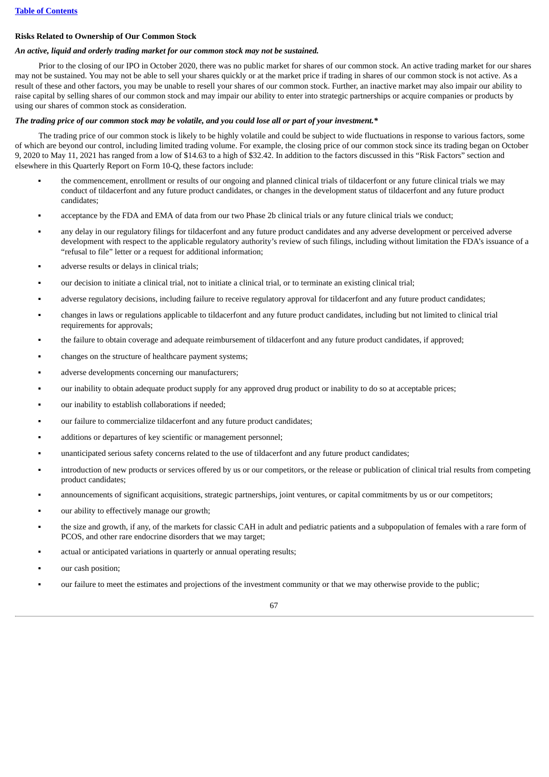#### **Risks Related to Ownership of Our Common Stock**

#### *An active, liquid and orderly trading market for our common stock may not be sustained.*

Prior to the closing of our IPO in October 2020, there was no public market for shares of our common stock. An active trading market for our shares may not be sustained. You may not be able to sell your shares quickly or at the market price if trading in shares of our common stock is not active. As a result of these and other factors, you may be unable to resell your shares of our common stock. Further, an inactive market may also impair our ability to raise capital by selling shares of our common stock and may impair our ability to enter into strategic partnerships or acquire companies or products by using our shares of common stock as consideration.

#### The trading price of our common stock may be volatile, and you could lose all or part of your investment.\*

The trading price of our common stock is likely to be highly volatile and could be subject to wide fluctuations in response to various factors, some of which are beyond our control, including limited trading volume. For example, the closing price of our common stock since its trading began on October 9, 2020 to May 11, 2021 has ranged from a low of \$14.63 to a high of \$32.42. In addition to the factors discussed in this "Risk Factors" section and elsewhere in this Quarterly Report on Form 10-Q, these factors include:

- the commencement, enrollment or results of our ongoing and planned clinical trials of tildacerfont or any future clinical trials we may conduct of tildacerfont and any future product candidates, or changes in the development status of tildacerfont and any future product candidates;
- acceptance by the FDA and EMA of data from our two Phase 2b clinical trials or any future clinical trials we conduct:
- any delay in our regulatory filings for tildacerfont and any future product candidates and any adverse development or perceived adverse development with respect to the applicable regulatory authority's review of such filings, including without limitation the FDA's issuance of a "refusal to file" letter or a request for additional information;
- adverse results or delays in clinical trials;
- our decision to initiate a clinical trial, not to initiate a clinical trial, or to terminate an existing clinical trial;
- adverse regulatory decisions, including failure to receive regulatory approval for tildacerfont and any future product candidates;
- changes in laws or regulations applicable to tildacerfont and any future product candidates, including but not limited to clinical trial requirements for approvals;
- the failure to obtain coverage and adequate reimbursement of tildacerfont and any future product candidates, if approved;
- changes on the structure of healthcare payment systems;
- adverse developments concerning our manufacturers;
- our inability to obtain adequate product supply for any approved drug product or inability to do so at acceptable prices;
- our inability to establish collaborations if needed;
- our failure to commercialize tildacerfont and any future product candidates;
- additions or departures of key scientific or management personnel;
- unanticipated serious safety concerns related to the use of tildacerfont and any future product candidates;
- introduction of new products or services offered by us or our competitors, or the release or publication of clinical trial results from competing product candidates;
- announcements of significant acquisitions, strategic partnerships, joint ventures, or capital commitments by us or our competitors;
- our ability to effectively manage our growth;
- the size and growth, if any, of the markets for classic CAH in adult and pediatric patients and a subpopulation of females with a rare form of PCOS, and other rare endocrine disorders that we may target;
- actual or anticipated variations in quarterly or annual operating results;
- our cash position;
- our failure to meet the estimates and projections of the investment community or that we may otherwise provide to the public;

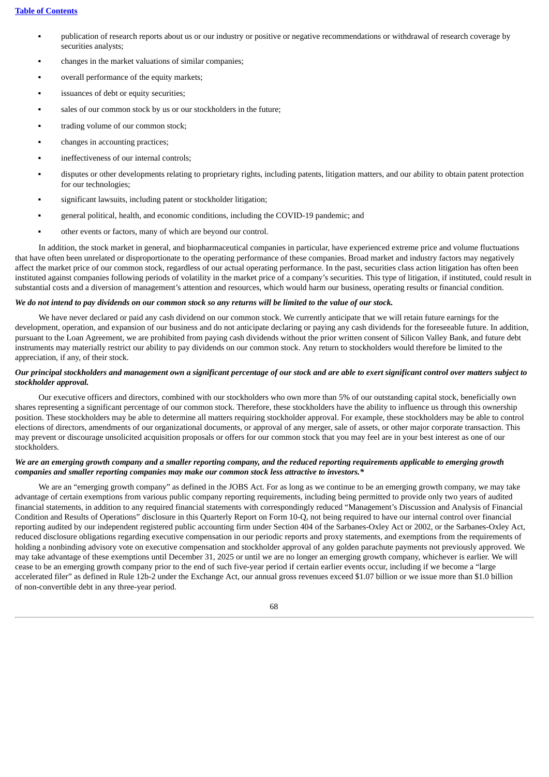- publication of research reports about us or our industry or positive or negative recommendations or withdrawal of research coverage by securities analysts;
- changes in the market valuations of similar companies;
- overall performance of the equity markets;
- issuances of debt or equity securities;
- sales of our common stock by us or our stockholders in the future:
- trading volume of our common stock;
- changes in accounting practices;
- ineffectiveness of our internal controls;
- disputes or other developments relating to proprietary rights, including patents, litigation matters, and our ability to obtain patent protection for our technologies;
- significant lawsuits, including patent or stockholder litigation;
- general political, health, and economic conditions, including the COVID-19 pandemic; and
- other events or factors, many of which are beyond our control.

In addition, the stock market in general, and biopharmaceutical companies in particular, have experienced extreme price and volume fluctuations that have often been unrelated or disproportionate to the operating performance of these companies. Broad market and industry factors may negatively affect the market price of our common stock, regardless of our actual operating performance. In the past, securities class action litigation has often been instituted against companies following periods of volatility in the market price of a company's securities. This type of litigation, if instituted, could result in substantial costs and a diversion of management's attention and resources, which would harm our business, operating results or financial condition.

#### We do not intend to pay dividends on our common stock so any returns will be limited to the value of our stock.

We have never declared or paid any cash dividend on our common stock. We currently anticipate that we will retain future earnings for the development, operation, and expansion of our business and do not anticipate declaring or paying any cash dividends for the foreseeable future. In addition, pursuant to the Loan Agreement, we are prohibited from paying cash dividends without the prior written consent of Silicon Valley Bank, and future debt instruments may materially restrict our ability to pay dividends on our common stock. Any return to stockholders would therefore be limited to the appreciation, if any, of their stock.

#### Our principal stockholders and management own a significant percentage of our stock and are able to exert significant control over matters subject to *stockholder approval.*

Our executive officers and directors, combined with our stockholders who own more than 5% of our outstanding capital stock, beneficially own shares representing a significant percentage of our common stock. Therefore, these stockholders have the ability to influence us through this ownership position. These stockholders may be able to determine all matters requiring stockholder approval. For example, these stockholders may be able to control elections of directors, amendments of our organizational documents, or approval of any merger, sale of assets, or other major corporate transaction. This may prevent or discourage unsolicited acquisition proposals or offers for our common stock that you may feel are in your best interest as one of our stockholders.

# We are an emerging growth company and a smaller reporting company, and the reduced reporting requirements applicable to emerging growth *companies and smaller reporting companies may make our common stock less attractive to investors.\**

We are an "emerging growth company" as defined in the JOBS Act. For as long as we continue to be an emerging growth company, we may take advantage of certain exemptions from various public company reporting requirements, including being permitted to provide only two years of audited financial statements, in addition to any required financial statements with correspondingly reduced "Management's Discussion and Analysis of Financial Condition and Results of Operations" disclosure in this Quarterly Report on Form 10-Q, not being required to have our internal control over financial reporting audited by our independent registered public accounting firm under Section 404 of the Sarbanes-Oxley Act or 2002, or the Sarbanes-Oxley Act, reduced disclosure obligations regarding executive compensation in our periodic reports and proxy statements, and exemptions from the requirements of holding a nonbinding advisory vote on executive compensation and stockholder approval of any golden parachute payments not previously approved. We may take advantage of these exemptions until December 31, 2025 or until we are no longer an emerging growth company, whichever is earlier. We will cease to be an emerging growth company prior to the end of such five-year period if certain earlier events occur, including if we become a "large accelerated filer" as defined in Rule 12b-2 under the Exchange Act, our annual gross revenues exceed \$1.07 billion or we issue more than \$1.0 billion of non-convertible debt in any three-year period.

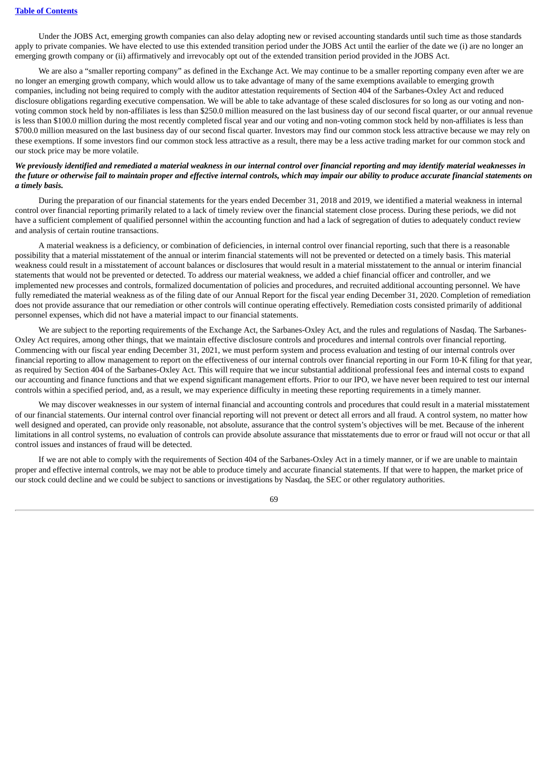Under the JOBS Act, emerging growth companies can also delay adopting new or revised accounting standards until such time as those standards apply to private companies. We have elected to use this extended transition period under the JOBS Act until the earlier of the date we (i) are no longer an emerging growth company or (ii) affirmatively and irrevocably opt out of the extended transition period provided in the JOBS Act.

We are also a "smaller reporting company" as defined in the Exchange Act. We may continue to be a smaller reporting company even after we are no longer an emerging growth company, which would allow us to take advantage of many of the same exemptions available to emerging growth companies, including not being required to comply with the auditor attestation requirements of Section 404 of the Sarbanes-Oxley Act and reduced disclosure obligations regarding executive compensation. We will be able to take advantage of these scaled disclosures for so long as our voting and nonvoting common stock held by non-affiliates is less than \$250.0 million measured on the last business day of our second fiscal quarter, or our annual revenue is less than \$100.0 million during the most recently completed fiscal year and our voting and non-voting common stock held by non-affiliates is less than \$700.0 million measured on the last business day of our second fiscal quarter. Investors may find our common stock less attractive because we may rely on these exemptions. If some investors find our common stock less attractive as a result, there may be a less active trading market for our common stock and our stock price may be more volatile.

# We previously identified and remediated a material weakness in our internal control over financial reporting and may identify material weaknesses in the future or otherwise fail to maintain proper and effective internal controls, which may impair our ability to produce accurate financial statements on *a timely basis.*

During the preparation of our financial statements for the years ended December 31, 2018 and 2019, we identified a material weakness in internal control over financial reporting primarily related to a lack of timely review over the financial statement close process. During these periods, we did not have a sufficient complement of qualified personnel within the accounting function and had a lack of segregation of duties to adequately conduct review and analysis of certain routine transactions.

A material weakness is a deficiency, or combination of deficiencies, in internal control over financial reporting, such that there is a reasonable possibility that a material misstatement of the annual or interim financial statements will not be prevented or detected on a timely basis. This material weakness could result in a misstatement of account balances or disclosures that would result in a material misstatement to the annual or interim financial statements that would not be prevented or detected. To address our material weakness, we added a chief financial officer and controller, and we implemented new processes and controls, formalized documentation of policies and procedures, and recruited additional accounting personnel. We have fully remediated the material weakness as of the filing date of our Annual Report for the fiscal year ending December 31, 2020. Completion of remediation does not provide assurance that our remediation or other controls will continue operating effectively. Remediation costs consisted primarily of additional personnel expenses, which did not have a material impact to our financial statements.

We are subject to the reporting requirements of the Exchange Act, the Sarbanes-Oxley Act, and the rules and regulations of Nasdaq. The Sarbanes-Oxley Act requires, among other things, that we maintain effective disclosure controls and procedures and internal controls over financial reporting. Commencing with our fiscal year ending December 31, 2021, we must perform system and process evaluation and testing of our internal controls over financial reporting to allow management to report on the effectiveness of our internal controls over financial reporting in our Form 10-K filing for that year, as required by Section 404 of the Sarbanes-Oxley Act. This will require that we incur substantial additional professional fees and internal costs to expand our accounting and finance functions and that we expend significant management efforts. Prior to our IPO, we have never been required to test our internal controls within a specified period, and, as a result, we may experience difficulty in meeting these reporting requirements in a timely manner.

We may discover weaknesses in our system of internal financial and accounting controls and procedures that could result in a material misstatement of our financial statements. Our internal control over financial reporting will not prevent or detect all errors and all fraud. A control system, no matter how well designed and operated, can provide only reasonable, not absolute, assurance that the control system's objectives will be met. Because of the inherent limitations in all control systems, no evaluation of controls can provide absolute assurance that misstatements due to error or fraud will not occur or that all control issues and instances of fraud will be detected.

If we are not able to comply with the requirements of Section 404 of the Sarbanes-Oxley Act in a timely manner, or if we are unable to maintain proper and effective internal controls, we may not be able to produce timely and accurate financial statements. If that were to happen, the market price of our stock could decline and we could be subject to sanctions or investigations by Nasdaq, the SEC or other regulatory authorities.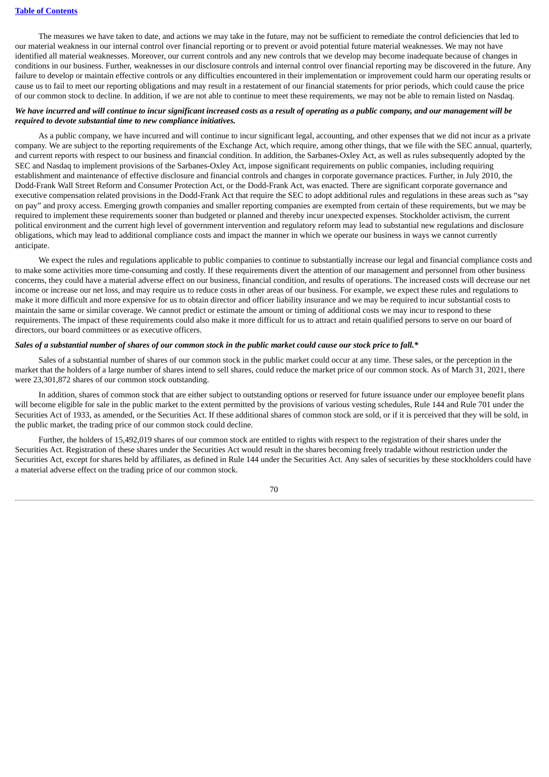#### **Table of [Contents](#page-1-0)**

The measures we have taken to date, and actions we may take in the future, may not be sufficient to remediate the control deficiencies that led to our material weakness in our internal control over financial reporting or to prevent or avoid potential future material weaknesses. We may not have identified all material weaknesses. Moreover, our current controls and any new controls that we develop may become inadequate because of changes in conditions in our business. Further, weaknesses in our disclosure controls and internal control over financial reporting may be discovered in the future. Any failure to develop or maintain effective controls or any difficulties encountered in their implementation or improvement could harm our operating results or cause us to fail to meet our reporting obligations and may result in a restatement of our financial statements for prior periods, which could cause the price of our common stock to decline. In addition, if we are not able to continue to meet these requirements, we may not be able to remain listed on Nasdaq.

### We have incurred and will continue to incur significant increased costs as a result of operating as a public company, and our management will be *required to devote substantial time to new compliance initiatives.*

As a public company, we have incurred and will continue to incur significant legal, accounting, and other expenses that we did not incur as a private company. We are subject to the reporting requirements of the Exchange Act, which require, among other things, that we file with the SEC annual, quarterly, and current reports with respect to our business and financial condition. In addition, the Sarbanes-Oxley Act, as well as rules subsequently adopted by the SEC and Nasdaq to implement provisions of the Sarbanes-Oxley Act, impose significant requirements on public companies, including requiring establishment and maintenance of effective disclosure and financial controls and changes in corporate governance practices. Further, in July 2010, the Dodd-Frank Wall Street Reform and Consumer Protection Act, or the Dodd-Frank Act, was enacted. There are significant corporate governance and executive compensation related provisions in the Dodd-Frank Act that require the SEC to adopt additional rules and regulations in these areas such as "say on pay" and proxy access. Emerging growth companies and smaller reporting companies are exempted from certain of these requirements, but we may be required to implement these requirements sooner than budgeted or planned and thereby incur unexpected expenses. Stockholder activism, the current political environment and the current high level of government intervention and regulatory reform may lead to substantial new regulations and disclosure obligations, which may lead to additional compliance costs and impact the manner in which we operate our business in ways we cannot currently anticipate.

We expect the rules and regulations applicable to public companies to continue to substantially increase our legal and financial compliance costs and to make some activities more time-consuming and costly. If these requirements divert the attention of our management and personnel from other business concerns, they could have a material adverse effect on our business, financial condition, and results of operations. The increased costs will decrease our net income or increase our net loss, and may require us to reduce costs in other areas of our business. For example, we expect these rules and regulations to make it more difficult and more expensive for us to obtain director and officer liability insurance and we may be required to incur substantial costs to maintain the same or similar coverage. We cannot predict or estimate the amount or timing of additional costs we may incur to respond to these requirements. The impact of these requirements could also make it more difficult for us to attract and retain qualified persons to serve on our board of directors, our board committees or as executive officers.

### Sales of a substantial number of shares of our common stock in the public market could cause our stock price to fall.\*

Sales of a substantial number of shares of our common stock in the public market could occur at any time. These sales, or the perception in the market that the holders of a large number of shares intend to sell shares, could reduce the market price of our common stock. As of March 31, 2021, there were 23,301,872 shares of our common stock outstanding.

In addition, shares of common stock that are either subject to outstanding options or reserved for future issuance under our employee benefit plans will become eligible for sale in the public market to the extent permitted by the provisions of various vesting schedules, Rule 144 and Rule 701 under the Securities Act of 1933, as amended, or the Securities Act. If these additional shares of common stock are sold, or if it is perceived that they will be sold, in the public market, the trading price of our common stock could decline.

Further, the holders of 15,492,019 shares of our common stock are entitled to rights with respect to the registration of their shares under the Securities Act. Registration of these shares under the Securities Act would result in the shares becoming freely tradable without restriction under the Securities Act, except for shares held by affiliates, as defined in Rule 144 under the Securities Act. Any sales of securities by these stockholders could have a material adverse effect on the trading price of our common stock.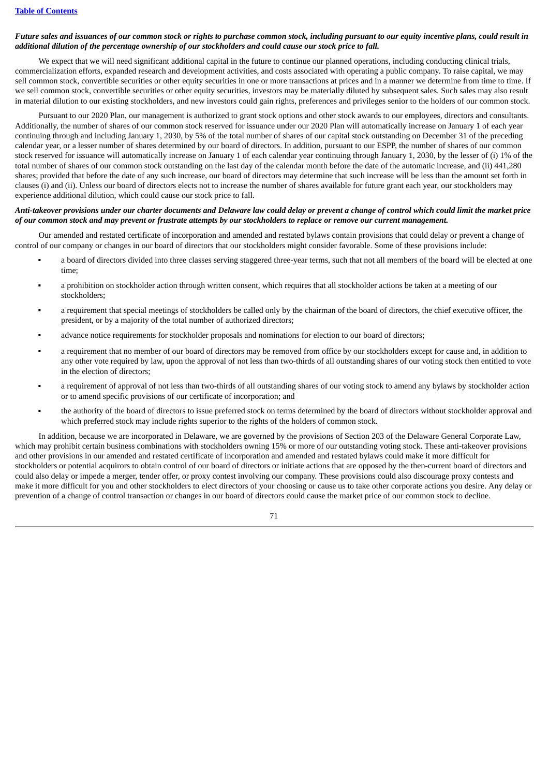### Future sales and issuances of our common stock or rights to purchase common stock, including pursuant to our equity incentive plans, could result in additional dilution of the percentage ownership of our stockholders and could cause our stock price to fall.

We expect that we will need significant additional capital in the future to continue our planned operations, including conducting clinical trials, commercialization efforts, expanded research and development activities, and costs associated with operating a public company. To raise capital, we may sell common stock, convertible securities or other equity securities in one or more transactions at prices and in a manner we determine from time to time. If we sell common stock, convertible securities or other equity securities, investors may be materially diluted by subsequent sales. Such sales may also result in material dilution to our existing stockholders, and new investors could gain rights, preferences and privileges senior to the holders of our common stock.

Pursuant to our 2020 Plan, our management is authorized to grant stock options and other stock awards to our employees, directors and consultants. Additionally, the number of shares of our common stock reserved for issuance under our 2020 Plan will automatically increase on January 1 of each year continuing through and including January 1, 2030, by 5% of the total number of shares of our capital stock outstanding on December 31 of the preceding calendar year, or a lesser number of shares determined by our board of directors. In addition, pursuant to our ESPP, the number of shares of our common stock reserved for issuance will automatically increase on January 1 of each calendar year continuing through January 1, 2030, by the lesser of (i) 1% of the total number of shares of our common stock outstanding on the last day of the calendar month before the date of the automatic increase, and (ii) 441,280 shares; provided that before the date of any such increase, our board of directors may determine that such increase will be less than the amount set forth in clauses (i) and (ii). Unless our board of directors elects not to increase the number of shares available for future grant each year, our stockholders may experience additional dilution, which could cause our stock price to fall.

# Anti-takeover provisions under our charter documents and Delaware law could delay or prevent a change of control which could limit the market price of our common stock and may prevent or frustrate attempts by our stockholders to replace or remove our current management.

Our amended and restated certificate of incorporation and amended and restated bylaws contain provisions that could delay or prevent a change of control of our company or changes in our board of directors that our stockholders might consider favorable. Some of these provisions include:

- a board of directors divided into three classes serving staggered three-year terms, such that not all members of the board will be elected at one time;
- a prohibition on stockholder action through written consent, which requires that all stockholder actions be taken at a meeting of our stockholders;
- a requirement that special meetings of stockholders be called only by the chairman of the board of directors, the chief executive officer, the president, or by a majority of the total number of authorized directors;
- advance notice requirements for stockholder proposals and nominations for election to our board of directors;
- a requirement that no member of our board of directors may be removed from office by our stockholders except for cause and, in addition to any other vote required by law, upon the approval of not less than two-thirds of all outstanding shares of our voting stock then entitled to vote in the election of directors;
- a requirement of approval of not less than two-thirds of all outstanding shares of our voting stock to amend any bylaws by stockholder action or to amend specific provisions of our certificate of incorporation; and
- the authority of the board of directors to issue preferred stock on terms determined by the board of directors without stockholder approval and which preferred stock may include rights superior to the rights of the holders of common stock.

In addition, because we are incorporated in Delaware, we are governed by the provisions of Section 203 of the Delaware General Corporate Law, which may prohibit certain business combinations with stockholders owning 15% or more of our outstanding voting stock. These anti-takeover provisions and other provisions in our amended and restated certificate of incorporation and amended and restated bylaws could make it more difficult for stockholders or potential acquirors to obtain control of our board of directors or initiate actions that are opposed by the then-current board of directors and could also delay or impede a merger, tender offer, or proxy contest involving our company. These provisions could also discourage proxy contests and make it more difficult for you and other stockholders to elect directors of your choosing or cause us to take other corporate actions you desire. Any delay or prevention of a change of control transaction or changes in our board of directors could cause the market price of our common stock to decline.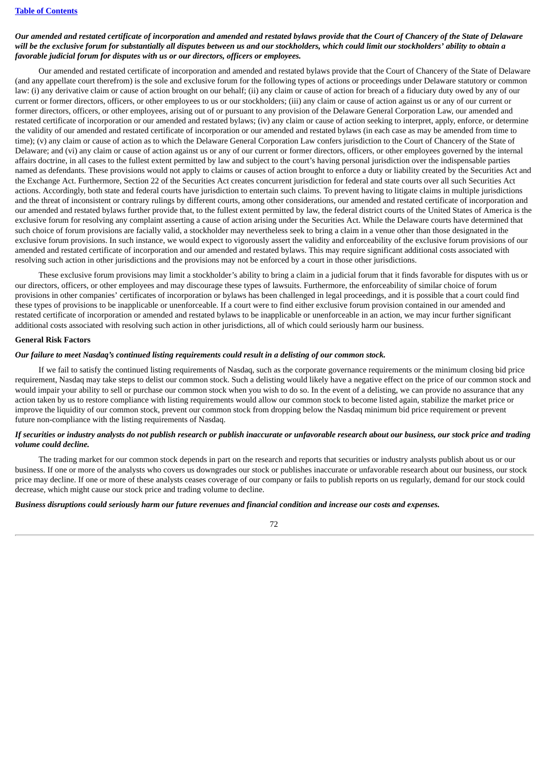# Our amended and restated certificate of incorporation and amended and restated bylaws provide that the Court of Chancery of the State of Delaware will be the exclusive forum for substantially all disputes between us and our stockholders, which could limit our stockholders' ability to obtain a *favorable judicial forum for disputes with us or our directors, officers or employees.*

Our amended and restated certificate of incorporation and amended and restated bylaws provide that the Court of Chancery of the State of Delaware (and any appellate court therefrom) is the sole and exclusive forum for the following types of actions or proceedings under Delaware statutory or common law: (i) any derivative claim or cause of action brought on our behalf; (ii) any claim or cause of action for breach of a fiduciary duty owed by any of our current or former directors, officers, or other employees to us or our stockholders; (iii) any claim or cause of action against us or any of our current or former directors, officers, or other employees, arising out of or pursuant to any provision of the Delaware General Corporation Law, our amended and restated certificate of incorporation or our amended and restated bylaws; (iv) any claim or cause of action seeking to interpret, apply, enforce, or determine the validity of our amended and restated certificate of incorporation or our amended and restated bylaws (in each case as may be amended from time to time); (v) any claim or cause of action as to which the Delaware General Corporation Law confers jurisdiction to the Court of Chancery of the State of Delaware; and (vi) any claim or cause of action against us or any of our current or former directors, officers, or other employees governed by the internal affairs doctrine, in all cases to the fullest extent permitted by law and subject to the court's having personal jurisdiction over the indispensable parties named as defendants. These provisions would not apply to claims or causes of action brought to enforce a duty or liability created by the Securities Act and the Exchange Act. Furthermore, Section 22 of the Securities Act creates concurrent jurisdiction for federal and state courts over all such Securities Act actions. Accordingly, both state and federal courts have jurisdiction to entertain such claims. To prevent having to litigate claims in multiple jurisdictions and the threat of inconsistent or contrary rulings by different courts, among other considerations, our amended and restated certificate of incorporation and our amended and restated bylaws further provide that, to the fullest extent permitted by law, the federal district courts of the United States of America is the exclusive forum for resolving any complaint asserting a cause of action arising under the Securities Act. While the Delaware courts have determined that such choice of forum provisions are facially valid, a stockholder may nevertheless seek to bring a claim in a venue other than those designated in the exclusive forum provisions. In such instance, we would expect to vigorously assert the validity and enforceability of the exclusive forum provisions of our amended and restated certificate of incorporation and our amended and restated bylaws. This may require significant additional costs associated with resolving such action in other jurisdictions and the provisions may not be enforced by a court in those other jurisdictions.

These exclusive forum provisions may limit a stockholder's ability to bring a claim in a judicial forum that it finds favorable for disputes with us or our directors, officers, or other employees and may discourage these types of lawsuits. Furthermore, the enforceability of similar choice of forum provisions in other companies' certificates of incorporation or bylaws has been challenged in legal proceedings, and it is possible that a court could find these types of provisions to be inapplicable or unenforceable. If a court were to find either exclusive forum provision contained in our amended and restated certificate of incorporation or amended and restated bylaws to be inapplicable or unenforceable in an action, we may incur further significant additional costs associated with resolving such action in other jurisdictions, all of which could seriously harm our business.

### **General Risk Factors**

### Our failure to meet Nasdaq's continued listing requirements could result in a delisting of our common stock.

If we fail to satisfy the continued listing requirements of Nasdaq, such as the corporate governance requirements or the minimum closing bid price requirement, Nasdaq may take steps to delist our common stock. Such a delisting would likely have a negative effect on the price of our common stock and would impair your ability to sell or purchase our common stock when you wish to do so. In the event of a delisting, we can provide no assurance that any action taken by us to restore compliance with listing requirements would allow our common stock to become listed again, stabilize the market price or improve the liquidity of our common stock, prevent our common stock from dropping below the Nasdaq minimum bid price requirement or prevent future non-compliance with the listing requirements of Nasdaq.

### If securities or industry analysts do not publish research or publish inaccurate or unfavorable research about our business, our stock price and trading *volume could decline.*

The trading market for our common stock depends in part on the research and reports that securities or industry analysts publish about us or our business. If one or more of the analysts who covers us downgrades our stock or publishes inaccurate or unfavorable research about our business, our stock price may decline. If one or more of these analysts ceases coverage of our company or fails to publish reports on us regularly, demand for our stock could decrease, which might cause our stock price and trading volume to decline.

# Business disruptions could seriously harm our future revenues and financial condition and increase our costs and expenses.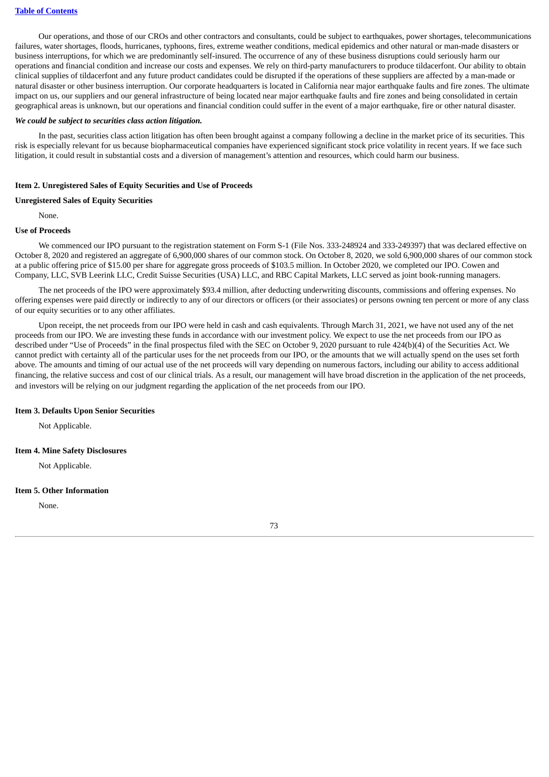Our operations, and those of our CROs and other contractors and consultants, could be subject to earthquakes, power shortages, telecommunications failures, water shortages, floods, hurricanes, typhoons, fires, extreme weather conditions, medical epidemics and other natural or man-made disasters or business interruptions, for which we are predominantly self-insured. The occurrence of any of these business disruptions could seriously harm our operations and financial condition and increase our costs and expenses. We rely on third-party manufacturers to produce tildacerfont. Our ability to obtain clinical supplies of tildacerfont and any future product candidates could be disrupted if the operations of these suppliers are affected by a man-made or natural disaster or other business interruption. Our corporate headquarters is located in California near major earthquake faults and fire zones. The ultimate impact on us, our suppliers and our general infrastructure of being located near major earthquake faults and fire zones and being consolidated in certain geographical areas is unknown, but our operations and financial condition could suffer in the event of a major earthquake, fire or other natural disaster.

#### *We could be subject to securities class action litigation.*

In the past, securities class action litigation has often been brought against a company following a decline in the market price of its securities. This risk is especially relevant for us because biopharmaceutical companies have experienced significant stock price volatility in recent years. If we face such litigation, it could result in substantial costs and a diversion of management's attention and resources, which could harm our business.

### **Item 2. Unregistered Sales of Equity Securities and Use of Proceeds**

#### **Unregistered Sales of Equity Securities**

None.

### **Use of Proceeds**

We commenced our IPO pursuant to the registration statement on Form S-1 (File Nos. 333-248924 and 333-249397) that was declared effective on October 8, 2020 and registered an aggregate of 6,900,000 shares of our common stock. On October 8, 2020, we sold 6,900,000 shares of our common stock at a public offering price of \$15.00 per share for aggregate gross proceeds of \$103.5 million. In October 2020, we completed our IPO. Cowen and Company, LLC, SVB Leerink LLC, Credit Suisse Securities (USA) LLC, and RBC Capital Markets, LLC served as joint book-running managers.

The net proceeds of the IPO were approximately \$93.4 million, after deducting underwriting discounts, commissions and offering expenses. No offering expenses were paid directly or indirectly to any of our directors or officers (or their associates) or persons owning ten percent or more of any class of our equity securities or to any other affiliates.

Upon receipt, the net proceeds from our IPO were held in cash and cash equivalents. Through March 31, 2021, we have not used any of the net proceeds from our IPO. We are investing these funds in accordance with our investment policy. We expect to use the net proceeds from our IPO as described under "Use of Proceeds" in the final prospectus filed with the SEC on October 9, 2020 pursuant to rule 424(b)(4) of the Securities Act. We cannot predict with certainty all of the particular uses for the net proceeds from our IPO, or the amounts that we will actually spend on the uses set forth above. The amounts and timing of our actual use of the net proceeds will vary depending on numerous factors, including our ability to access additional financing, the relative success and cost of our clinical trials. As a result, our management will have broad discretion in the application of the net proceeds, and investors will be relying on our judgment regarding the application of the net proceeds from our IPO.

#### **Item 3. Defaults Upon Senior Securities**

Not Applicable.

# **Item 4. Mine Safety Disclosures**

Not Applicable.

### **Item 5. Other Information**

None.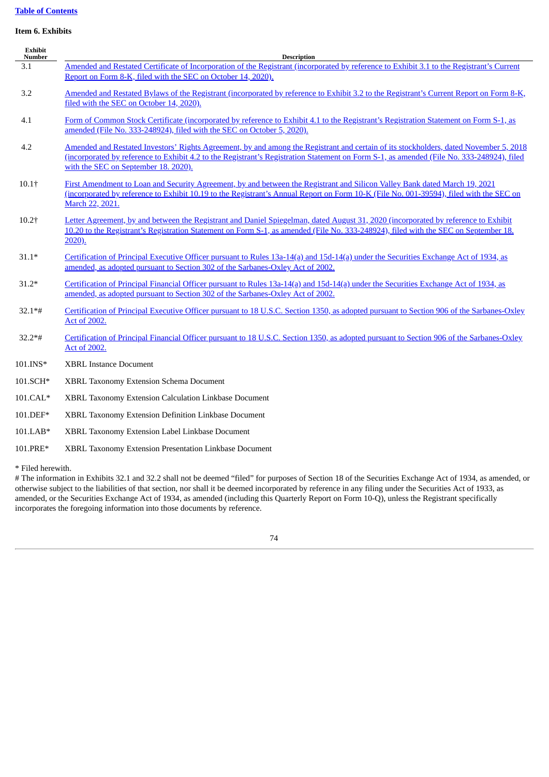# **Table of [Contents](#page-1-0)**

# **Item 6. Exhibits**

| Exhibit<br><b>Number</b>         | <b>Description</b>                                                                                                                                                                                                                                                                                                         |  |  |
|----------------------------------|----------------------------------------------------------------------------------------------------------------------------------------------------------------------------------------------------------------------------------------------------------------------------------------------------------------------------|--|--|
| 3.1                              | Amended and Restated Certificate of Incorporation of the Registrant (incorporated by reference to Exhibit 3.1 to the Registrant's Current<br>Report on Form 8-K, filed with the SEC on October 14, 2020).                                                                                                                  |  |  |
| 3.2                              | Amended and Restated Bylaws of the Registrant (incorporated by reference to Exhibit 3.2 to the Registrant's Current Report on Form 8-K,<br>filed with the SEC on October 14, 2020).                                                                                                                                        |  |  |
| 4.1                              | Form of Common Stock Certificate (incorporated by reference to Exhibit 4.1 to the Registrant's Registration Statement on Form S-1, as<br>amended (File No. 333-248924), filed with the SEC on October 5, 2020).                                                                                                            |  |  |
| 4.2                              | Amended and Restated Investors' Rights Agreement, by and among the Registrant and certain of its stockholders, dated November 5, 2018<br>(incorporated by reference to Exhibit 4.2 to the Registrant's Registration Statement on Form S-1, as amended (File No. 333-248924), filed<br>with the SEC on September 18. 2020). |  |  |
| $10.1$ <sup><math>+</math></sup> | First Amendment to Loan and Security Agreement, by and between the Registrant and Silicon Valley Bank dated March 19, 2021<br>(incorporated by reference to Exhibit 10.19 to the Registrant's Annual Report on Form 10-K (File No. 001-39594), filed with the SEC on<br>March 22, 2021.                                    |  |  |
| $10.2$ †                         | Letter Agreement, by and between the Registrant and Daniel Spiegelman, dated August 31, 2020 (incorporated by reference to Exhibit<br>10.20 to the Registrant's Registration Statement on Form S-1, as amended (File No. 333-248924), filed with the SEC on September 18.<br>$2020$ ).                                     |  |  |
| $31.1*$                          | Certification of Principal Executive Officer pursuant to Rules 13a-14(a) and 15d-14(a) under the Securities Exchange Act of 1934, as<br>amended, as adopted pursuant to Section 302 of the Sarbanes-Oxley Act of 2002.                                                                                                     |  |  |
| $31.2*$                          | Certification of Principal Financial Officer pursuant to Rules 13a-14(a) and 15d-14(a) under the Securities Exchange Act of 1934, as<br>amended, as adopted pursuant to Section 302 of the Sarbanes-Oxley Act of 2002.                                                                                                     |  |  |
| $32.1*$ #                        | Certification of Principal Executive Officer pursuant to 18 U.S.C. Section 1350, as adopted pursuant to Section 906 of the Sarbanes-Oxley<br><b>Act of 2002.</b>                                                                                                                                                           |  |  |
| $32.2**$ #                       | Certification of Principal Financial Officer pursuant to 18 U.S.C. Section 1350, as adopted pursuant to Section 906 of the Sarbanes-Oxley<br>Act of 2002.                                                                                                                                                                  |  |  |
| 101.INS*                         | <b>XBRL Instance Document</b>                                                                                                                                                                                                                                                                                              |  |  |
| 101.SCH*                         | <b>XBRL Taxonomy Extension Schema Document</b>                                                                                                                                                                                                                                                                             |  |  |
| $101.CAL*$                       | XBRL Taxonomy Extension Calculation Linkbase Document                                                                                                                                                                                                                                                                      |  |  |
| 101.DEF*                         | XBRL Taxonomy Extension Definition Linkbase Document                                                                                                                                                                                                                                                                       |  |  |
| 101.LAB*                         | XBRL Taxonomy Extension Label Linkbase Document                                                                                                                                                                                                                                                                            |  |  |
| 101.PRE*                         | XBRL Taxonomy Extension Presentation Linkbase Document                                                                                                                                                                                                                                                                     |  |  |

\* Filed herewith.

# The information in Exhibits 32.1 and 32.2 shall not be deemed "filed" for purposes of Section 18 of the Securities Exchange Act of 1934, as amended, or otherwise subject to the liabilities of that section, nor shall it be deemed incorporated by reference in any filing under the Securities Act of 1933, as amended, or the Securities Exchange Act of 1934, as amended (including this Quarterly Report on Form 10-Q), unless the Registrant specifically incorporates the foregoing information into those documents by reference.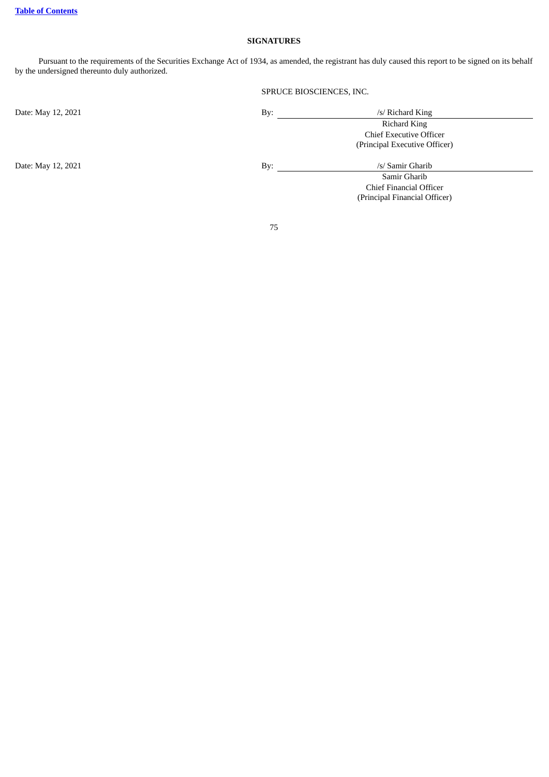# **SIGNATURES**

Pursuant to the requirements of the Securities Exchange Act of 1934, as amended, the registrant has duly caused this report to be signed on its behalf by the undersigned thereunto duly authorized.

# SPRUCE BIOSCIENCES, INC.

Chief Financial Officer (Principal Financial Officer)

| Date: May 12, 2021 | By: | /s/ Richard King               |
|--------------------|-----|--------------------------------|
|                    |     | Richard King                   |
|                    |     | <b>Chief Executive Officer</b> |
|                    |     | (Principal Executive Officer)  |
|                    |     |                                |
| Date: May 12, 2021 | Bv: | /s/ Samir Gharib               |
|                    |     | Samir Gharib                   |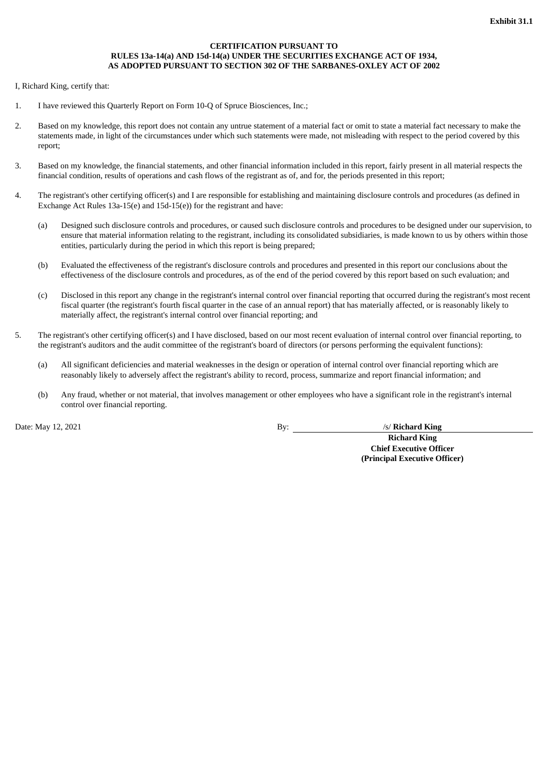# **CERTIFICATION PURSUANT TO RULES 13a-14(a) AND 15d-14(a) UNDER THE SECURITIES EXCHANGE ACT OF 1934, AS ADOPTED PURSUANT TO SECTION 302 OF THE SARBANES-OXLEY ACT OF 2002**

<span id="page-78-0"></span>I, Richard King, certify that:

- 1. I have reviewed this Quarterly Report on Form 10-Q of Spruce Biosciences, Inc.;
- 2. Based on my knowledge, this report does not contain any untrue statement of a material fact or omit to state a material fact necessary to make the statements made, in light of the circumstances under which such statements were made, not misleading with respect to the period covered by this report;
- 3. Based on my knowledge, the financial statements, and other financial information included in this report, fairly present in all material respects the financial condition, results of operations and cash flows of the registrant as of, and for, the periods presented in this report;
- 4. The registrant's other certifying officer(s) and I are responsible for establishing and maintaining disclosure controls and procedures (as defined in Exchange Act Rules 13a-15(e) and 15d-15(e)) for the registrant and have:
	- (a) Designed such disclosure controls and procedures, or caused such disclosure controls and procedures to be designed under our supervision, to ensure that material information relating to the registrant, including its consolidated subsidiaries, is made known to us by others within those entities, particularly during the period in which this report is being prepared;
	- (b) Evaluated the effectiveness of the registrant's disclosure controls and procedures and presented in this report our conclusions about the effectiveness of the disclosure controls and procedures, as of the end of the period covered by this report based on such evaluation; and
	- (c) Disclosed in this report any change in the registrant's internal control over financial reporting that occurred during the registrant's most recent fiscal quarter (the registrant's fourth fiscal quarter in the case of an annual report) that has materially affected, or is reasonably likely to materially affect, the registrant's internal control over financial reporting; and
- 5. The registrant's other certifying officer(s) and I have disclosed, based on our most recent evaluation of internal control over financial reporting, to the registrant's auditors and the audit committee of the registrant's board of directors (or persons performing the equivalent functions):
	- (a) All significant deficiencies and material weaknesses in the design or operation of internal control over financial reporting which are reasonably likely to adversely affect the registrant's ability to record, process, summarize and report financial information; and
	- (b) Any fraud, whether or not material, that involves management or other employees who have a significant role in the registrant's internal control over financial reporting.

Date: May 12, 2021 **By:** /s/ **Richard King** 

**Richard King Chief Executive Officer (Principal Executive Officer)**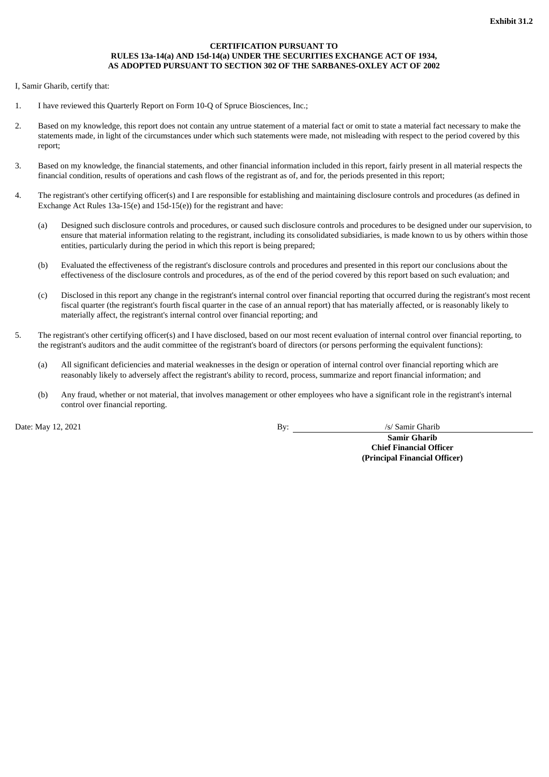# **CERTIFICATION PURSUANT TO RULES 13a-14(a) AND 15d-14(a) UNDER THE SECURITIES EXCHANGE ACT OF 1934, AS ADOPTED PURSUANT TO SECTION 302 OF THE SARBANES-OXLEY ACT OF 2002**

<span id="page-79-0"></span>I, Samir Gharib, certify that:

- 1. I have reviewed this Quarterly Report on Form 10-Q of Spruce Biosciences, Inc.;
- 2. Based on my knowledge, this report does not contain any untrue statement of a material fact or omit to state a material fact necessary to make the statements made, in light of the circumstances under which such statements were made, not misleading with respect to the period covered by this report;
- 3. Based on my knowledge, the financial statements, and other financial information included in this report, fairly present in all material respects the financial condition, results of operations and cash flows of the registrant as of, and for, the periods presented in this report;
- 4. The registrant's other certifying officer(s) and I are responsible for establishing and maintaining disclosure controls and procedures (as defined in Exchange Act Rules 13a-15(e) and 15d-15(e)) for the registrant and have:
	- (a) Designed such disclosure controls and procedures, or caused such disclosure controls and procedures to be designed under our supervision, to ensure that material information relating to the registrant, including its consolidated subsidiaries, is made known to us by others within those entities, particularly during the period in which this report is being prepared;
	- (b) Evaluated the effectiveness of the registrant's disclosure controls and procedures and presented in this report our conclusions about the effectiveness of the disclosure controls and procedures, as of the end of the period covered by this report based on such evaluation; and
	- (c) Disclosed in this report any change in the registrant's internal control over financial reporting that occurred during the registrant's most recent fiscal quarter (the registrant's fourth fiscal quarter in the case of an annual report) that has materially affected, or is reasonably likely to materially affect, the registrant's internal control over financial reporting; and
- 5. The registrant's other certifying officer(s) and I have disclosed, based on our most recent evaluation of internal control over financial reporting, to the registrant's auditors and the audit committee of the registrant's board of directors (or persons performing the equivalent functions):
	- (a) All significant deficiencies and material weaknesses in the design or operation of internal control over financial reporting which are reasonably likely to adversely affect the registrant's ability to record, process, summarize and report financial information; and
	- (b) Any fraud, whether or not material, that involves management or other employees who have a significant role in the registrant's internal control over financial reporting.

Date: May 12, 2021 By: /s/ Samir Gharib

**Samir Gharib**

**Chief Financial Officer (Principal Financial Officer)**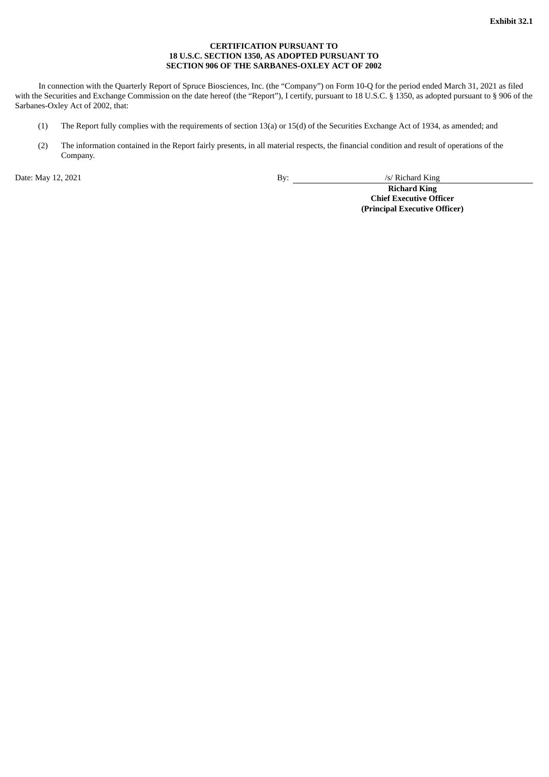# **CERTIFICATION PURSUANT TO 18 U.S.C. SECTION 1350, AS ADOPTED PURSUANT TO SECTION 906 OF THE SARBANES-OXLEY ACT OF 2002**

<span id="page-80-0"></span>In connection with the Quarterly Report of Spruce Biosciences, Inc. (the "Company") on Form 10-Q for the period ended March 31, 2021 as filed with the Securities and Exchange Commission on the date hereof (the "Report"), I certify, pursuant to 18 U.S.C. § 1350, as adopted pursuant to § 906 of the Sarbanes-Oxley Act of 2002, that:

- (1) The Report fully complies with the requirements of section 13(a) or 15(d) of the Securities Exchange Act of 1934, as amended; and
- (2) The information contained in the Report fairly presents, in all material respects, the financial condition and result of operations of the Company.

Date: May 12, 2021 By: /s/ Richard King

**Richard King Chief Executive Officer (Principal Executive Officer)**